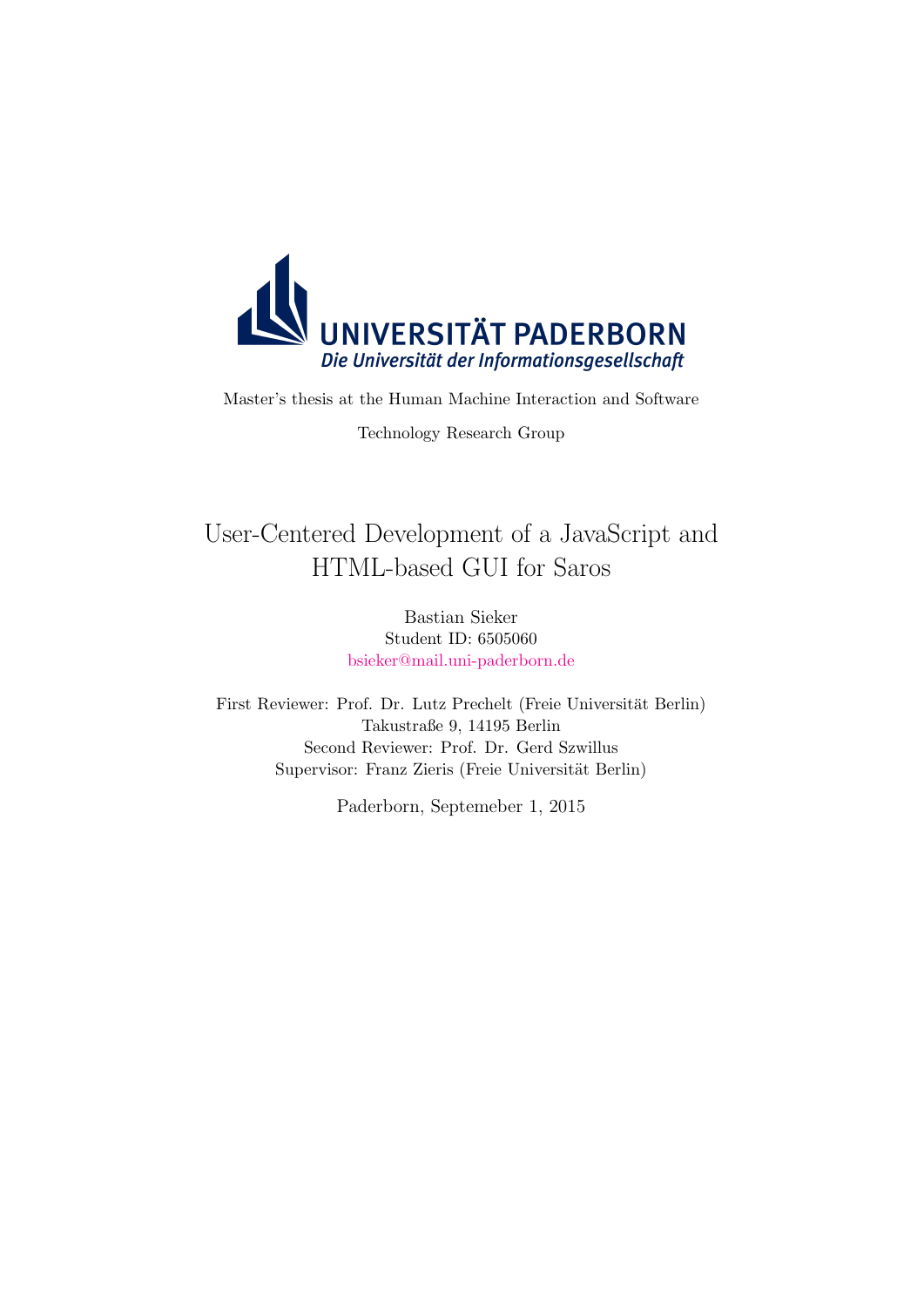

Master's thesis at the Human Machine Interaction and Software

Technology Research Group

# User-Centered Development of a JavaScript and HTML-based GUI for Saros

Bastian Sieker Student ID: 6505060 [bsieker@mail.uni-paderborn.de](mailto:bsieker@mail.uni-paderborn.de)

First Reviewer: Prof. Dr. Lutz Prechelt (Freie Universität Berlin) Takustraße 9, 14195 Berlin Second Reviewer: Prof. Dr. Gerd Szwillus Supervisor: Franz Zieris (Freie Universität Berlin)

Paderborn, Septemeber 1, 2015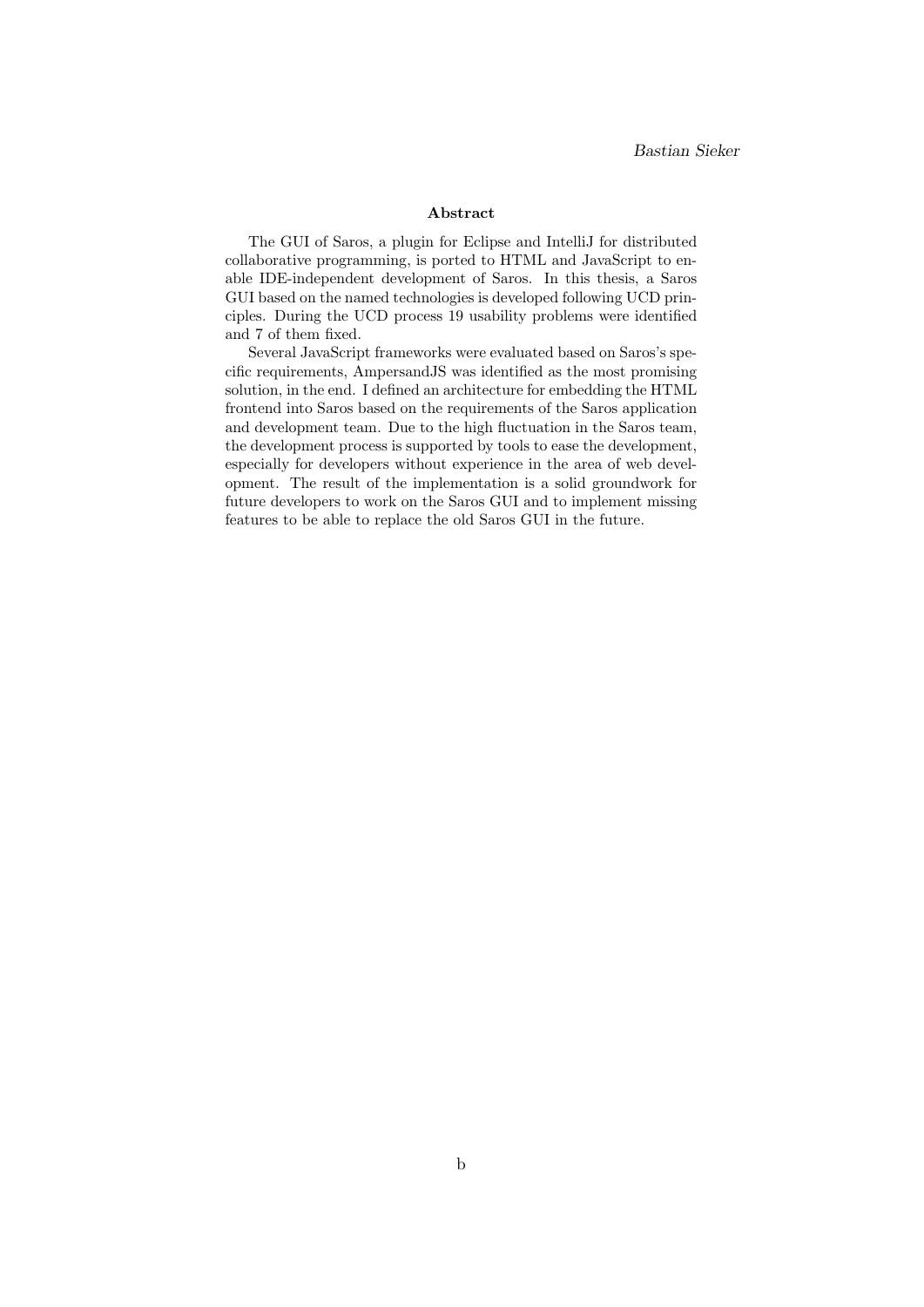#### Abstract

The GUI of Saros, a plugin for Eclipse and IntelliJ for distributed collaborative programming, is ported to HTML and JavaScript to enable IDE-independent development of Saros. In this thesis, a Saros GUI based on the named technologies is developed following UCD principles. During the UCD process 19 usability problems were identified and 7 of them fixed.

Several JavaScript frameworks were evaluated based on Saros's specific requirements, AmpersandJS was identified as the most promising solution, in the end. I defined an architecture for embedding the HTML frontend into Saros based on the requirements of the Saros application and development team. Due to the high fluctuation in the Saros team, the development process is supported by tools to ease the development, especially for developers without experience in the area of web development. The result of the implementation is a solid groundwork for future developers to work on the Saros GUI and to implement missing features to be able to replace the old Saros GUI in the future.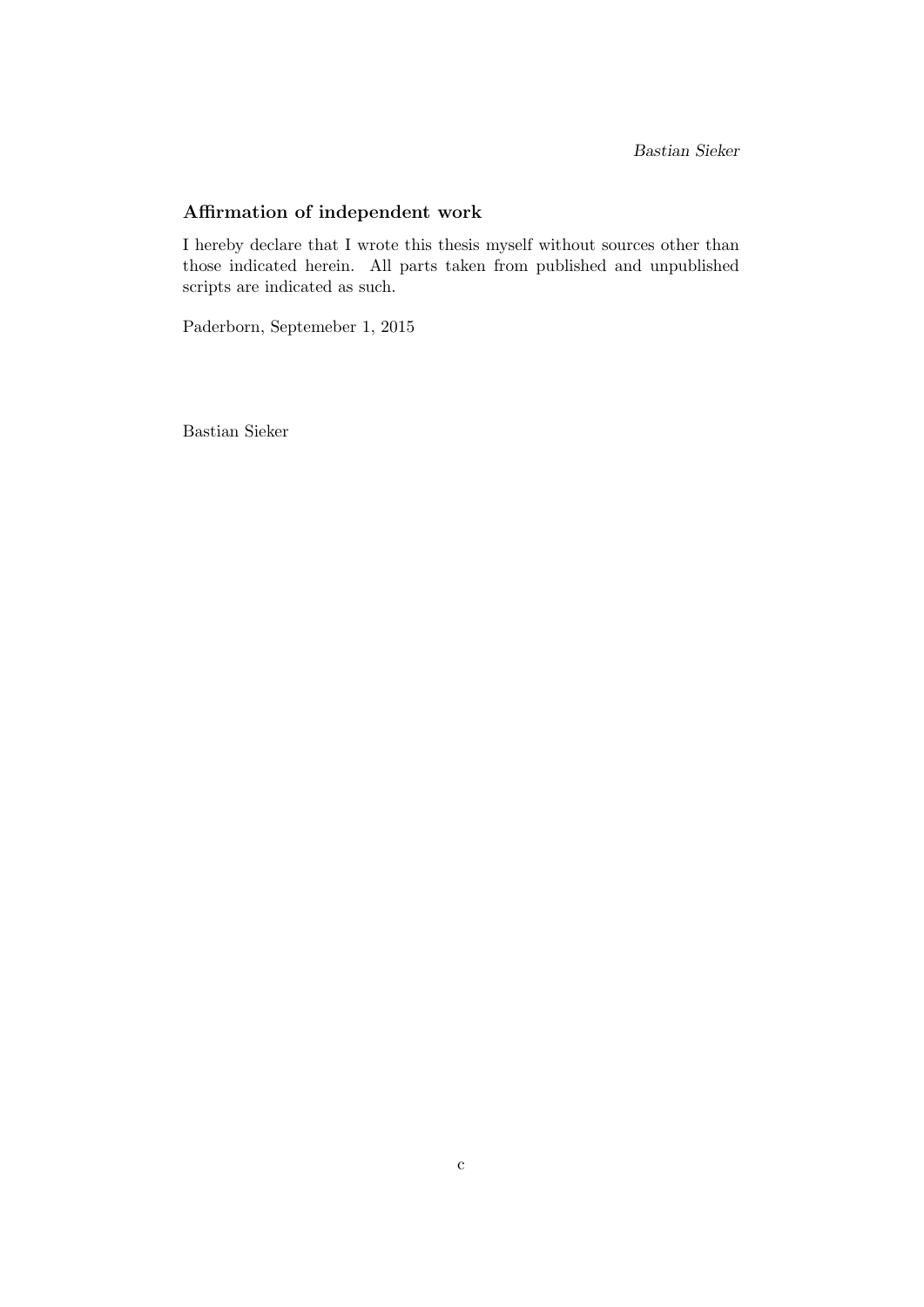Bastian Sieker

# Affirmation of independent work

I hereby declare that I wrote this thesis myself without sources other than those indicated herein. All parts taken from published and unpublished scripts are indicated as such.

Paderborn, Septemeber 1, 2015

Bastian Sieker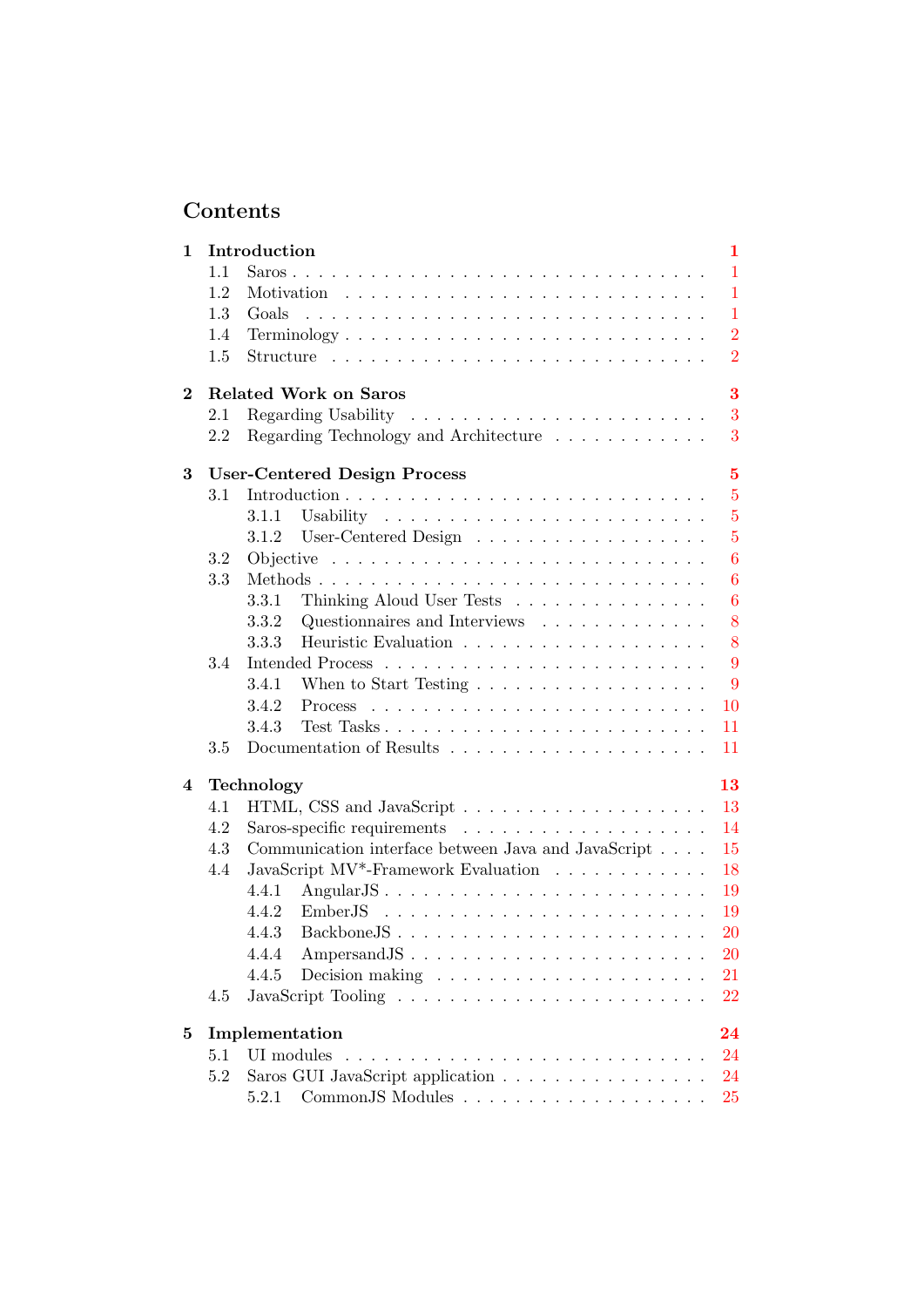# Contents

| 1        |     | Introduction                                                                              | 1              |
|----------|-----|-------------------------------------------------------------------------------------------|----------------|
|          | 1.1 |                                                                                           | $\mathbf{1}$   |
|          | 1.2 |                                                                                           | $\mathbf{1}$   |
|          | 1.3 | Goals                                                                                     | $\mathbf{1}$   |
|          | 1.4 | $Terminology \ldots \ldots \ldots \ldots \ldots \ldots \ldots \ldots \ldots \ldots$       | $\overline{2}$ |
|          | 1.5 | $Structure \dots \dots \dots \dots \dots \dots \dots \dots \dots \dots \dots \dots \dots$ | $\overline{2}$ |
| $\bf{2}$ |     | <b>Related Work on Saros</b>                                                              | 3              |
|          | 2.1 |                                                                                           | 3              |
|          | 2.2 | Regarding Technology and Architecture $\ldots \ldots \ldots \ldots$                       | 3              |
| 3        |     | <b>User-Centered Design Process</b>                                                       | $\overline{5}$ |
|          | 3.1 |                                                                                           | $\overline{5}$ |
|          |     | 3.1.1                                                                                     | $\overline{5}$ |
|          |     | 3.1.2                                                                                     | $\overline{5}$ |
|          | 3.2 | Objective $\ldots \ldots \ldots \ldots \ldots \ldots \ldots \ldots \ldots \ldots$         | 6              |
|          | 3.3 |                                                                                           | $\overline{6}$ |
|          |     | Thinking Aloud User Tests<br>3.3.1                                                        | 6              |
|          |     | 3.3.2<br>Questionnaires and Interviews $\ldots \ldots \ldots \ldots$                      | 8              |
|          |     | 3.3.3                                                                                     | 8              |
|          | 3.4 |                                                                                           | 9              |
|          |     | When to Start Testing $\ldots \ldots \ldots \ldots \ldots \ldots$<br>3.4.1                | 9              |
|          |     | 3.4.2                                                                                     | 10             |
|          |     | 3.4.3                                                                                     | 11             |
|          | 3.5 |                                                                                           | 11             |
| 4        |     | Technology                                                                                | 13             |
|          | 4.1 |                                                                                           | 13             |
|          | 4.2 |                                                                                           | 14             |
|          | 4.3 | Communication interface between Java and JavaScript                                       | 15             |
|          | 4.4 | JavaScript MV <sup>*</sup> -Framework Evaluation                                          | 18             |
|          |     | AngularJS<br>4.4.1                                                                        | 19             |
|          |     | 4.4.2                                                                                     | 19             |
|          |     |                                                                                           | <b>20</b>      |
|          |     | Ampersand JS<br>4.4.4                                                                     | <b>20</b>      |
|          |     | 4.4.5                                                                                     | 21             |
|          | 4.5 |                                                                                           | 22             |
| 5        |     | Implementation                                                                            | 24             |
|          | 5.1 | UI modules                                                                                | 24             |
|          | 5.2 | Saros GUI JavaScript application                                                          | 24             |
|          |     |                                                                                           | <b>25</b>      |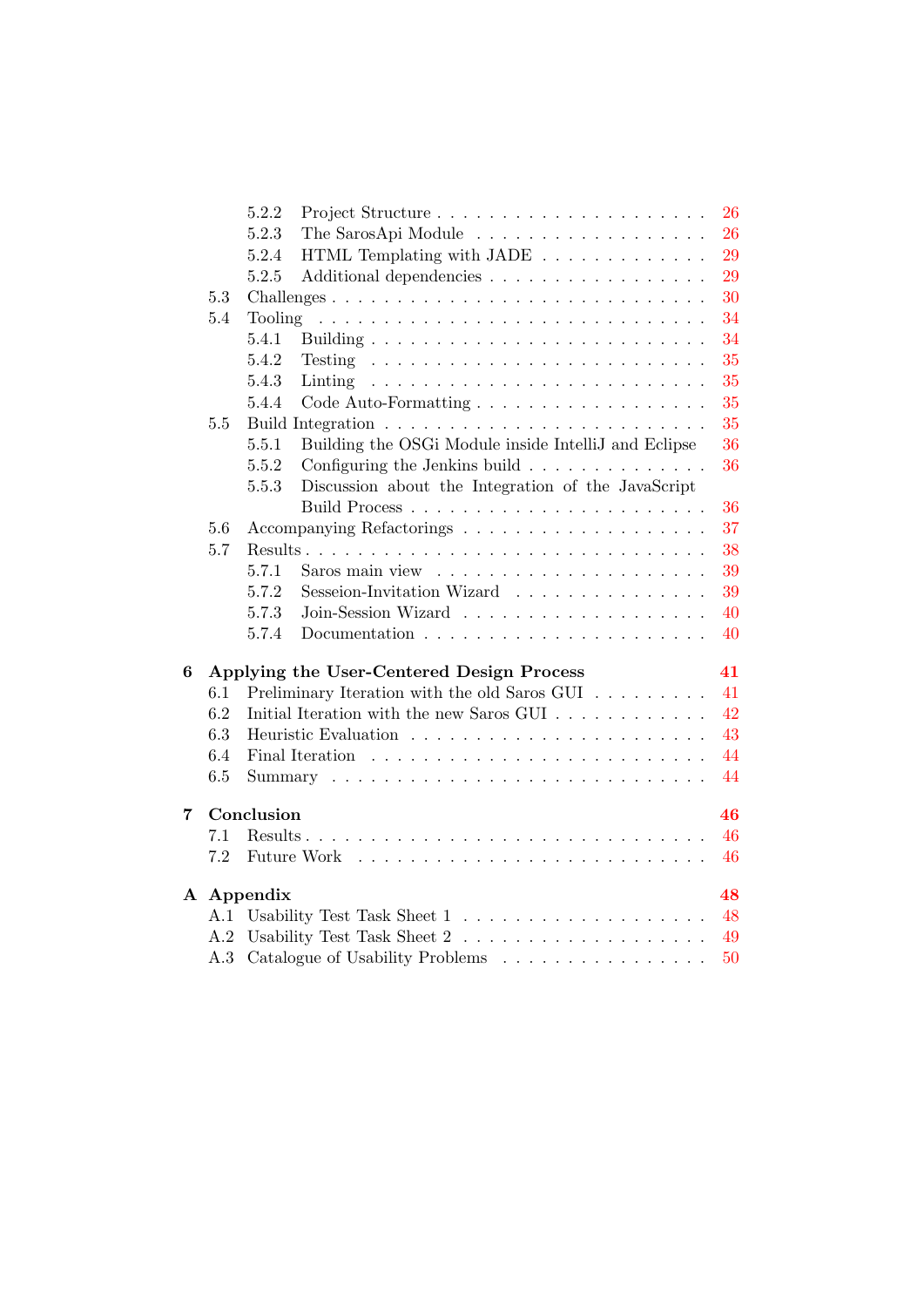|   |     | 5.2.2<br>Project Structure                                                                                                                                                                                                     | 26 |
|---|-----|--------------------------------------------------------------------------------------------------------------------------------------------------------------------------------------------------------------------------------|----|
|   |     | 5.2.3<br>The SarosApi Module                                                                                                                                                                                                   | 26 |
|   |     | 5.2.4<br>HTML Templating with $JADE$                                                                                                                                                                                           | 29 |
|   |     | 5.2.5<br>Additional dependencies                                                                                                                                                                                               | 29 |
|   | 5.3 |                                                                                                                                                                                                                                | 30 |
|   | 5.4 | Tooling                                                                                                                                                                                                                        | 34 |
|   |     | 5.4.1                                                                                                                                                                                                                          | 34 |
|   |     | 5.4.2<br>Testing                                                                                                                                                                                                               | 35 |
|   |     | 5.4.3<br>Linting                                                                                                                                                                                                               | 35 |
|   |     | 5.4.4                                                                                                                                                                                                                          | 35 |
|   | 5.5 |                                                                                                                                                                                                                                | 35 |
|   |     | Building the OSGi Module inside IntelliJ and Eclipse<br>5.5.1                                                                                                                                                                  | 36 |
|   |     | 5.5.2<br>Configuring the Jenkins build                                                                                                                                                                                         | 36 |
|   |     | Discussion about the Integration of the JavaScript<br>5.5.3                                                                                                                                                                    |    |
|   |     |                                                                                                                                                                                                                                | 36 |
|   | 5.6 |                                                                                                                                                                                                                                | 37 |
|   | 5.7 |                                                                                                                                                                                                                                | 38 |
|   |     | 5.7.1                                                                                                                                                                                                                          | 39 |
|   |     | 5.7.2<br>Sesseion-Invitation Wizard                                                                                                                                                                                            | 39 |
|   |     | 5.7.3                                                                                                                                                                                                                          | 40 |
|   |     | 5.7.4                                                                                                                                                                                                                          | 40 |
| 6 |     | Applying the User-Centered Design Process                                                                                                                                                                                      | 41 |
|   | 6.1 | Preliminary Iteration with the old Saros GUI                                                                                                                                                                                   | 41 |
|   | 6.2 | Initial Iteration with the new Saros GUI                                                                                                                                                                                       | 42 |
|   | 6.3 |                                                                                                                                                                                                                                | 43 |
|   | 6.4 |                                                                                                                                                                                                                                | 44 |
|   | 6.5 |                                                                                                                                                                                                                                | 44 |
| 7 |     | Conclusion                                                                                                                                                                                                                     | 46 |
|   | 7.1 |                                                                                                                                                                                                                                | 46 |
|   | 7.2 | Future Work research research research with Work research research research research research research research research research research research research research research research research research research research re | 46 |
|   |     | A Appendix                                                                                                                                                                                                                     | 48 |
|   | A.1 |                                                                                                                                                                                                                                | 48 |
|   | A.2 |                                                                                                                                                                                                                                | 49 |
|   | A.3 | Catalogue of Usability Problems                                                                                                                                                                                                | 50 |
|   |     |                                                                                                                                                                                                                                |    |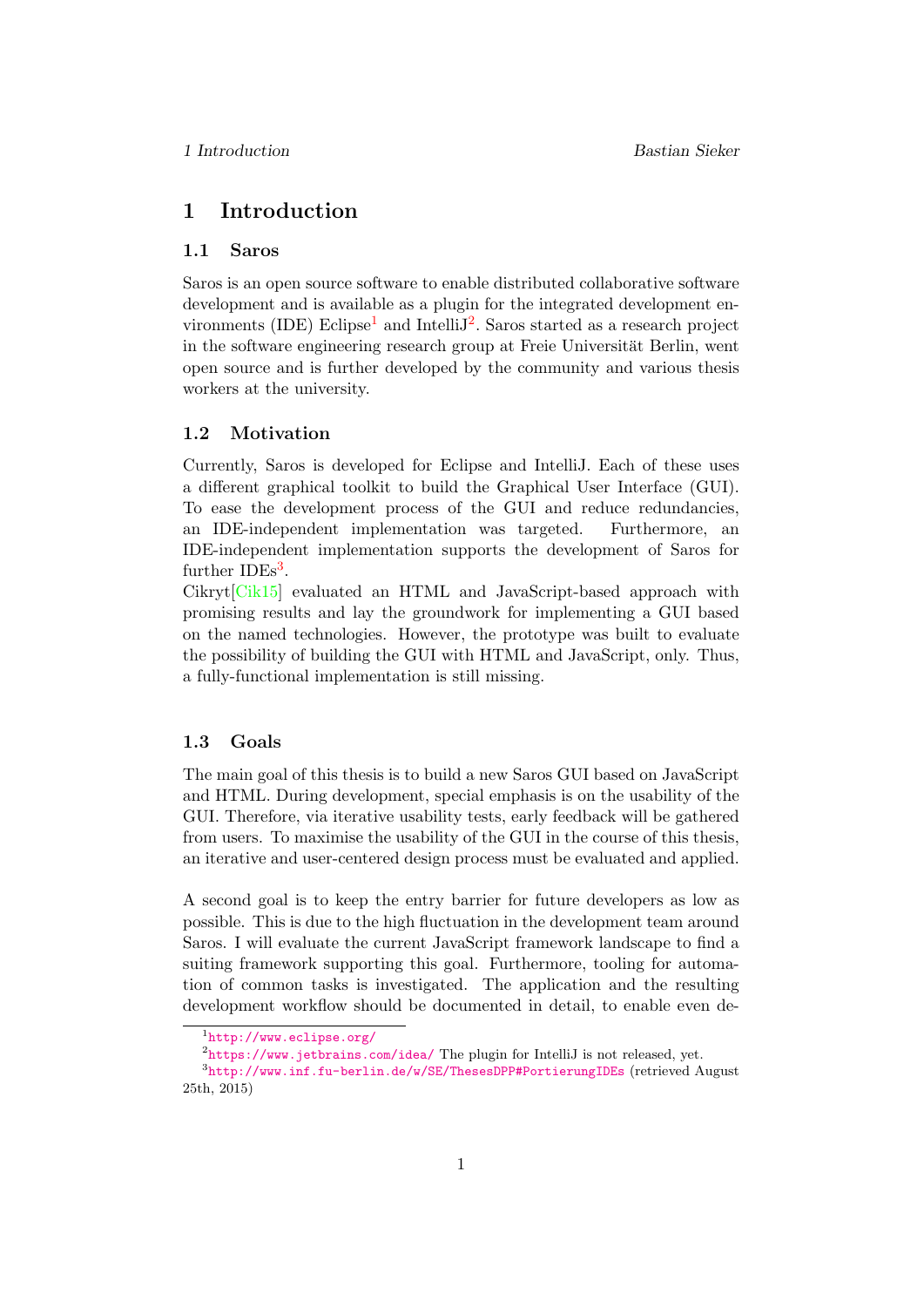# <span id="page-5-0"></span>1 Introduction

### <span id="page-5-1"></span>1.1 Saros

Saros is an open source software to enable distributed collaborative software development and is available as a plugin for the integrated development en-vironments (IDE) Eclipse<sup>[1](#page-5-4)</sup> and Intelli $J^2$  $J^2$ . Saros started as a research project in the software engineering research group at Freie Universität Berlin, went open source and is further developed by the community and various thesis workers at the university.

# <span id="page-5-2"></span>1.2 Motivation

Currently, Saros is developed for Eclipse and IntelliJ. Each of these uses a different graphical toolkit to build the Graphical User Interface (GUI). To ease the development process of the GUI and reduce redundancies, an IDE-independent implementation was targeted. Furthermore, an IDE-independent implementation supports the development of Saros for further  $\text{IDEs}^3$  $\text{IDEs}^3$ .

Cikryt[\[Cik15\]](#page-61-0) evaluated an HTML and JavaScript-based approach with promising results and lay the groundwork for implementing a GUI based on the named technologies. However, the prototype was built to evaluate the possibility of building the GUI with HTML and JavaScript, only. Thus, a fully-functional implementation is still missing.

# <span id="page-5-3"></span>1.3 Goals

The main goal of this thesis is to build a new Saros GUI based on JavaScript and HTML. During development, special emphasis is on the usability of the GUI. Therefore, via iterative usability tests, early feedback will be gathered from users. To maximise the usability of the GUI in the course of this thesis, an iterative and user-centered design process must be evaluated and applied.

A second goal is to keep the entry barrier for future developers as low as possible. This is due to the high fluctuation in the development team around Saros. I will evaluate the current JavaScript framework landscape to find a suiting framework supporting this goal. Furthermore, tooling for automation of common tasks is investigated. The application and the resulting development workflow should be documented in detail, to enable even de-

<span id="page-5-5"></span><span id="page-5-4"></span><sup>1</sup> <http://www.eclipse.org/>

<span id="page-5-6"></span> $^{2}$ <https://www.jetbrains.com/idea/> The plugin for IntelliJ is not released, yet.

 $^3$ <http://www.inf.fu-berlin.de/w/SE/ThesesDPP#PortierungIDEs> (retrieved August 25th, 2015)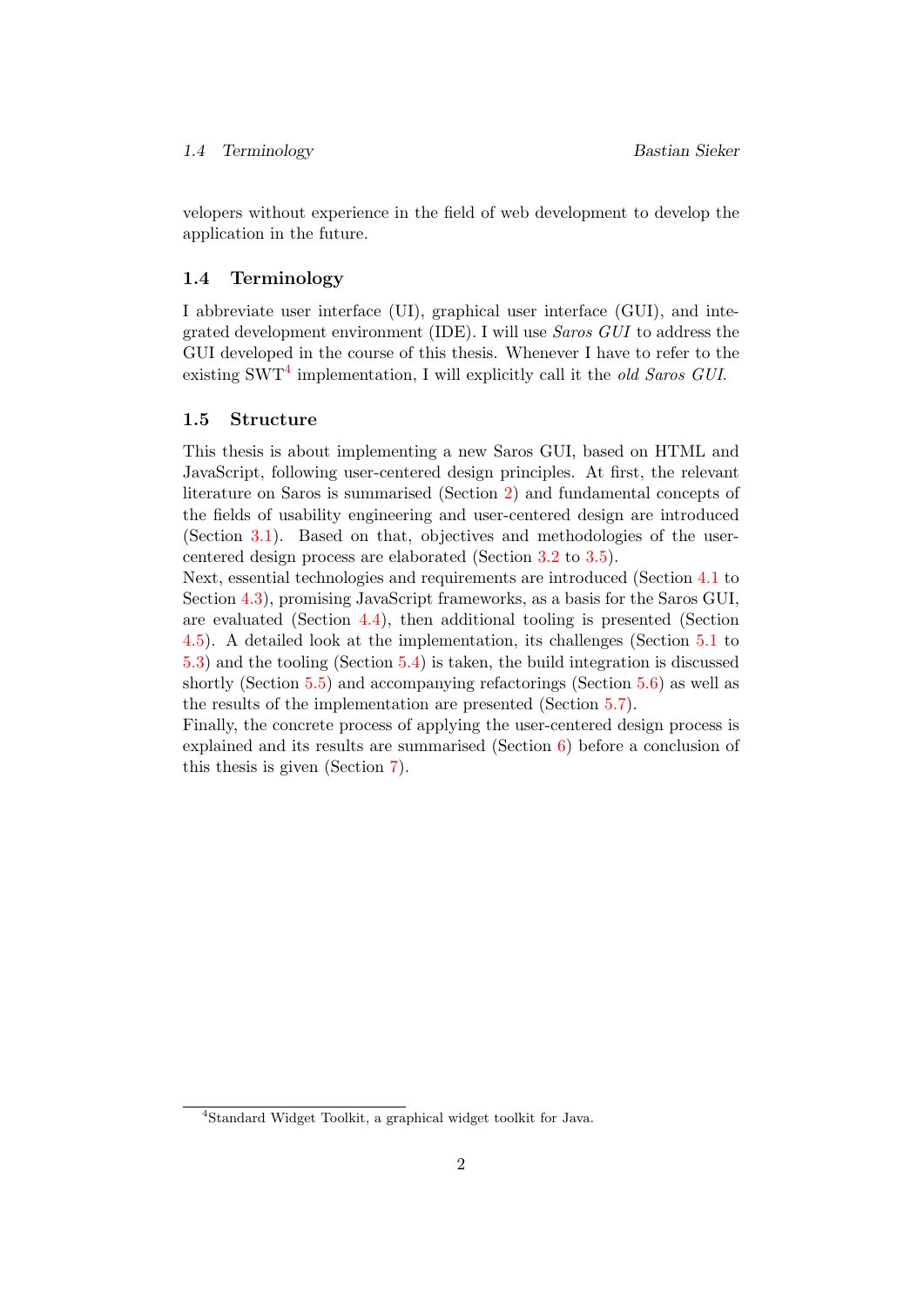velopers without experience in the field of web development to develop the application in the future.

#### <span id="page-6-0"></span>1.4 Terminology

I abbreviate user interface (UI), graphical user interface (GUI), and integrated development environment (IDE). I will use Saros GUI to address the GUI developed in the course of this thesis. Whenever I have to refer to the existing SWT<sup>[4](#page-6-2)</sup> implementation, I will explicitly call it the old Saros GUI.

# <span id="page-6-1"></span>1.5 Structure

This thesis is about implementing a new Saros GUI, based on HTML and JavaScript, following user-centered design principles. At first, the relevant literature on Saros is summarised (Section [2\)](#page-7-0) and fundamental concepts of the fields of usability engineering and user-centered design are introduced (Section [3.1\)](#page-9-1). Based on that, objectives and methodologies of the usercentered design process are elaborated (Section [3.2](#page-10-0) to [3.5\)](#page-15-1).

Next, essential technologies and requirements are introduced (Section [4.1](#page-17-1) to Section [4.3\)](#page-19-0), promising JavaScript frameworks, as a basis for the Saros GUI, are evaluated (Section [4.4\)](#page-22-0), then additional tooling is presented (Section [4.5\)](#page-26-0). A detailed look at the implementation, its challenges (Section [5.1](#page-28-1) to [5.3\)](#page-34-0) and the tooling (Section [5.4\)](#page-38-0) is taken, the build integration is discussed shortly (Section [5.5\)](#page-39-3) and accompanying refactorings (Section [5.6\)](#page-41-0) as well as the results of the implementation are presented (Section [5.7\)](#page-42-0).

Finally, the concrete process of applying the user-centered design process is explained and its results are summarised (Section [6\)](#page-45-0) before a conclusion of this thesis is given (Section [7\)](#page-50-0).

<span id="page-6-2"></span><sup>4</sup>Standard Widget Toolkit, a graphical widget toolkit for Java.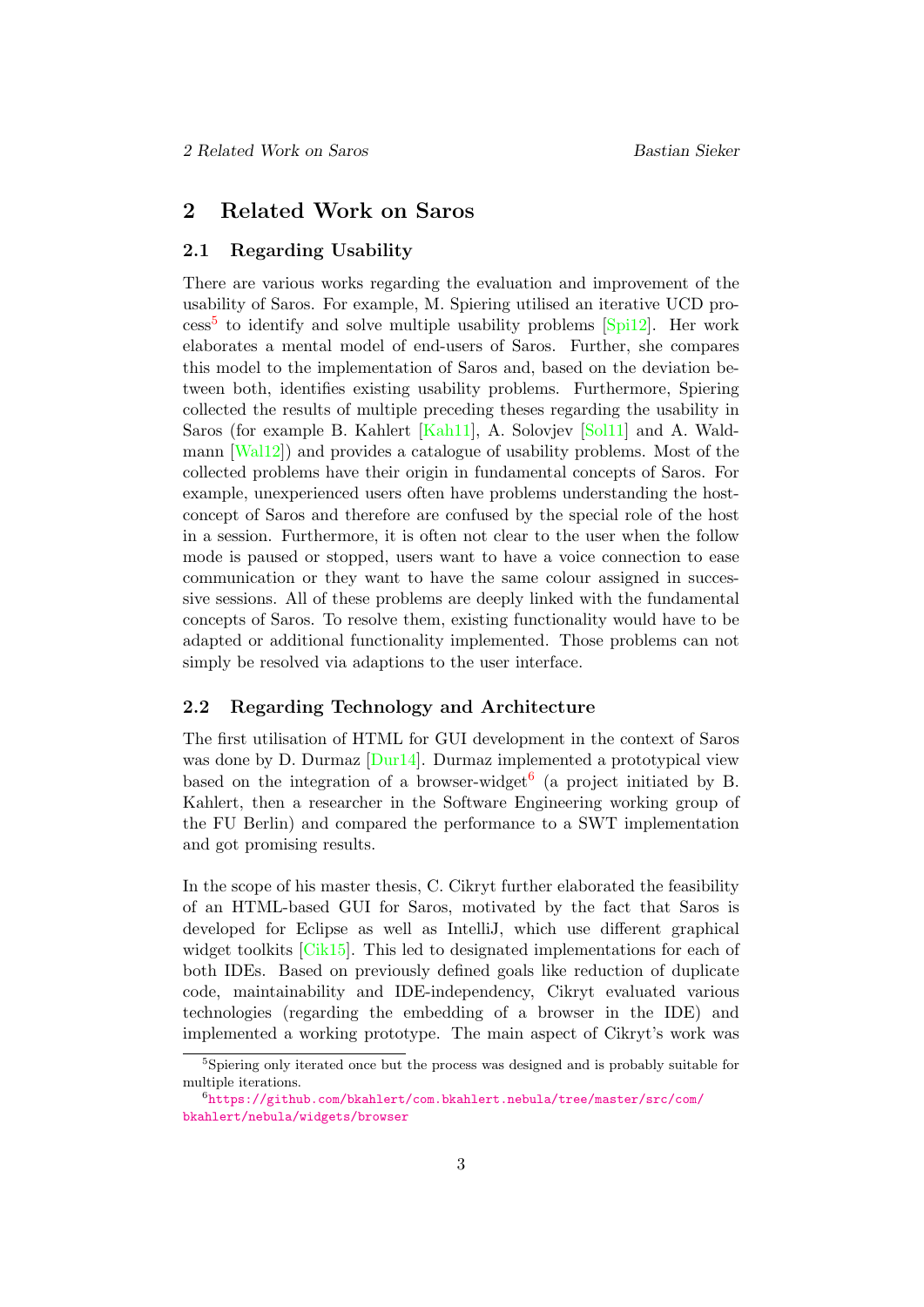# <span id="page-7-0"></span>2 Related Work on Saros

## <span id="page-7-1"></span>2.1 Regarding Usability

There are various works regarding the evaluation and improvement of the usability of Saros. For example, M. Spiering utilised an iterative UCD pro- $\csc^5$  $\csc^5$  to identify and solve multiple usability problems  $\text{[Spi12]}$  $\text{[Spi12]}$  $\text{[Spi12]}$ . Her work elaborates a mental model of end-users of Saros. Further, she compares this model to the implementation of Saros and, based on the deviation between both, identifies existing usability problems. Furthermore, Spiering collected the results of multiple preceding theses regarding the usability in Saros (for example B. Kahlert [\[Kah11\]](#page-61-1), A. Solovjev [\[Sol11\]](#page-62-1) and A. Waldmann [\[Wal12\]](#page-62-2)) and provides a catalogue of usability problems. Most of the collected problems have their origin in fundamental concepts of Saros. For example, unexperienced users often have problems understanding the hostconcept of Saros and therefore are confused by the special role of the host in a session. Furthermore, it is often not clear to the user when the follow mode is paused or stopped, users want to have a voice connection to ease communication or they want to have the same colour assigned in successive sessions. All of these problems are deeply linked with the fundamental concepts of Saros. To resolve them, existing functionality would have to be adapted or additional functionality implemented. Those problems can not simply be resolved via adaptions to the user interface.

### <span id="page-7-2"></span>2.2 Regarding Technology and Architecture

The first utilisation of HTML for GUI development in the context of Saros was done by D. Durmaz [\[Dur14\]](#page-61-2). Durmaz implemented a prototypical view based on the integration of a browser-widget<sup>[6](#page-7-4)</sup> (a project initiated by B. Kahlert, then a researcher in the Software Engineering working group of the FU Berlin) and compared the performance to a SWT implementation and got promising results.

In the scope of his master thesis, C. Cikryt further elaborated the feasibility of an HTML-based GUI for Saros, motivated by the fact that Saros is developed for Eclipse as well as IntelliJ, which use different graphical widget toolkits [\[Cik15\]](#page-61-0). This led to designated implementations for each of both IDEs. Based on previously defined goals like reduction of duplicate code, maintainability and IDE-independency, Cikryt evaluated various technologies (regarding the embedding of a browser in the IDE) and implemented a working prototype. The main aspect of Cikryt's work was

<span id="page-7-3"></span><sup>&</sup>lt;sup>5</sup>Spiering only iterated once but the process was designed and is probably suitable for multiple iterations.

<span id="page-7-4"></span> $^6$ [https://github.com/bkahlert/com.bkahlert.nebula/tree/master/src/com/](https://github.com/bkahlert/com.bkahlert.nebula/tree/master/src/com/bkahlert/nebula/widgets/browser) [bkahlert/nebula/widgets/browser](https://github.com/bkahlert/com.bkahlert.nebula/tree/master/src/com/bkahlert/nebula/widgets/browser)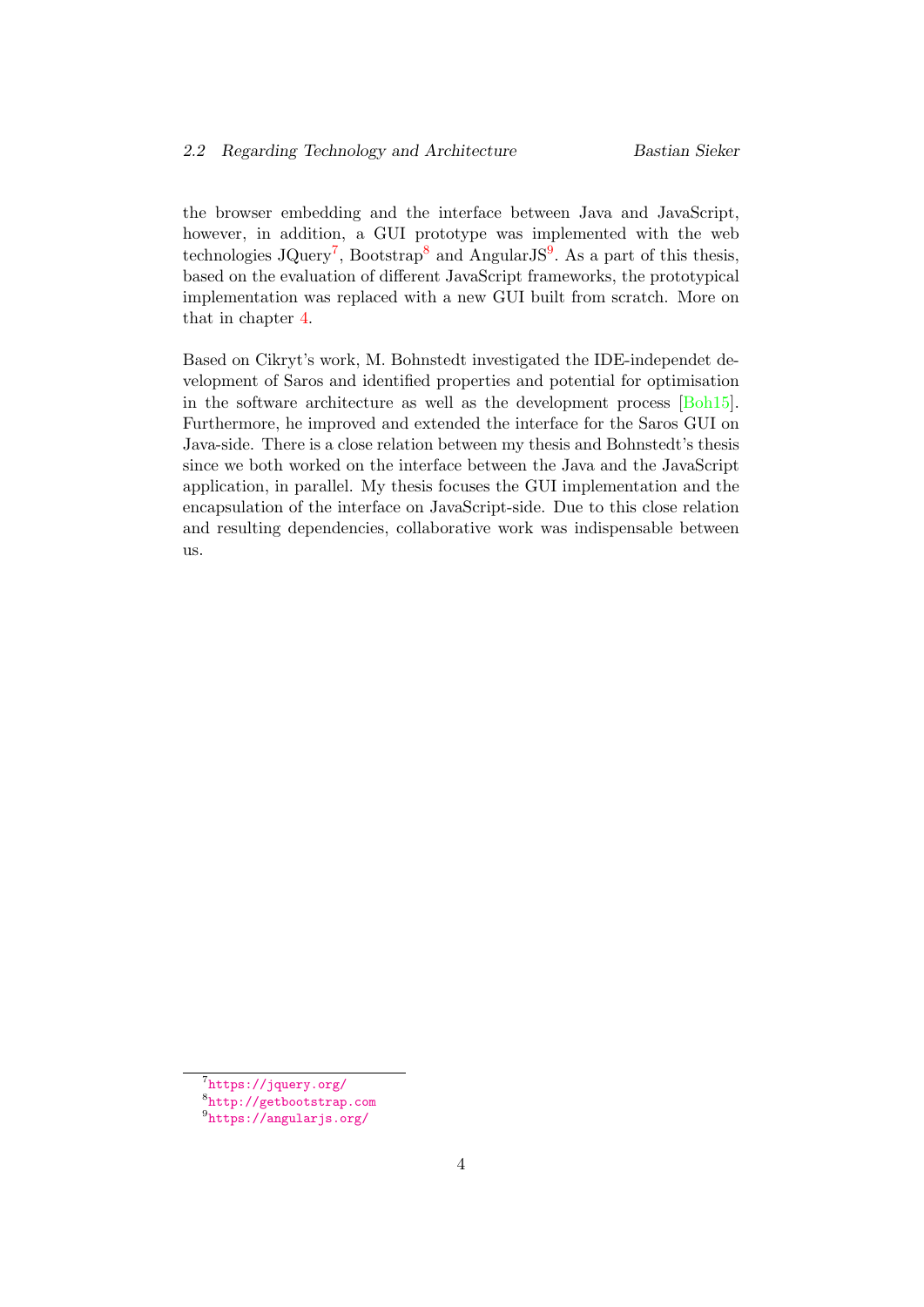the browser embedding and the interface between Java and JavaScript, however, in addition, a GUI prototype was implemented with the web technologies JQuery<sup>[7](#page-8-0)</sup>, Bootstrap<sup>[8](#page-8-1)</sup> and AngularJS<sup>[9](#page-8-2)</sup>. As a part of this thesis, based on the evaluation of different JavaScript frameworks, the prototypical implementation was replaced with a new GUI built from scratch. More on that in chapter [4.](#page-17-0)

Based on Cikryt's work, M. Bohnstedt investigated the IDE-independet development of Saros and identified properties and potential for optimisation in the software architecture as well as the development process [\[Boh15\]](#page-61-3). Furthermore, he improved and extended the interface for the Saros GUI on Java-side. There is a close relation between my thesis and Bohnstedt's thesis since we both worked on the interface between the Java and the JavaScript application, in parallel. My thesis focuses the GUI implementation and the encapsulation of the interface on JavaScript-side. Due to this close relation and resulting dependencies, collaborative work was indispensable between us.

<span id="page-8-0"></span><sup>7</sup> <https://jquery.org/>

<span id="page-8-1"></span><sup>8</sup> <http://getbootstrap.com>

<span id="page-8-2"></span> $^9$ <https://angularjs.org/>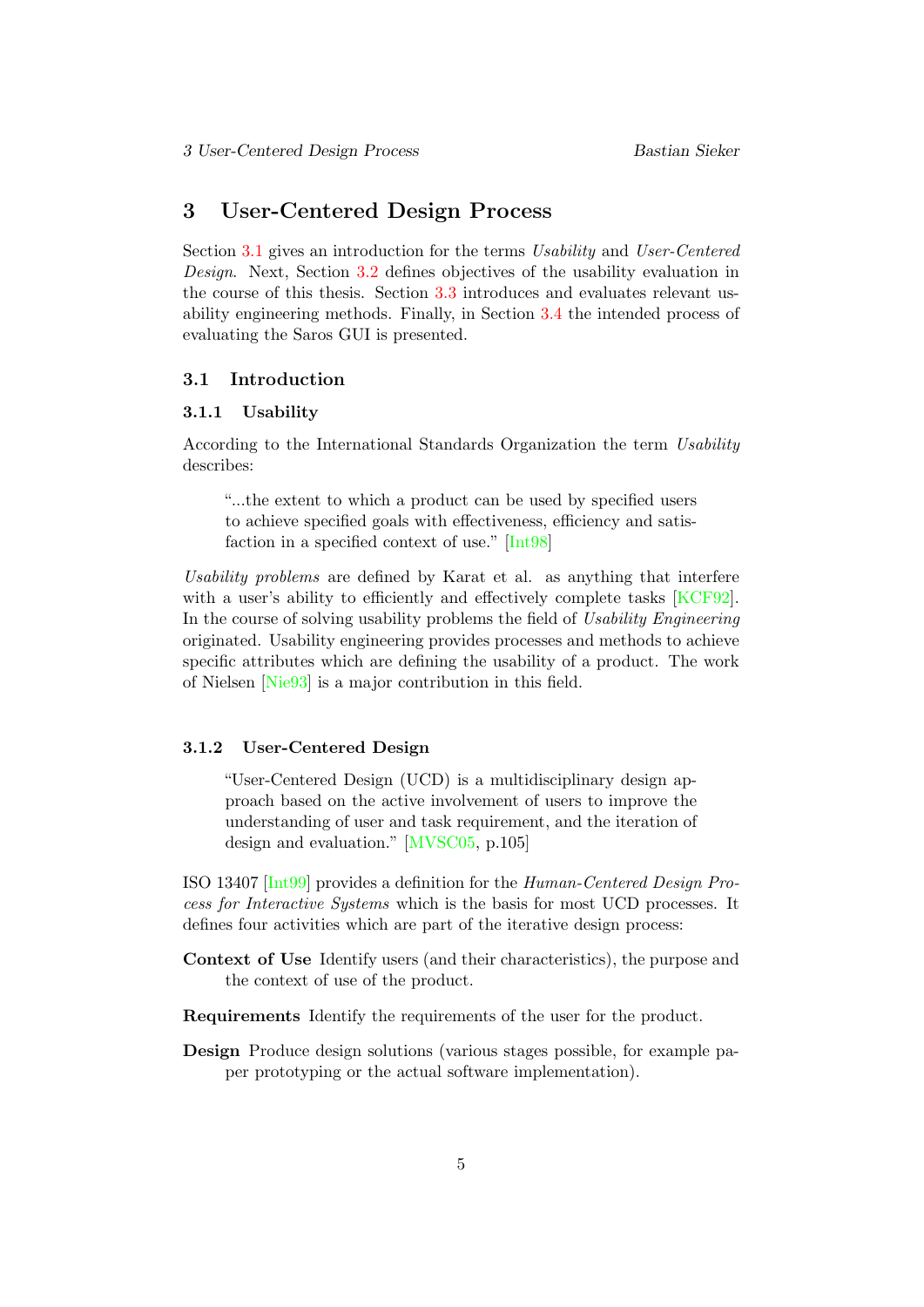# <span id="page-9-0"></span>3 User-Centered Design Process

Section [3.1](#page-9-1) gives an introduction for the terms Usability and User-Centered Design. Next, Section [3.2](#page-10-0) defines objectives of the usability evaluation in the course of this thesis. Section [3.3](#page-10-1) introduces and evaluates relevant usability engineering methods. Finally, in Section [3.4](#page-13-0) the intended process of evaluating the Saros GUI is presented.

#### <span id="page-9-1"></span>3.1 Introduction

#### <span id="page-9-2"></span>3.1.1 Usability

According to the International Standards Organization the term Usability describes:

"...the extent to which a product can be used by specified users to achieve specified goals with effectiveness, efficiency and satisfaction in a specified context of use." [\[Int98\]](#page-61-4)

Usability problems are defined by Karat et al. as anything that interfere with a user's ability to efficiently and effectively complete tasks [\[KCF92\]](#page-61-5). In the course of solving usability problems the field of Usability Engineering originated. Usability engineering provides processes and methods to achieve specific attributes which are defining the usability of a product. The work of Nielsen [\[Nie93\]](#page-61-6) is a major contribution in this field.

#### <span id="page-9-3"></span>3.1.2 User-Centered Design

"User-Centered Design (UCD) is a multidisciplinary design approach based on the active involvement of users to improve the understanding of user and task requirement, and the iteration of design and evaluation." [\[MVSC05,](#page-61-7) p.105]

ISO 13407 [\[Int99\]](#page-61-8) provides a definition for the Human-Centered Design Process for Interactive Systems which is the basis for most UCD processes. It defines four activities which are part of the iterative design process:

- Context of Use Identify users (and their characteristics), the purpose and the context of use of the product.
- Requirements Identify the requirements of the user for the product.
- Design Produce design solutions (various stages possible, for example paper prototyping or the actual software implementation).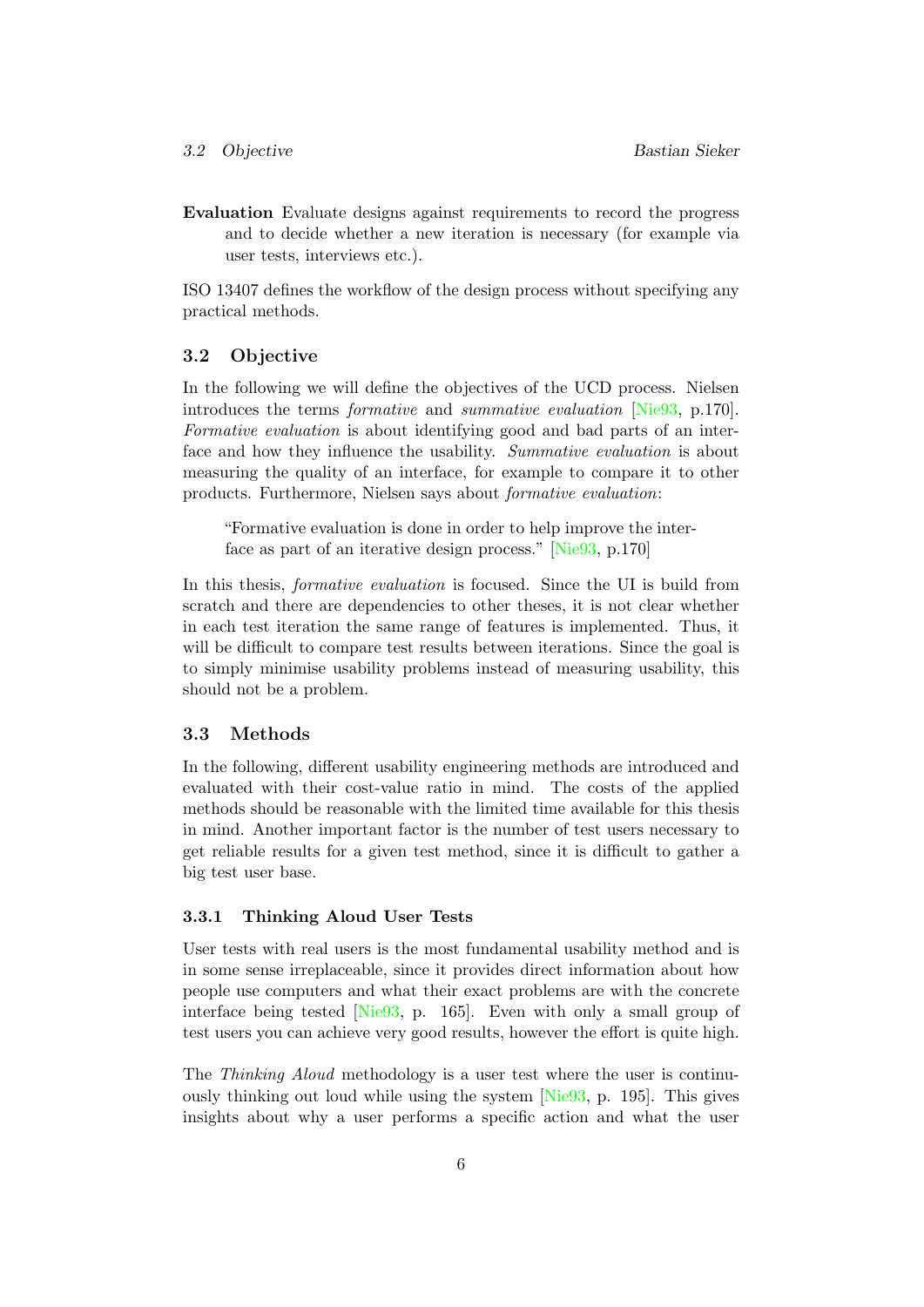Evaluation Evaluate designs against requirements to record the progress and to decide whether a new iteration is necessary (for example via user tests, interviews etc.).

ISO 13407 defines the workflow of the design process without specifying any practical methods.

#### <span id="page-10-0"></span>3.2 Objective

In the following we will define the objectives of the UCD process. Nielsen introduces the terms formative and summative evaluation [\[Nie93,](#page-61-6) p.170]. Formative evaluation is about identifying good and bad parts of an interface and how they influence the usability. Summative evaluation is about measuring the quality of an interface, for example to compare it to other products. Furthermore, Nielsen says about formative evaluation:

"Formative evaluation is done in order to help improve the interface as part of an iterative design process." [\[Nie93,](#page-61-6) p.170]

In this thesis, formative evaluation is focused. Since the UI is build from scratch and there are dependencies to other theses, it is not clear whether in each test iteration the same range of features is implemented. Thus, it will be difficult to compare test results between iterations. Since the goal is to simply minimise usability problems instead of measuring usability, this should not be a problem.

#### <span id="page-10-1"></span>3.3 Methods

In the following, different usability engineering methods are introduced and evaluated with their cost-value ratio in mind. The costs of the applied methods should be reasonable with the limited time available for this thesis in mind. Another important factor is the number of test users necessary to get reliable results for a given test method, since it is difficult to gather a big test user base.

### <span id="page-10-2"></span>3.3.1 Thinking Aloud User Tests

User tests with real users is the most fundamental usability method and is in some sense irreplaceable, since it provides direct information about how people use computers and what their exact problems are with the concrete interface being tested [\[Nie93,](#page-61-6) p. 165]. Even with only a small group of test users you can achieve very good results, however the effort is quite high.

The Thinking Aloud methodology is a user test where the user is continuously thinking out loud while using the system [\[Nie93,](#page-61-6) p. 195]. This gives insights about why a user performs a specific action and what the user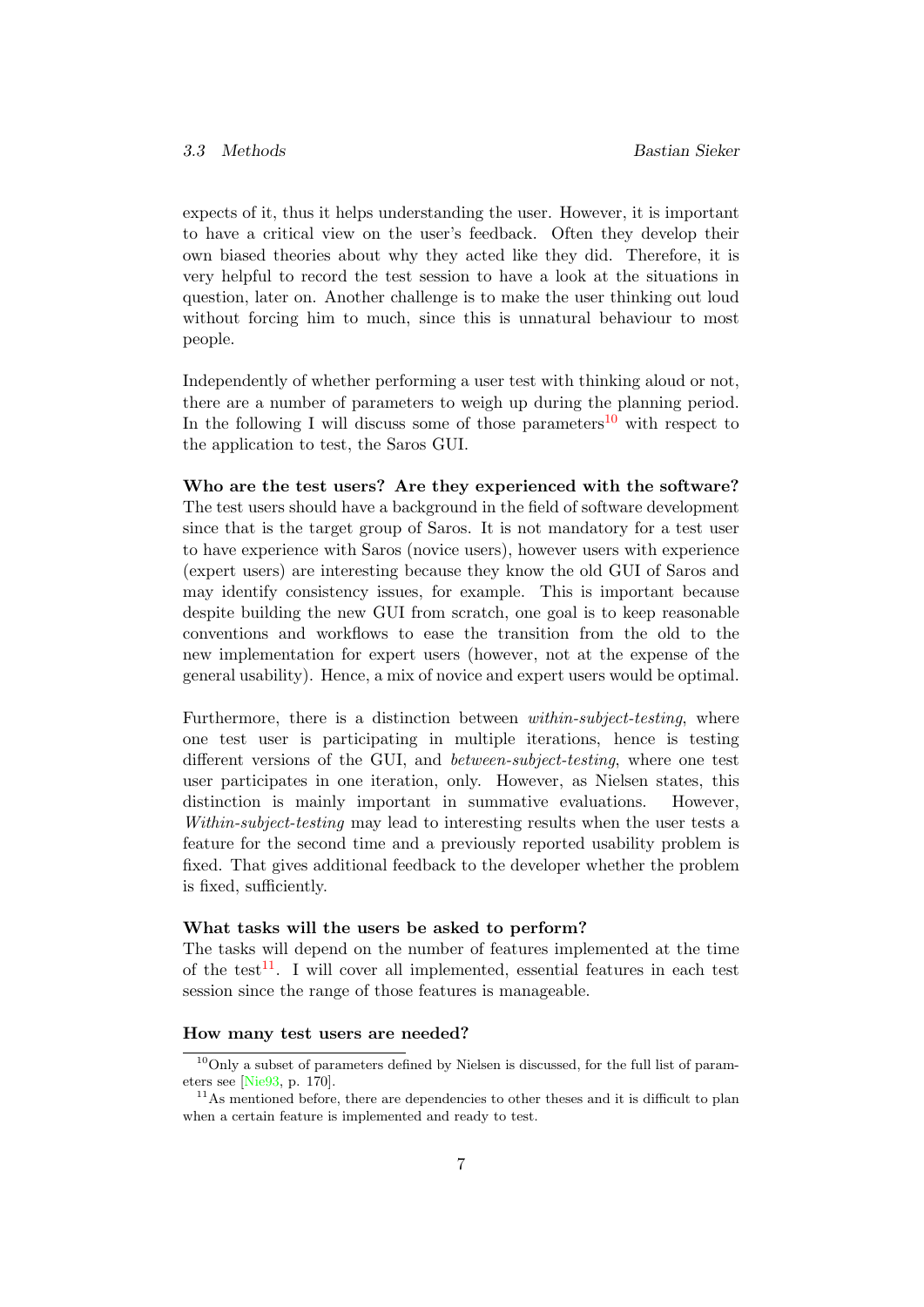expects of it, thus it helps understanding the user. However, it is important to have a critical view on the user's feedback. Often they develop their own biased theories about why they acted like they did. Therefore, it is very helpful to record the test session to have a look at the situations in question, later on. Another challenge is to make the user thinking out loud without forcing him to much, since this is unnatural behaviour to most people.

Independently of whether performing a user test with thinking aloud or not, there are a number of parameters to weigh up during the planning period. In the following I will discuss some of those parameters<sup>[10](#page-11-0)</sup> with respect to the application to test, the Saros GUI.

Who are the test users? Are they experienced with the software? The test users should have a background in the field of software development since that is the target group of Saros. It is not mandatory for a test user to have experience with Saros (novice users), however users with experience (expert users) are interesting because they know the old GUI of Saros and may identify consistency issues, for example. This is important because despite building the new GUI from scratch, one goal is to keep reasonable conventions and workflows to ease the transition from the old to the new implementation for expert users (however, not at the expense of the general usability). Hence, a mix of novice and expert users would be optimal.

Furthermore, there is a distinction between *within-subject-testing*, where one test user is participating in multiple iterations, hence is testing different versions of the GUI, and between-subject-testing, where one test user participates in one iteration, only. However, as Nielsen states, this distinction is mainly important in summative evaluations. However, Within-subject-testing may lead to interesting results when the user tests a feature for the second time and a previously reported usability problem is fixed. That gives additional feedback to the developer whether the problem is fixed, sufficiently.

#### What tasks will the users be asked to perform?

The tasks will depend on the number of features implemented at the time of the test<sup>[11](#page-11-1)</sup>. I will cover all implemented, essential features in each test session since the range of those features is manageable.

#### How many test users are needed?

<span id="page-11-0"></span> $10$ Only a subset of parameters defined by Nielsen is discussed, for the full list of parameters see [\[Nie93,](#page-61-6) p. 170].

<span id="page-11-1"></span> $11$ As mentioned before, there are dependencies to other theses and it is difficult to plan when a certain feature is implemented and ready to test.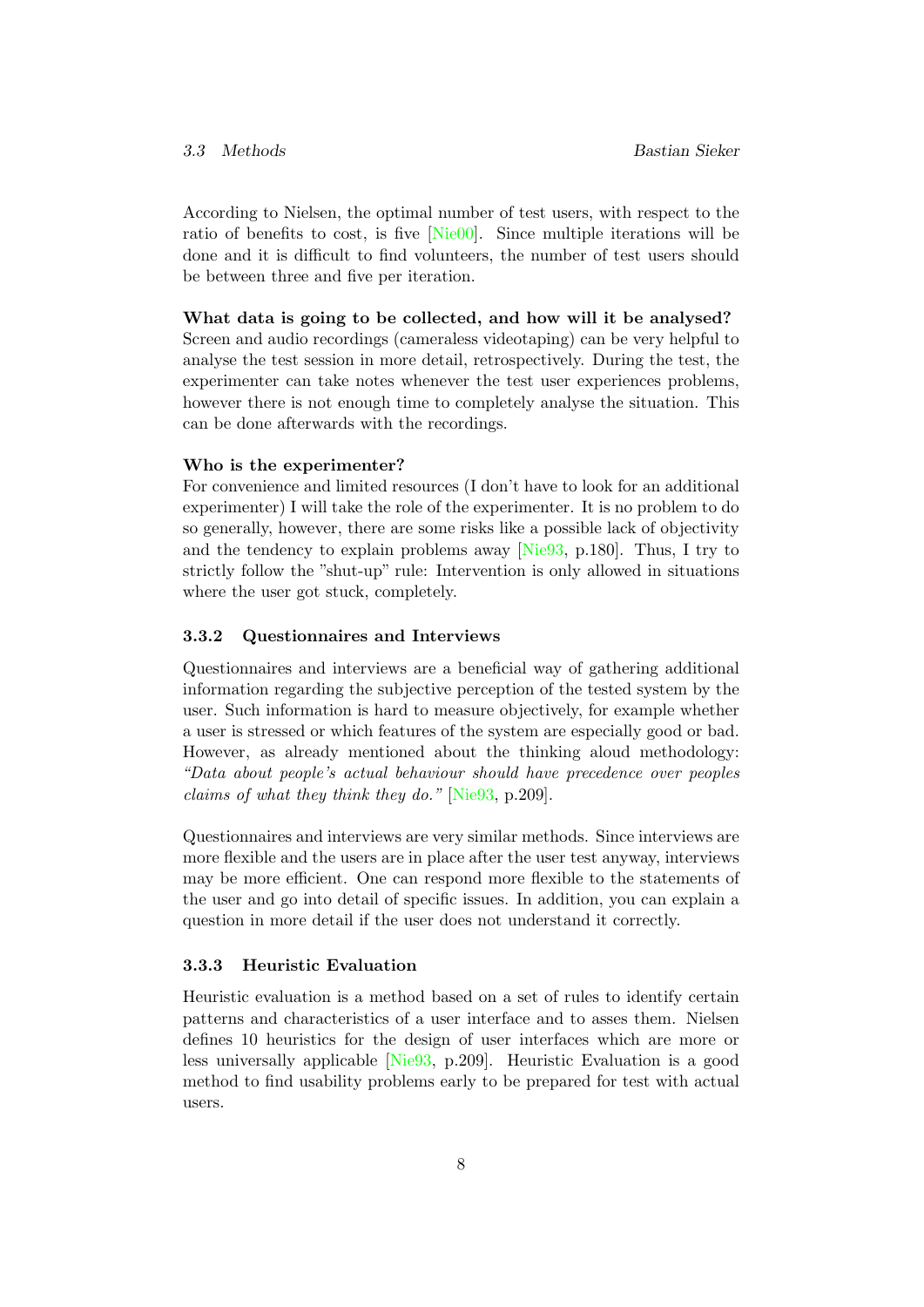According to Nielsen, the optimal number of test users, with respect to the ratio of benefits to cost, is five [\[Nie00\]](#page-62-3). Since multiple iterations will be done and it is difficult to find volunteers, the number of test users should be between three and five per iteration.

#### What data is going to be collected, and how will it be analysed?

Screen and audio recordings (cameraless videotaping) can be very helpful to analyse the test session in more detail, retrospectively. During the test, the experimenter can take notes whenever the test user experiences problems, however there is not enough time to completely analyse the situation. This can be done afterwards with the recordings.

#### Who is the experimenter?

For convenience and limited resources (I don't have to look for an additional experimenter) I will take the role of the experimenter. It is no problem to do so generally, however, there are some risks like a possible lack of objectivity and the tendency to explain problems away [\[Nie93,](#page-61-6) p.180]. Thus, I try to strictly follow the "shut-up" rule: Intervention is only allowed in situations where the user got stuck, completely.

### <span id="page-12-0"></span>3.3.2 Questionnaires and Interviews

Questionnaires and interviews are a beneficial way of gathering additional information regarding the subjective perception of the tested system by the user. Such information is hard to measure objectively, for example whether a user is stressed or which features of the system are especially good or bad. However, as already mentioned about the thinking aloud methodology: "Data about people's actual behaviour should have precedence over peoples claims of what they think they do." [\[Nie93,](#page-61-6) p.209].

Questionnaires and interviews are very similar methods. Since interviews are more flexible and the users are in place after the user test anyway, interviews may be more efficient. One can respond more flexible to the statements of the user and go into detail of specific issues. In addition, you can explain a question in more detail if the user does not understand it correctly.

# <span id="page-12-1"></span>3.3.3 Heuristic Evaluation

Heuristic evaluation is a method based on a set of rules to identify certain patterns and characteristics of a user interface and to asses them. Nielsen defines 10 heuristics for the design of user interfaces which are more or less universally applicable [\[Nie93,](#page-61-6) p.209]. Heuristic Evaluation is a good method to find usability problems early to be prepared for test with actual users.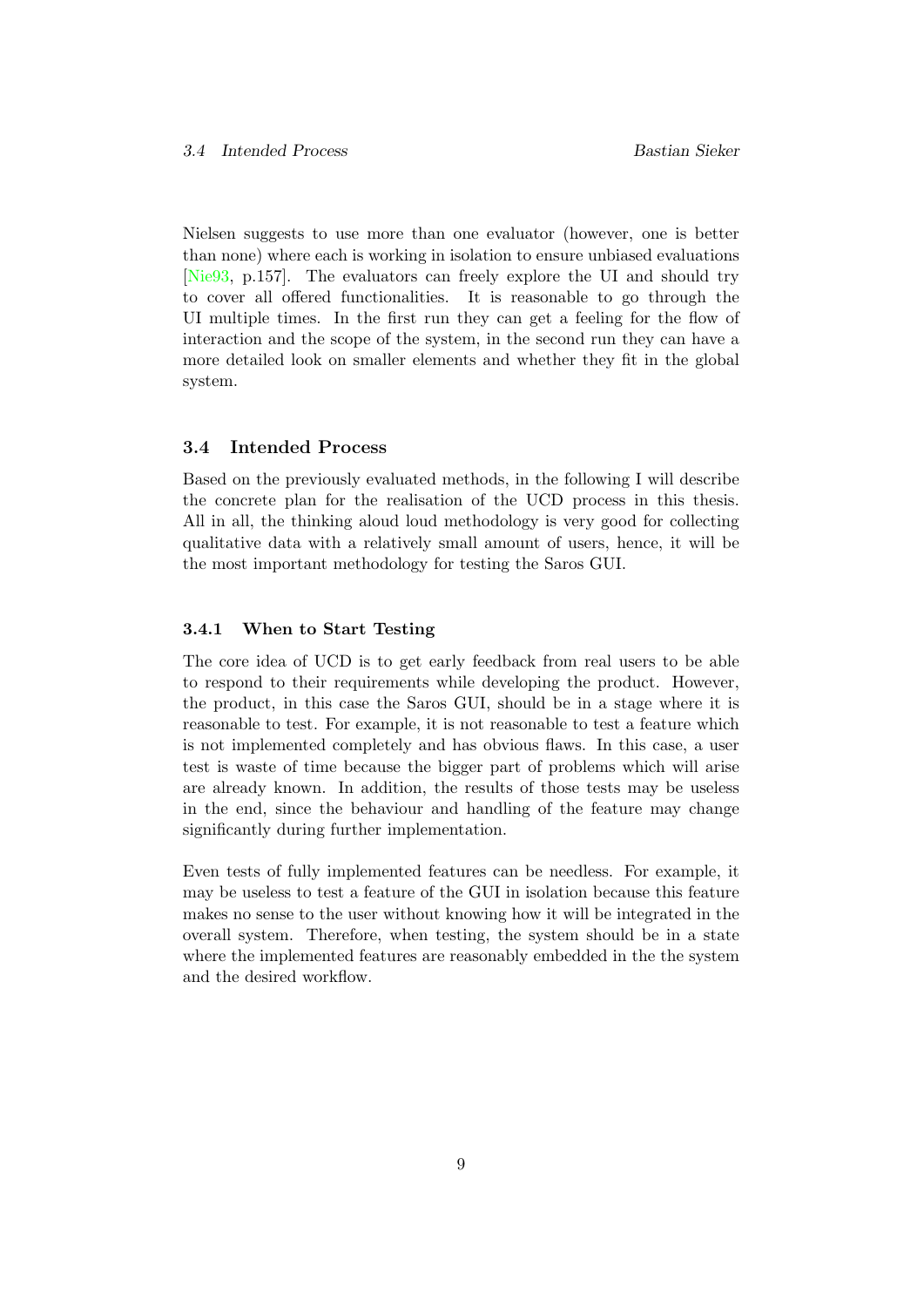Nielsen suggests to use more than one evaluator (however, one is better than none) where each is working in isolation to ensure unbiased evaluations [\[Nie93,](#page-61-6) p.157]. The evaluators can freely explore the UI and should try to cover all offered functionalities. It is reasonable to go through the UI multiple times. In the first run they can get a feeling for the flow of interaction and the scope of the system, in the second run they can have a more detailed look on smaller elements and whether they fit in the global system.

#### <span id="page-13-0"></span>3.4 Intended Process

Based on the previously evaluated methods, in the following I will describe the concrete plan for the realisation of the UCD process in this thesis. All in all, the thinking aloud loud methodology is very good for collecting qualitative data with a relatively small amount of users, hence, it will be the most important methodology for testing the Saros GUI.

#### <span id="page-13-1"></span>3.4.1 When to Start Testing

The core idea of UCD is to get early feedback from real users to be able to respond to their requirements while developing the product. However, the product, in this case the Saros GUI, should be in a stage where it is reasonable to test. For example, it is not reasonable to test a feature which is not implemented completely and has obvious flaws. In this case, a user test is waste of time because the bigger part of problems which will arise are already known. In addition, the results of those tests may be useless in the end, since the behaviour and handling of the feature may change significantly during further implementation.

Even tests of fully implemented features can be needless. For example, it may be useless to test a feature of the GUI in isolation because this feature makes no sense to the user without knowing how it will be integrated in the overall system. Therefore, when testing, the system should be in a state where the implemented features are reasonably embedded in the the system and the desired workflow.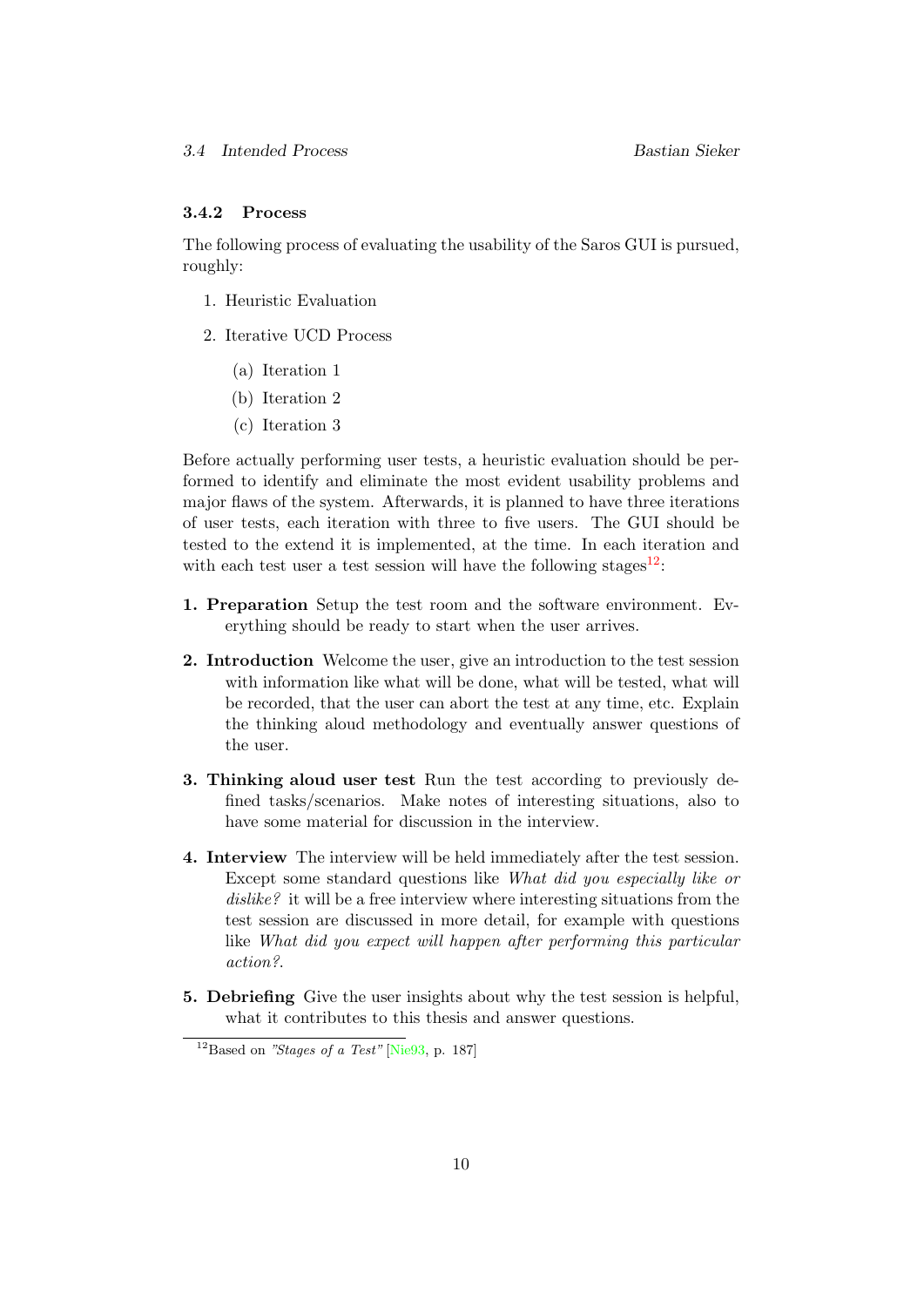# <span id="page-14-0"></span>3.4.2 Process

The following process of evaluating the usability of the Saros GUI is pursued, roughly:

- 1. Heuristic Evaluation
- 2. Iterative UCD Process
	- (a) Iteration 1
	- (b) Iteration 2
	- (c) Iteration 3

Before actually performing user tests, a heuristic evaluation should be performed to identify and eliminate the most evident usability problems and major flaws of the system. Afterwards, it is planned to have three iterations of user tests, each iteration with three to five users. The GUI should be tested to the extend it is implemented, at the time. In each iteration and with each test user a test session will have the following stages  $12$ :

- 1. Preparation Setup the test room and the software environment. Everything should be ready to start when the user arrives.
- 2. Introduction Welcome the user, give an introduction to the test session with information like what will be done, what will be tested, what will be recorded, that the user can abort the test at any time, etc. Explain the thinking aloud methodology and eventually answer questions of the user.
- 3. Thinking aloud user test Run the test according to previously defined tasks/scenarios. Make notes of interesting situations, also to have some material for discussion in the interview.
- 4. Interview The interview will be held immediately after the test session. Except some standard questions like What did you especially like or dislike? it will be a free interview where interesting situations from the test session are discussed in more detail, for example with questions like What did you expect will happen after performing this particular action?.
- 5. Debriefing Give the user insights about why the test session is helpful, what it contributes to this thesis and answer questions.

<span id="page-14-1"></span> $12_{\text{Based on}}$  "Stages of a Test" [\[Nie93,](#page-61-6) p. 187]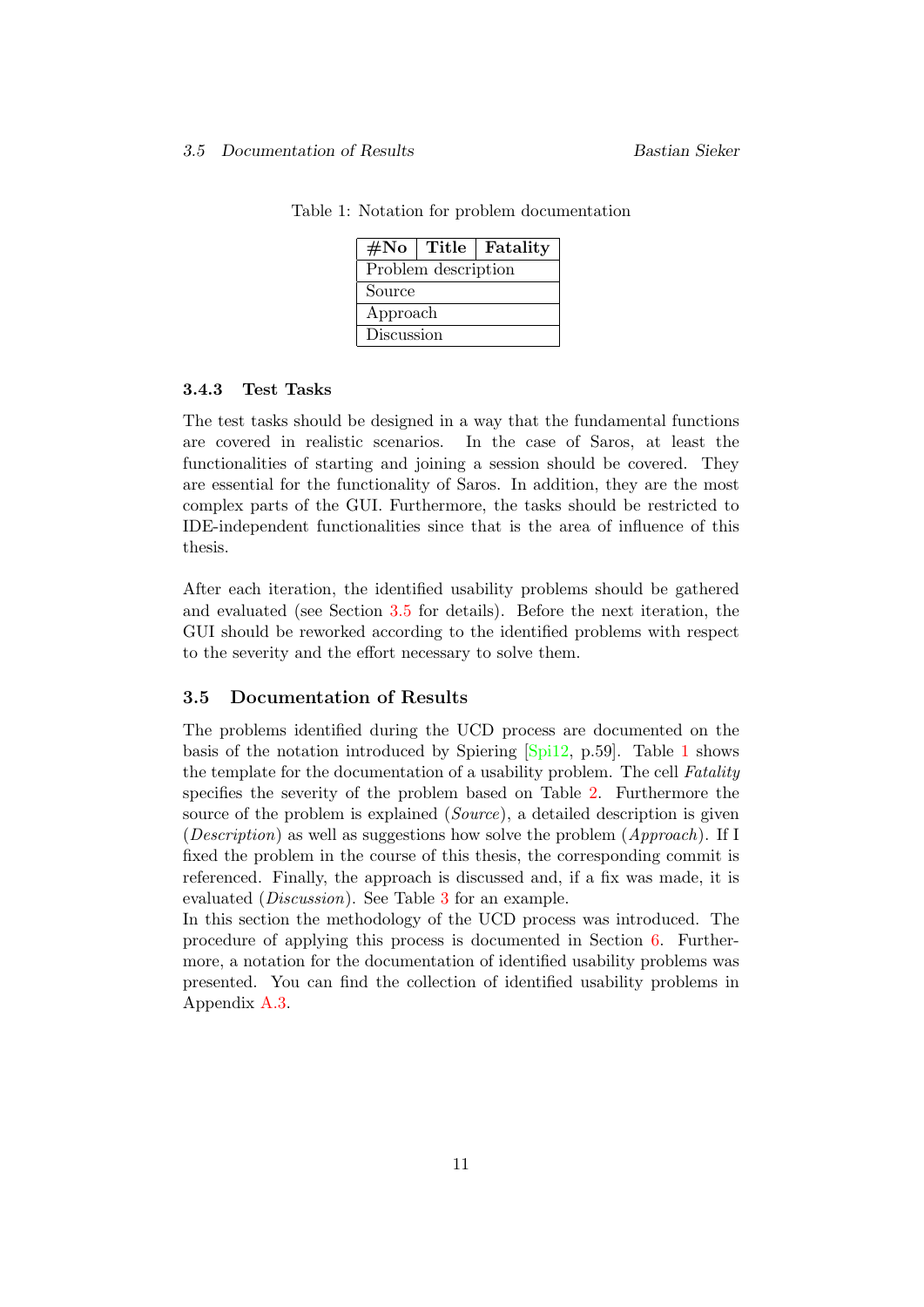|            |                     | #No   Title   Fatality |  |  |
|------------|---------------------|------------------------|--|--|
|            | Problem description |                        |  |  |
| Source     |                     |                        |  |  |
| Approach   |                     |                        |  |  |
| Discussion |                     |                        |  |  |

<span id="page-15-2"></span>Table 1: Notation for problem documentation

#### <span id="page-15-0"></span>3.4.3 Test Tasks

The test tasks should be designed in a way that the fundamental functions are covered in realistic scenarios. In the case of Saros, at least the functionalities of starting and joining a session should be covered. They are essential for the functionality of Saros. In addition, they are the most complex parts of the GUI. Furthermore, the tasks should be restricted to IDE-independent functionalities since that is the area of influence of this thesis.

After each iteration, the identified usability problems should be gathered and evaluated (see Section [3.5](#page-15-1) for details). Before the next iteration, the GUI should be reworked according to the identified problems with respect to the severity and the effort necessary to solve them.

#### <span id="page-15-1"></span>3.5 Documentation of Results

The problems identified during the UCD process are documented on the basis of the notation introduced by Spiering [\[Spi12,](#page-62-0) p.59]. Table [1](#page-15-2) shows the template for the documentation of a usability problem. The cell Fatality specifies the severity of the problem based on Table [2.](#page-16-0) Furthermore the source of the problem is explained (*Source*), a detailed description is given (*Description*) as well as suggestions how solve the problem  $(Approach)$ . If I fixed the problem in the course of this thesis, the corresponding commit is referenced. Finally, the approach is discussed and, if a fix was made, it is evaluated (Discussion). See Table [3](#page-16-1) for an example.

In this section the methodology of the UCD process was introduced. The procedure of applying this process is documented in Section [6.](#page-45-0) Furthermore, a notation for the documentation of identified usability problems was presented. You can find the collection of identified usability problems in Appendix [A.3.](#page-54-0)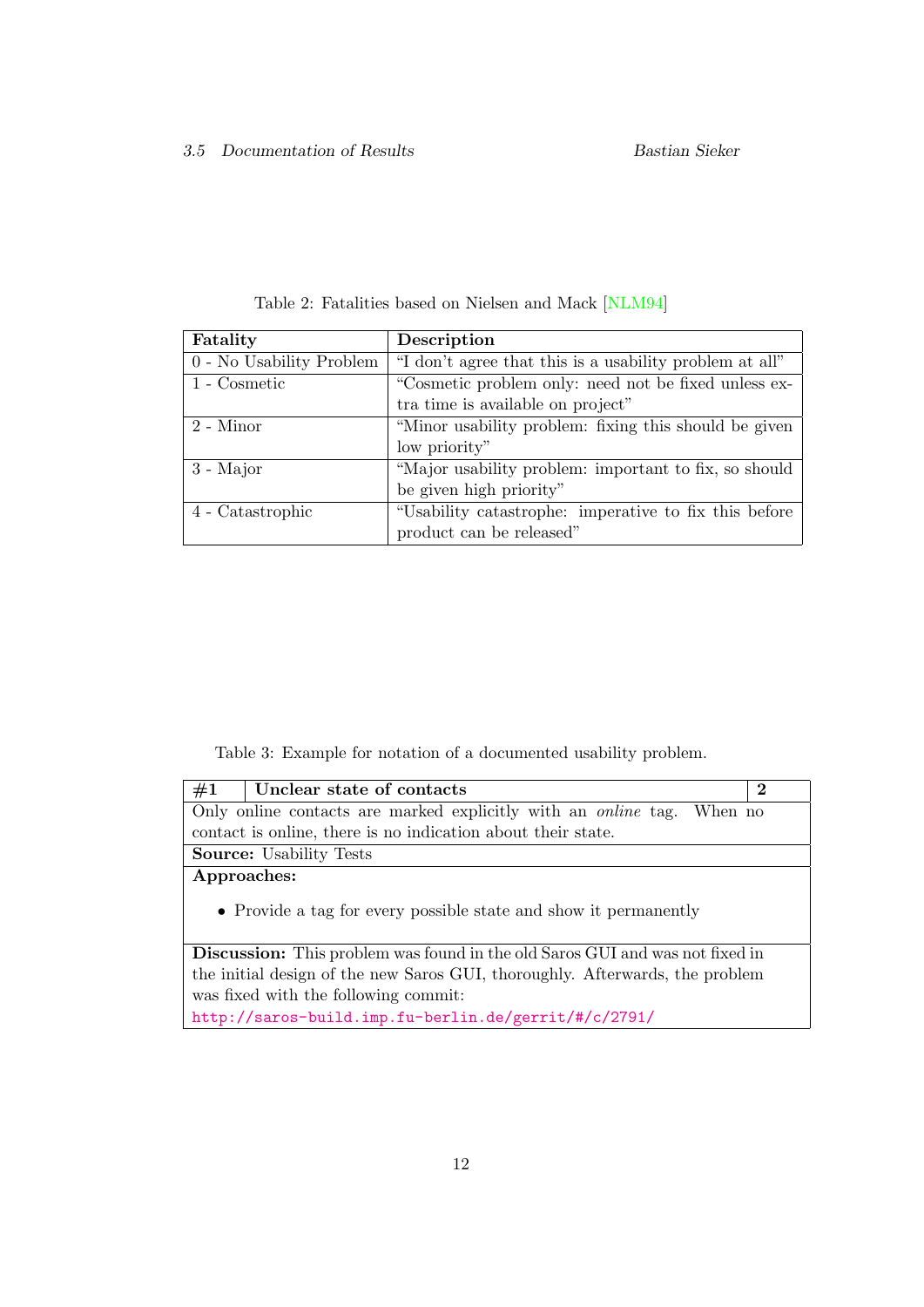<span id="page-16-0"></span>

| Fatality                 | Description                                             |
|--------------------------|---------------------------------------------------------|
| 0 - No Usability Problem | "I don't agree that this is a usability problem at all" |
| 1 - Cosmetic             | "Cosmetic problem only: need not be fixed unless ex-    |
|                          | tra time is available on project"                       |
| 2 - Minor                | "Minor usability problem: fixing this should be given   |
|                          | low priority"                                           |
| $3 - Major$              | "Major usability problem: important to fix, so should   |
|                          | be given high priority"                                 |
| 4 - Catastrophic         | "Usability catastrophe: imperative to fix this before   |
|                          | product can be released"                                |

Table 2: Fatalities based on Nielsen and Mack [\[NLM94\]](#page-62-4)

<span id="page-16-1"></span>Table 3: Example for notation of a documented usability problem.

| #1<br>Unclear state of contacts<br>$\bf{2}$                                         |  |  |  |  |
|-------------------------------------------------------------------------------------|--|--|--|--|
| Only online contacts are marked explicitly with an <i>online</i> tag. When no       |  |  |  |  |
| contact is online, there is no indication about their state.                        |  |  |  |  |
| <b>Source:</b> Usability Tests                                                      |  |  |  |  |
| Approaches:                                                                         |  |  |  |  |
| • Provide a tag for every possible state and show it permanently                    |  |  |  |  |
| <b>Discussion:</b> This problem was found in the old Saros GUI and was not fixed in |  |  |  |  |
| the initial design of the new Saros GUI, thoroughly. Afterwards, the problem        |  |  |  |  |
| was fixed with the following commit:                                                |  |  |  |  |
| http://saros-build.imp.fu-berlin.de/gerrit/#/c/2791/                                |  |  |  |  |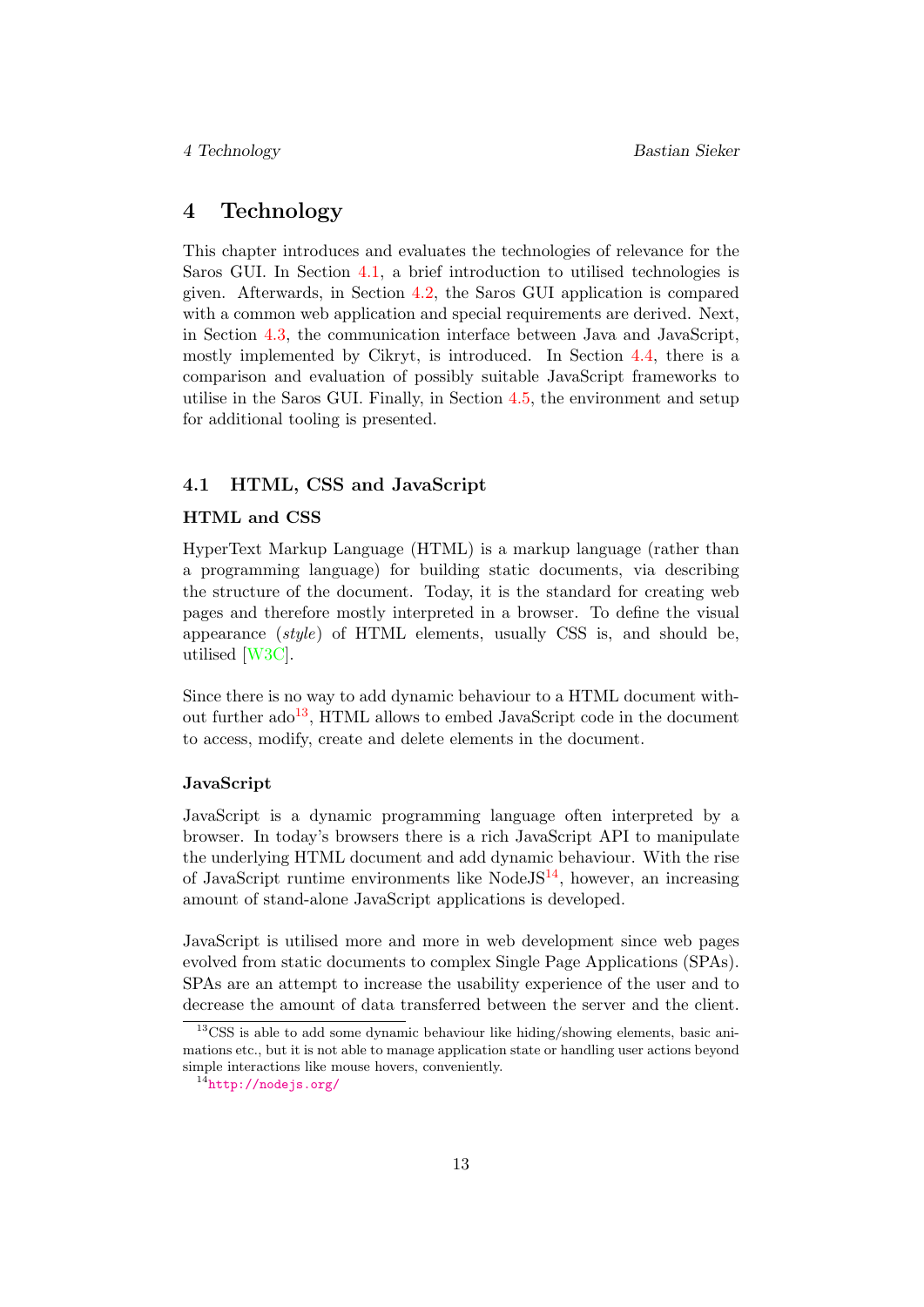# <span id="page-17-0"></span>4 Technology

This chapter introduces and evaluates the technologies of relevance for the Saros GUI. In Section [4.1,](#page-17-1) a brief introduction to utilised technologies is given. Afterwards, in Section [4.2,](#page-18-0) the Saros GUI application is compared with a common web application and special requirements are derived. Next, in Section [4.3,](#page-19-0) the communication interface between Java and JavaScript, mostly implemented by Cikryt, is introduced. In Section [4.4,](#page-22-0) there is a comparison and evaluation of possibly suitable JavaScript frameworks to utilise in the Saros GUI. Finally, in Section [4.5,](#page-26-0) the environment and setup for additional tooling is presented.

# <span id="page-17-1"></span>4.1 HTML, CSS and JavaScript

#### HTML and CSS

HyperText Markup Language (HTML) is a markup language (rather than a programming language) for building static documents, via describing the structure of the document. Today, it is the standard for creating web pages and therefore mostly interpreted in a browser. To define the visual appearance (style) of HTML elements, usually CSS is, and should be, utilised [\[W3C\]](#page-62-5).

Since there is no way to add dynamic behaviour to a HTML document without further  $\text{ado}^{13}$  $\text{ado}^{13}$  $\text{ado}^{13}$ , HTML allows to embed JavaScript code in the document to access, modify, create and delete elements in the document.

#### JavaScript

JavaScript is a dynamic programming language often interpreted by a browser. In today's browsers there is a rich JavaScript API to manipulate the underlying HTML document and add dynamic behaviour. With the rise of JavaScript runtime environments like Node  $JS^{14}$  $JS^{14}$  $JS^{14}$ , however, an increasing amount of stand-alone JavaScript applications is developed.

JavaScript is utilised more and more in web development since web pages evolved from static documents to complex Single Page Applications (SPAs). SPAs are an attempt to increase the usability experience of the user and to decrease the amount of data transferred between the server and the client.

<span id="page-17-2"></span><sup>13</sup>CSS is able to add some dynamic behaviour like hiding/showing elements, basic animations etc., but it is not able to manage application state or handling user actions beyond simple interactions like mouse hovers, conveniently.

<span id="page-17-3"></span> $14$ <http://nodejs.org/>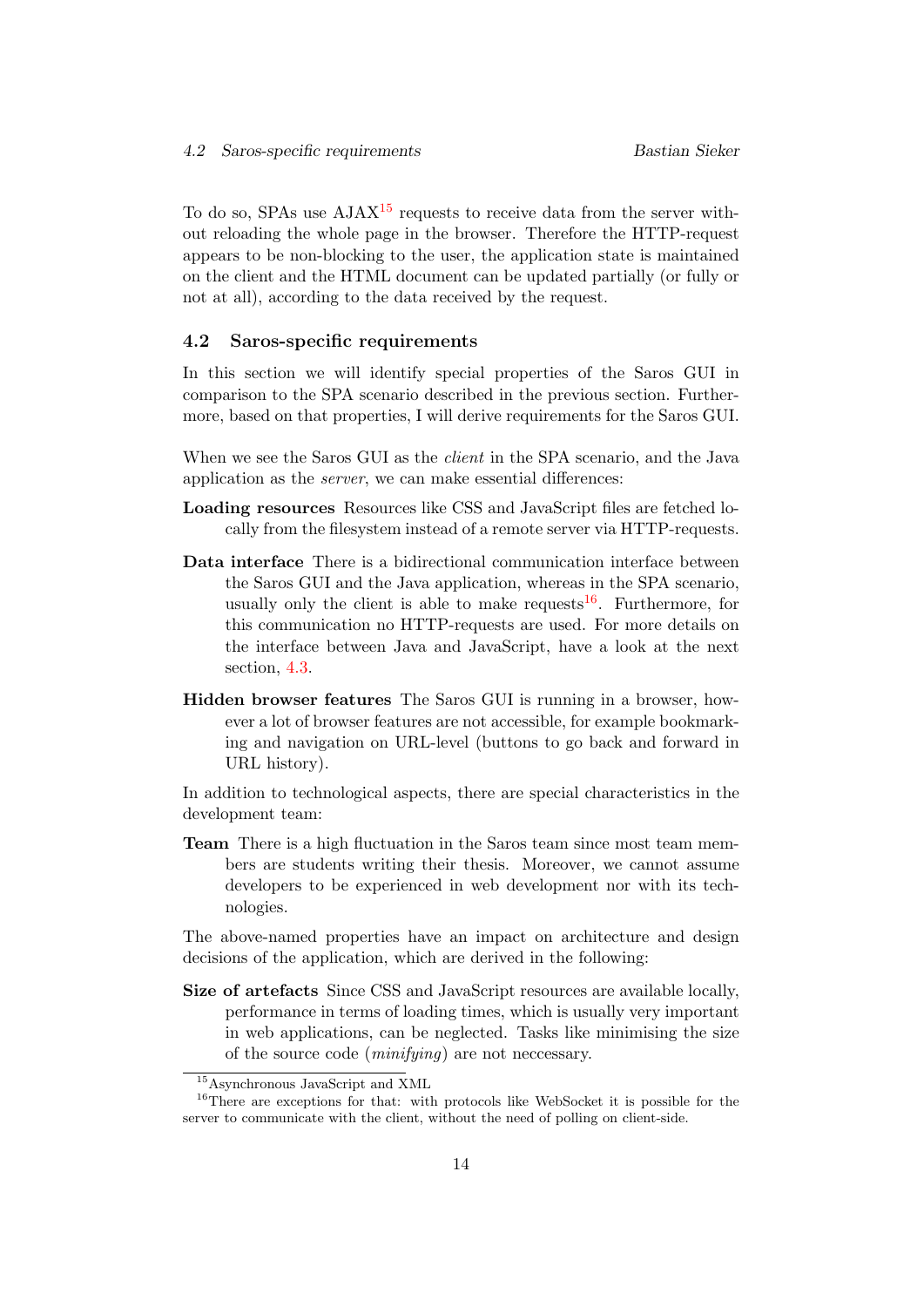To do so, SPAs use  $A J A X^{15}$  $A J A X^{15}$  $A J A X^{15}$  requests to receive data from the server without reloading the whole page in the browser. Therefore the HTTP-request appears to be non-blocking to the user, the application state is maintained on the client and the HTML document can be updated partially (or fully or not at all), according to the data received by the request.

#### <span id="page-18-0"></span>4.2 Saros-specific requirements

In this section we will identify special properties of the Saros GUI in comparison to the SPA scenario described in the previous section. Furthermore, based on that properties, I will derive requirements for the Saros GUI.

When we see the Saros GUI as the *client* in the SPA scenario, and the Java application as the server, we can make essential differences:

- Loading resources Resources like CSS and JavaScript files are fetched locally from the filesystem instead of a remote server via HTTP-requests.
- Data interface There is a bidirectional communication interface between the Saros GUI and the Java application, whereas in the SPA scenario, usually only the client is able to make requests  $16$ . Furthermore, for this communication no HTTP-requests are used. For more details on the interface between Java and JavaScript, have a look at the next section, [4.3.](#page-19-0)
- Hidden browser features The Saros GUI is running in a browser, however a lot of browser features are not accessible, for example bookmarking and navigation on URL-level (buttons to go back and forward in URL history).

In addition to technological aspects, there are special characteristics in the development team:

Team There is a high fluctuation in the Saros team since most team members are students writing their thesis. Moreover, we cannot assume developers to be experienced in web development nor with its technologies.

The above-named properties have an impact on architecture and design decisions of the application, which are derived in the following:

Size of artefacts Since CSS and JavaScript resources are available locally, performance in terms of loading times, which is usually very important in web applications, can be neglected. Tasks like minimising the size of the source code (minifying) are not neccessary.

<span id="page-18-2"></span><span id="page-18-1"></span><sup>15</sup>Asynchronous JavaScript and XML

<sup>&</sup>lt;sup>16</sup>There are exceptions for that: with protocols like WebSocket it is possible for the server to communicate with the client, without the need of polling on client-side.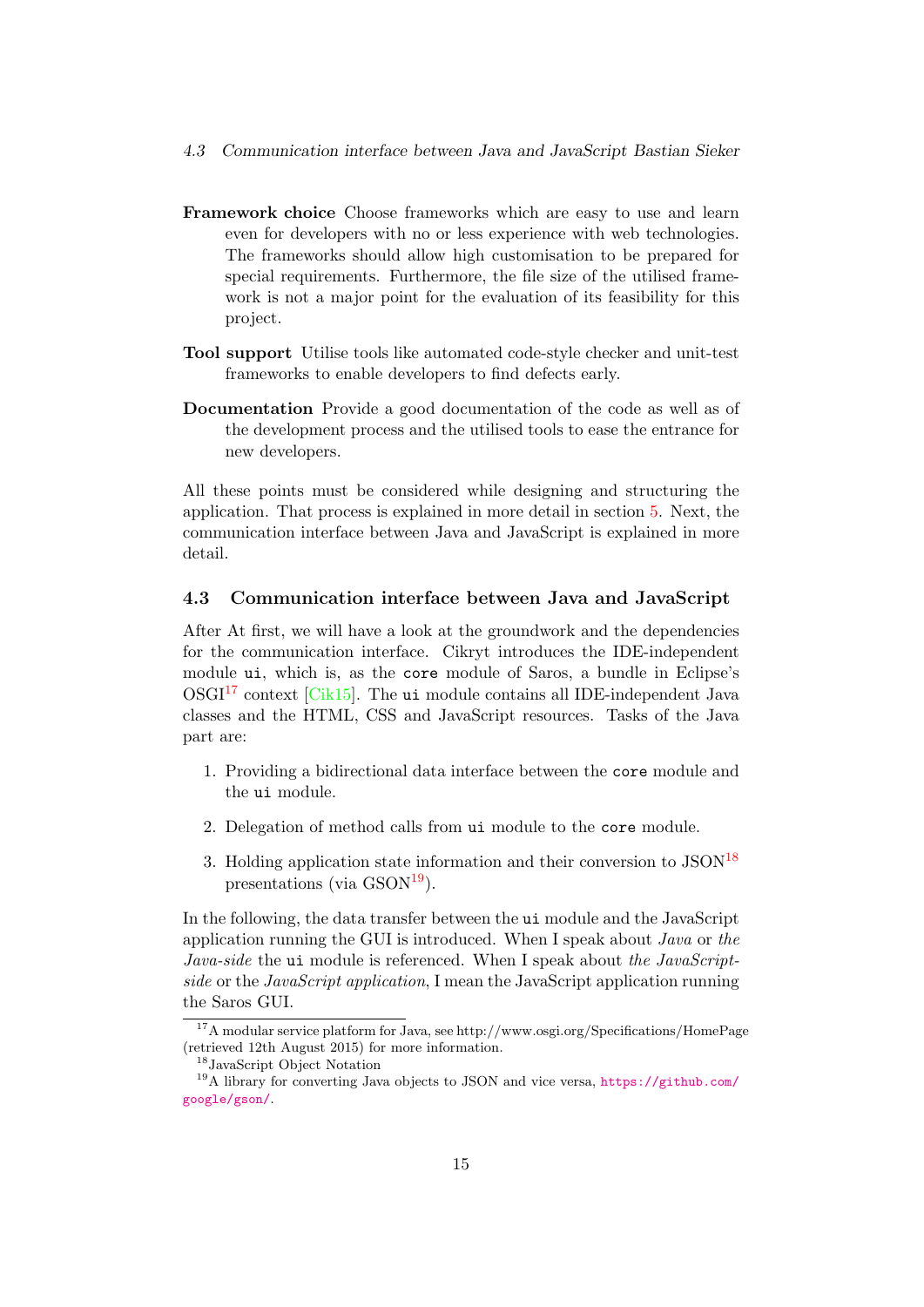- 4.3 Communication interface between Java and JavaScript Bastian Sieker
- Framework choice Choose frameworks which are easy to use and learn even for developers with no or less experience with web technologies. The frameworks should allow high customisation to be prepared for special requirements. Furthermore, the file size of the utilised framework is not a major point for the evaluation of its feasibility for this project.
- Tool support Utilise tools like automated code-style checker and unit-test frameworks to enable developers to find defects early.
- Documentation Provide a good documentation of the code as well as of the development process and the utilised tools to ease the entrance for new developers.

All these points must be considered while designing and structuring the application. That process is explained in more detail in section [5.](#page-28-0) Next, the communication interface between Java and JavaScript is explained in more detail.

#### <span id="page-19-0"></span>4.3 Communication interface between Java and JavaScript

After At first, we will have a look at the groundwork and the dependencies for the communication interface. Cikryt introduces the IDE-independent module ui, which is, as the core module of Saros, a bundle in Eclipse's  $OSGI<sup>17</sup>$  $OSGI<sup>17</sup>$  $OSGI<sup>17</sup>$  context [\[Cik15\]](#page-61-0). The ui module contains all IDE-independent Java classes and the HTML, CSS and JavaScript resources. Tasks of the Java part are:

- 1. Providing a bidirectional data interface between the core module and the ui module.
- 2. Delegation of method calls from ui module to the core module.
- 3. Holding application state information and their conversion to  $\text{JSON}^{18}$  $\text{JSON}^{18}$  $\text{JSON}^{18}$ presentations (via  $\text{GSON}^{19}$  $\text{GSON}^{19}$  $\text{GSON}^{19}$ ).

In the following, the data transfer between the ui module and the JavaScript application running the GUI is introduced. When I speak about Java or the Java-side the ui module is referenced. When I speak about the JavaScriptside or the JavaScript application, I mean the JavaScript application running the Saros GUI.

<span id="page-19-1"></span><sup>17</sup>A modular service platform for Java, see http://www.osgi.org/Specifications/HomePage (retrieved 12th August 2015) for more information.

<span id="page-19-3"></span><span id="page-19-2"></span><sup>18</sup>JavaScript Object Notation

<sup>19</sup>A library for converting Java objects to JSON and vice versa, [https://github.com/](https://github.com/google/gson/) [google/gson/](https://github.com/google/gson/).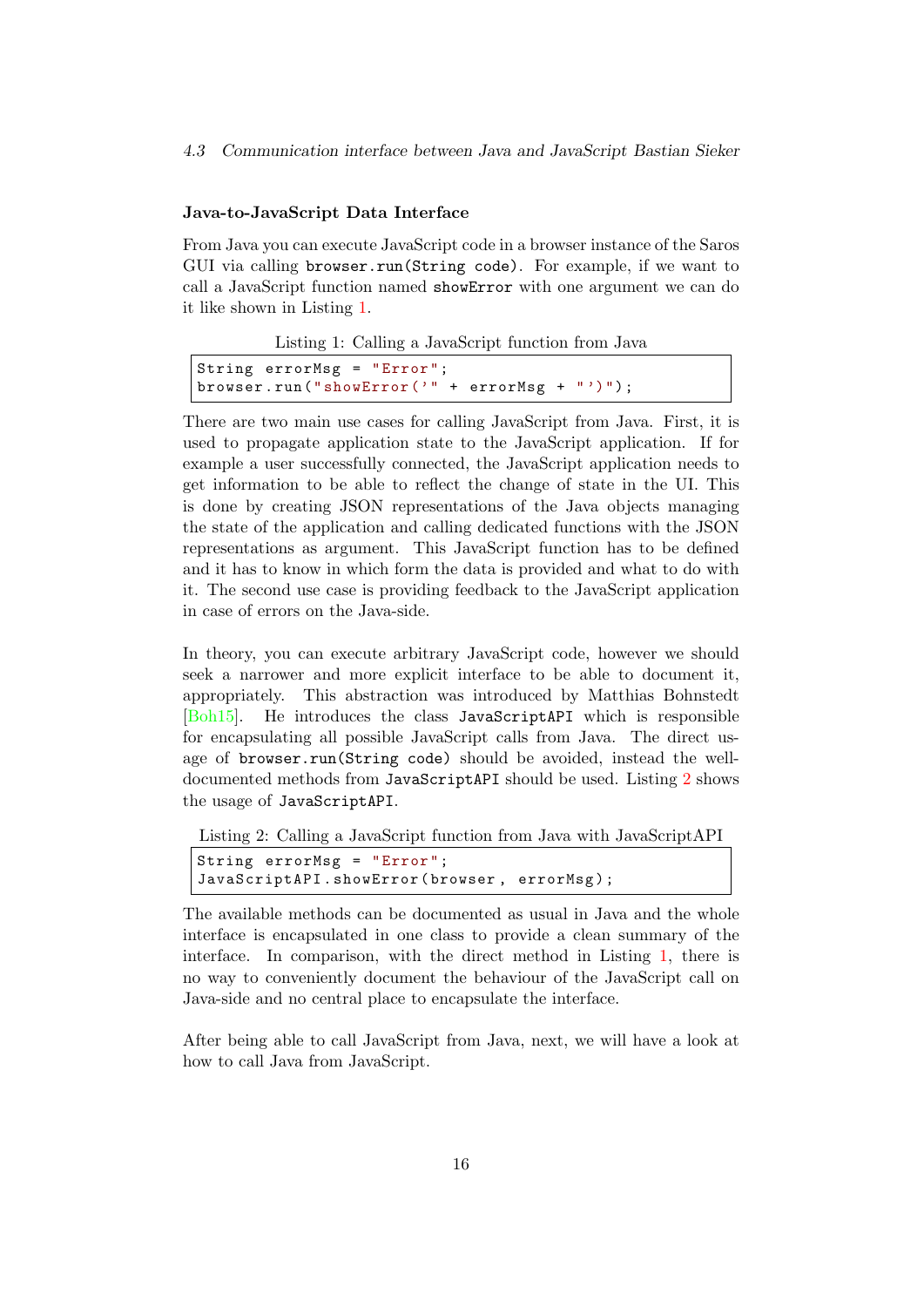#### Java-to-JavaScript Data Interface

From Java you can execute JavaScript code in a browser instance of the Saros GUI via calling browser.run(String code). For example, if we want to call a JavaScript function named showError with one argument we can do it like shown in Listing [1.](#page-20-0)

Listing 1: Calling a JavaScript function from Java

```
String errorMsg = "Error";
browser.run ("showError ('" + errorMsg + "')");
```
There are two main use cases for calling JavaScript from Java. First, it is used to propagate application state to the JavaScript application. If for example a user successfully connected, the JavaScript application needs to get information to be able to reflect the change of state in the UI. This is done by creating JSON representations of the Java objects managing the state of the application and calling dedicated functions with the JSON representations as argument. This JavaScript function has to be defined and it has to know in which form the data is provided and what to do with it. The second use case is providing feedback to the JavaScript application in case of errors on the Java-side.

In theory, you can execute arbitrary JavaScript code, however we should seek a narrower and more explicit interface to be able to document it, appropriately. This abstraction was introduced by Matthias Bohnstedt [\[Boh15\]](#page-61-3). He introduces the class JavaScriptAPI which is responsible for encapsulating all possible JavaScript calls from Java. The direct usage of browser.run(String code) should be avoided, instead the welldocumented methods from JavaScriptAPI should be used. Listing [2](#page-20-1) shows the usage of JavaScriptAPI.

<span id="page-20-1"></span>Listing 2: Calling a JavaScript function from Java with JavaScriptAPI

```
String errorMsg = " Error ";
JavaScriptAPI . showError ( browser , errorMsg );
```
The available methods can be documented as usual in Java and the whole interface is encapsulated in one class to provide a clean summary of the interface. In comparison, with the direct method in Listing [1,](#page-20-0) there is no way to conveniently document the behaviour of the JavaScript call on Java-side and no central place to encapsulate the interface.

After being able to call JavaScript from Java, next, we will have a look at how to call Java from JavaScript.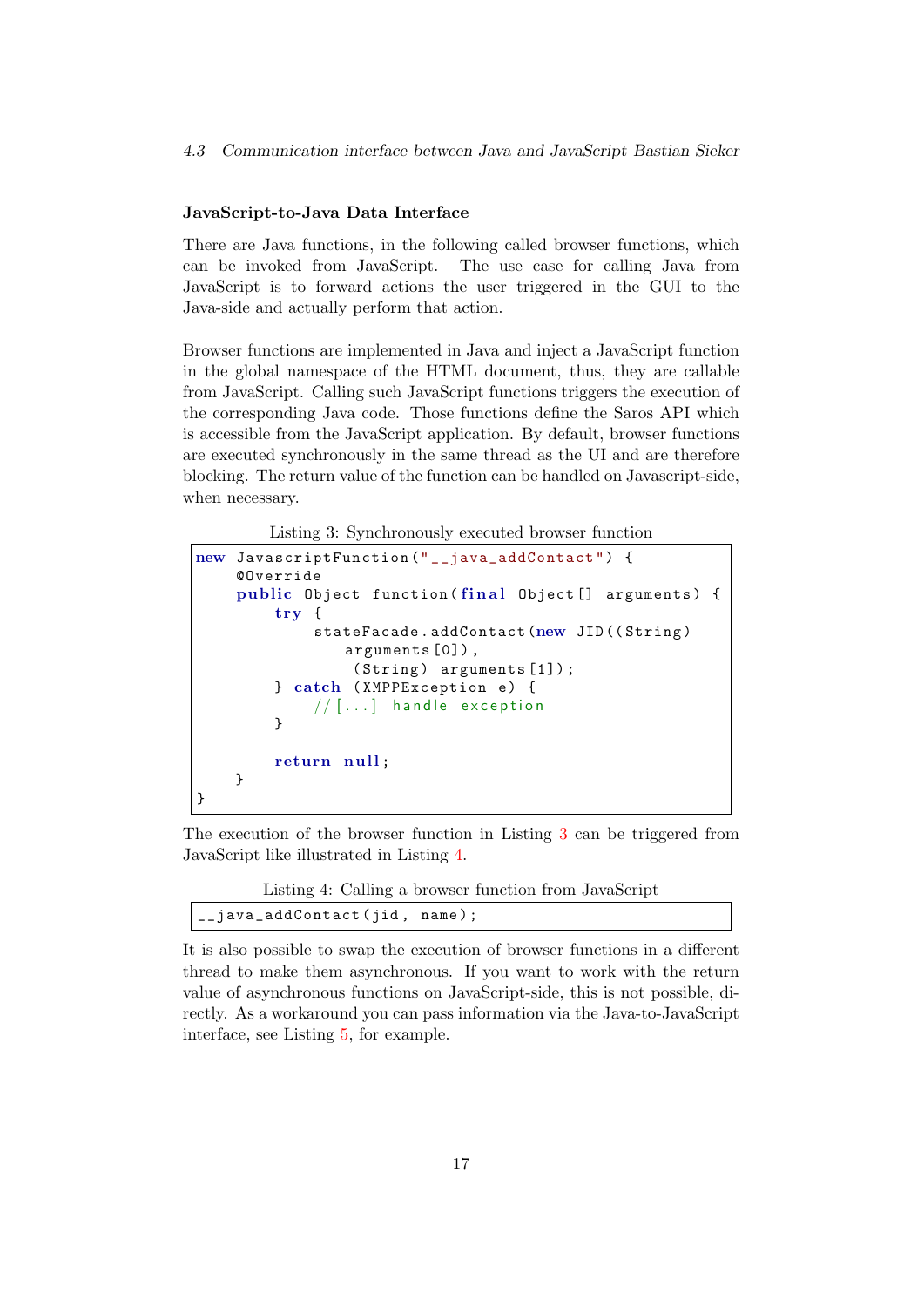#### JavaScript-to-Java Data Interface

There are Java functions, in the following called browser functions, which can be invoked from JavaScript. The use case for calling Java from JavaScript is to forward actions the user triggered in the GUI to the Java-side and actually perform that action.

Browser functions are implemented in Java and inject a JavaScript function in the global namespace of the HTML document, thus, they are callable from JavaScript. Calling such JavaScript functions triggers the execution of the corresponding Java code. Those functions define the Saros API which is accessible from the JavaScript application. By default, browser functions are executed synchronously in the same thread as the UI and are therefore blocking. The return value of the function can be handled on Javascript-side, when necessary.

Listing 3: Synchronously executed browser function

```
new JavascriptFunction ("__java_addContact") {
    @Override
    public Object function (final Object [] arguments) {
        try {
             stateFacade.addContact (new JID ((String)
                arguments [0]) ,
                 (String) arguments [1]);
        } catch (XMPPException e) {
             // [...] handle exception
        }
        return null;
    }
}
```
The execution of the browser function in Listing [3](#page-21-0) can be triggered from JavaScript like illustrated in Listing [4.](#page-21-1)

| Listing 4: Calling a browser function from JavaScript |  |
|-------------------------------------------------------|--|
|-------------------------------------------------------|--|

<span id="page-21-1"></span>

|  | __java_addContact(jid, name); |  |
|--|-------------------------------|--|
|--|-------------------------------|--|

It is also possible to swap the execution of browser functions in a different thread to make them asynchronous. If you want to work with the return value of asynchronous functions on JavaScript-side, this is not possible, directly. As a workaround you can pass information via the Java-to-JavaScript interface, see Listing [5,](#page-22-1) for example.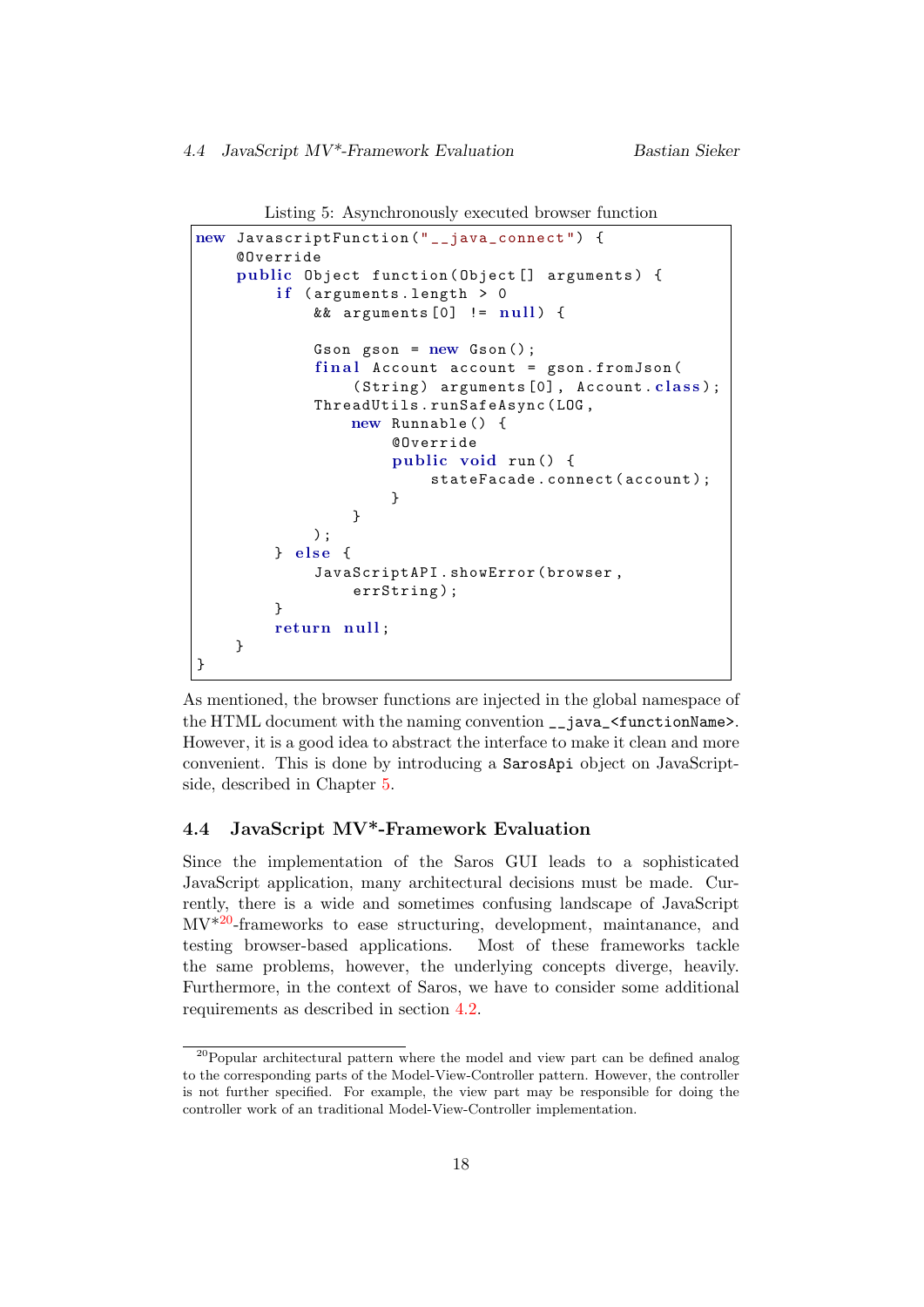```
Listing 5: Asynchronously executed browser function
```

```
new JavascriptFunction (" __java_connect ") {
    @Override
    public Object function (Object [] arguments) {
         if (arguments.length > 0&& arguments [0] != null) {
             Gson gson = new Gson();
             final Account account = gson.fromJson((String) arguments [0], Account.class;
             ThreadUtils . runSafeAsync ( LOG ,
                 new Runnable () {
                      @Override
                      public void run () {
                          stateFacade . connect ( account );
                      }
                 }
             );
        } else {
             JavaScriptAPI . showError ( browser ,
                 errString);
        }
        return null;
    }
}
```
As mentioned, the browser functions are injected in the global namespace of the HTML document with the naming convention \_\_java\_<functionName>. However, it is a good idea to abstract the interface to make it clean and more convenient. This is done by introducing a SarosApi object on JavaScriptside, described in Chapter [5.](#page-28-0)

# <span id="page-22-0"></span>4.4 JavaScript MV\*-Framework Evaluation

Since the implementation of the Saros GUI leads to a sophisticated JavaScript application, many architectural decisions must be made. Currently, there is a wide and sometimes confusing landscape of JavaScript  $MV^{*20}$  $MV^{*20}$  $MV^{*20}$ -frameworks to ease structuring, development, maintanance, and testing browser-based applications. Most of these frameworks tackle the same problems, however, the underlying concepts diverge, heavily. Furthermore, in the context of Saros, we have to consider some additional requirements as described in section [4.2.](#page-18-0)

<span id="page-22-2"></span><sup>20</sup>Popular architectural pattern where the model and view part can be defined analog to the corresponding parts of the Model-View-Controller pattern. However, the controller is not further specified. For example, the view part may be responsible for doing the controller work of an traditional Model-View-Controller implementation.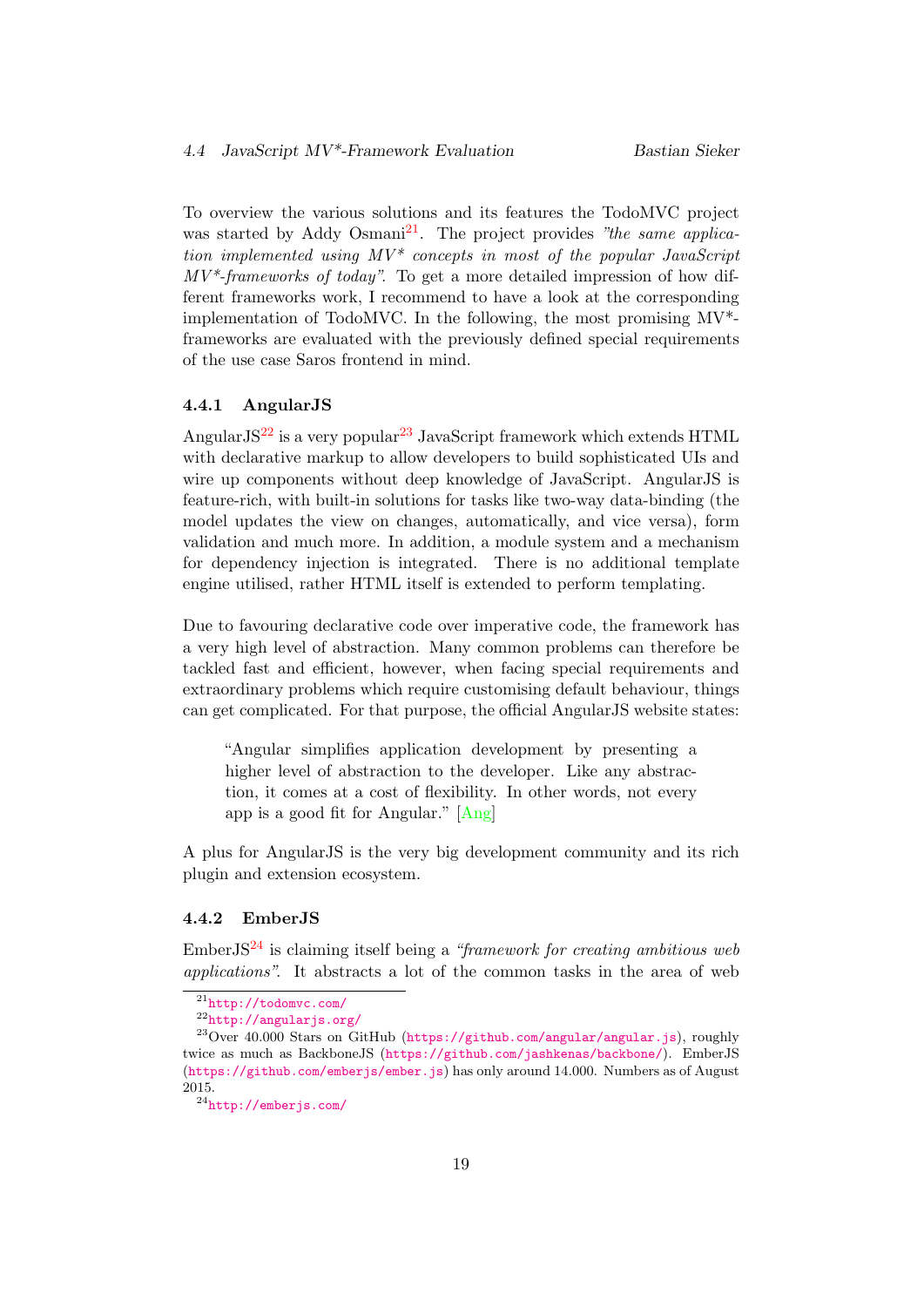To overview the various solutions and its features the TodoMVC project was started by Addy Osmani<sup>[21](#page-23-2)</sup>. The project provides "the same application implemented using  $MV^*$  concepts in most of the popular JavaScript  $MV^*$ -frameworks of today". To get a more detailed impression of how different frameworks work, I recommend to have a look at the corresponding implementation of TodoMVC. In the following, the most promising MV\* frameworks are evaluated with the previously defined special requirements of the use case Saros frontend in mind.

#### <span id="page-23-0"></span>4.4.1 AngularJS

Angular $JS^{22}$  $JS^{22}$  $JS^{22}$  is a very popular<sup>[23](#page-23-4)</sup> JavaScript framework which extends HTML with declarative markup to allow developers to build sophisticated UIs and wire up components without deep knowledge of JavaScript. AngularJS is feature-rich, with built-in solutions for tasks like two-way data-binding (the model updates the view on changes, automatically, and vice versa), form validation and much more. In addition, a module system and a mechanism for dependency injection is integrated. There is no additional template engine utilised, rather HTML itself is extended to perform templating.

Due to favouring declarative code over imperative code, the framework has a very high level of abstraction. Many common problems can therefore be tackled fast and efficient, however, when facing special requirements and extraordinary problems which require customising default behaviour, things can get complicated. For that purpose, the official AngularJS website states:

"Angular simplifies application development by presenting a higher level of abstraction to the developer. Like any abstraction, it comes at a cost of flexibility. In other words, not every app is a good fit for Angular." [\[Ang\]](#page-61-9)

A plus for AngularJS is the very big development community and its rich plugin and extension ecosystem.

#### <span id="page-23-1"></span>4.4.2 EmberJS

EmberJS<sup>[24](#page-23-5)</sup> is claiming itself being a "framework for creating ambitious web applications". It abstracts a lot of the common tasks in the area of web

<span id="page-23-2"></span> $21$ <http://todomvc.com/>

<span id="page-23-4"></span><span id="page-23-3"></span><sup>22</sup><http://angularjs.org/>

<sup>23</sup>Over 40.000 Stars on GitHub (<https://github.com/angular/angular.js>), roughly twice as much as BackboneJS (<https://github.com/jashkenas/backbone/>). EmberJS (<https://github.com/emberjs/ember.js>) has only around 14.000. Numbers as of August 2015.

<span id="page-23-5"></span><sup>24</sup><http://emberjs.com/>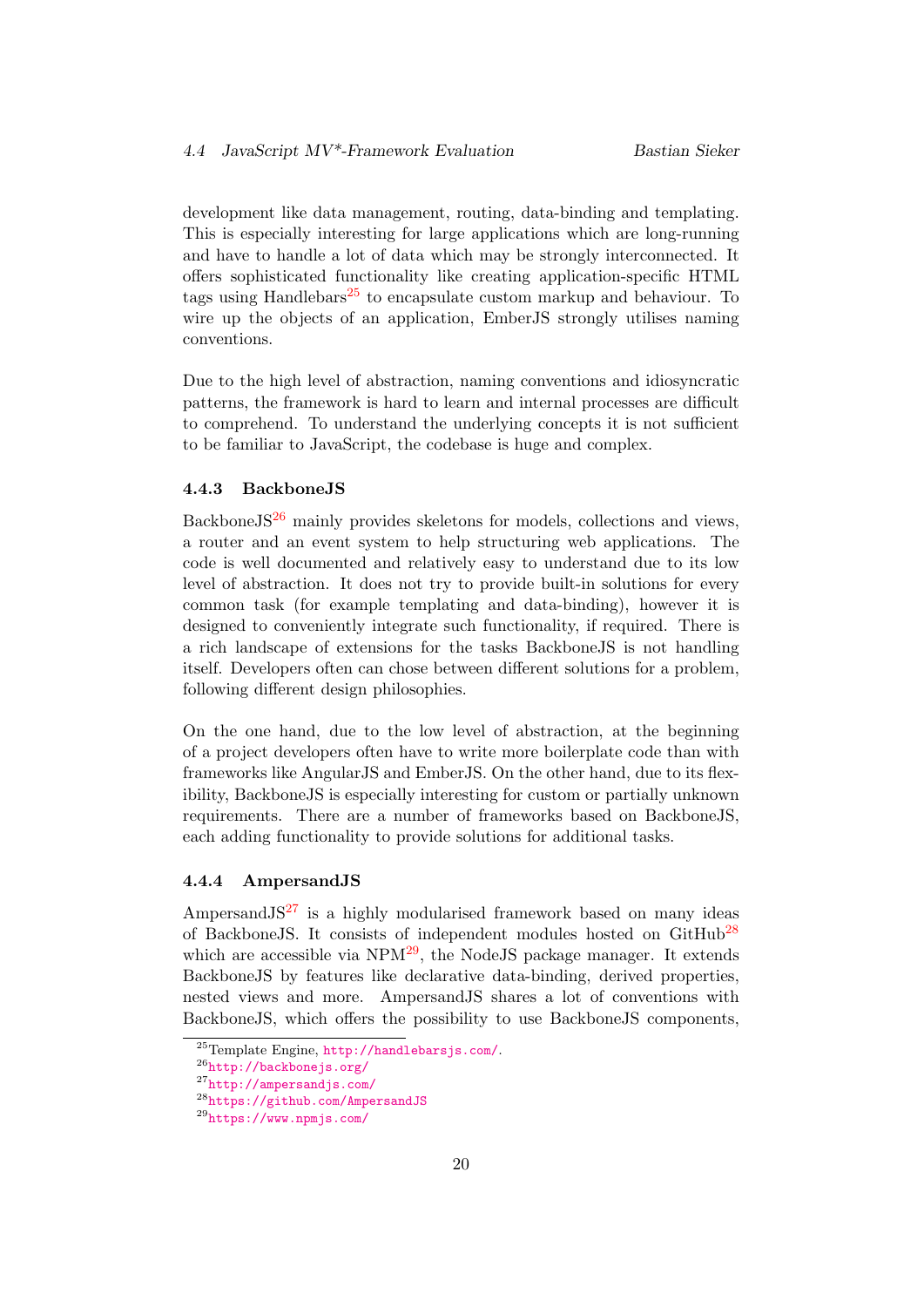development like data management, routing, data-binding and templating. This is especially interesting for large applications which are long-running and have to handle a lot of data which may be strongly interconnected. It offers sophisticated functionality like creating application-specific HTML tags using Handlebars<sup>[25](#page-24-2)</sup> to encapsulate custom markup and behaviour. To wire up the objects of an application, EmberJS strongly utilises naming conventions.

Due to the high level of abstraction, naming conventions and idiosyncratic patterns, the framework is hard to learn and internal processes are difficult to comprehend. To understand the underlying concepts it is not sufficient to be familiar to JavaScript, the codebase is huge and complex.

#### <span id="page-24-0"></span>4.4.3 BackboneJS

Backbone $JS^{26}$  $JS^{26}$  $JS^{26}$  mainly provides skeletons for models, collections and views, a router and an event system to help structuring web applications. The code is well documented and relatively easy to understand due to its low level of abstraction. It does not try to provide built-in solutions for every common task (for example templating and data-binding), however it is designed to conveniently integrate such functionality, if required. There is a rich landscape of extensions for the tasks BackboneJS is not handling itself. Developers often can chose between different solutions for a problem, following different design philosophies.

On the one hand, due to the low level of abstraction, at the beginning of a project developers often have to write more boilerplate code than with frameworks like AngularJS and EmberJS. On the other hand, due to its flexibility, BackboneJS is especially interesting for custom or partially unknown requirements. There are a number of frameworks based on BackboneJS, each adding functionality to provide solutions for additional tasks.

#### <span id="page-24-1"></span>4.4.4 AmpersandJS

Ampersand  $JS^{27}$  $JS^{27}$  $JS^{27}$  is a highly modularised framework based on many ideas of BackboneJS. It consists of independent modules hosted on GitHub[28](#page-24-5) which are accessible via  $NPM^{29}$  $NPM^{29}$  $NPM^{29}$ , the NodeJS package manager. It extends BackboneJS by features like declarative data-binding, derived properties, nested views and more. AmpersandJS shares a lot of conventions with BackboneJS, which offers the possibility to use BackboneJS components,

<span id="page-24-2"></span><sup>25</sup>Template Engine, <http://handlebarsjs.com/>.

<span id="page-24-3"></span><sup>26</sup><http://backbonejs.org/>

<span id="page-24-4"></span><sup>27</sup><http://ampersandjs.com/>

<span id="page-24-5"></span><sup>28</sup><https://github.com/AmpersandJS>

<span id="page-24-6"></span><sup>29</sup><https://www.npmjs.com/>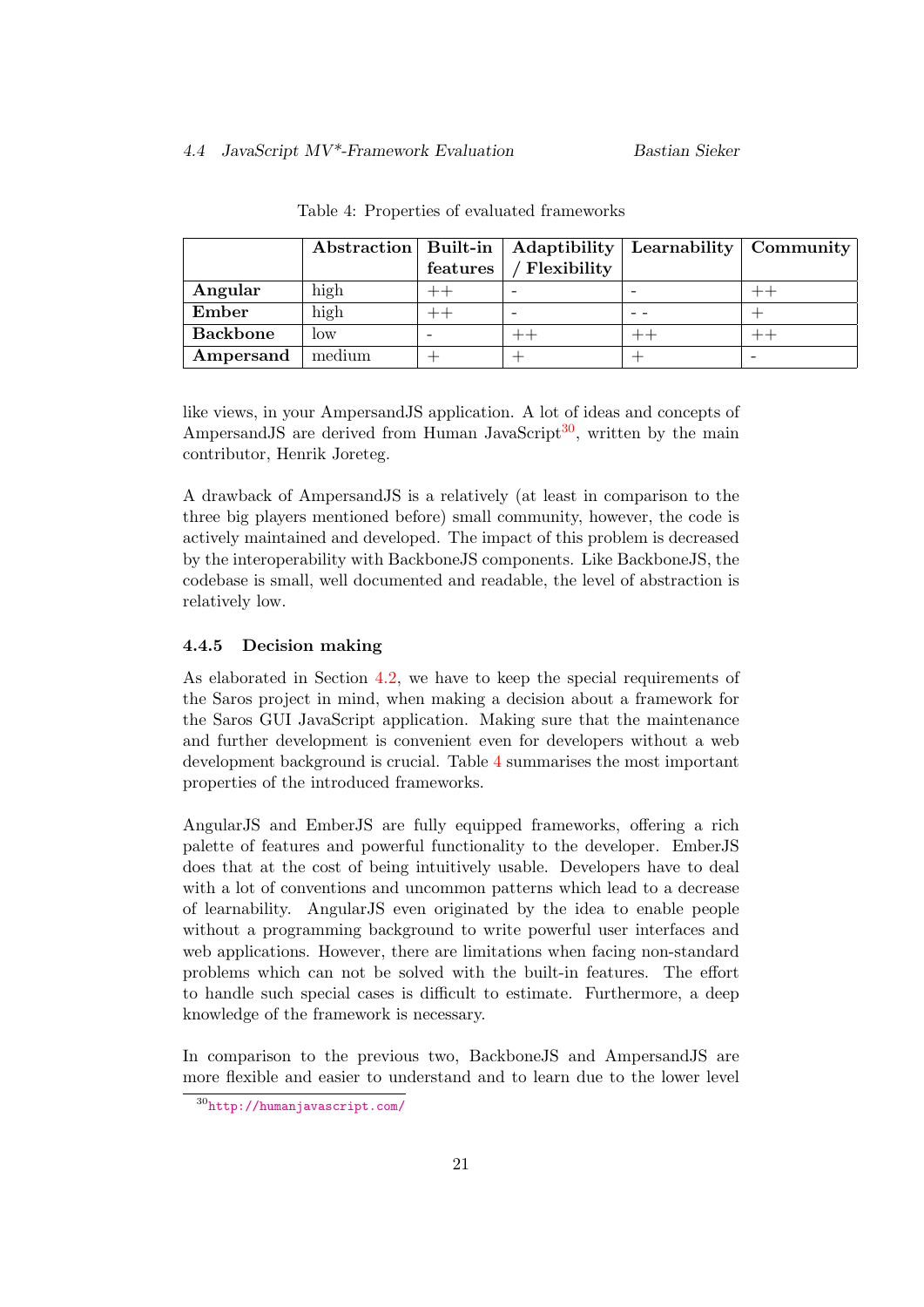#### 4.4 JavaScript MV\*-Framework Evaluation Bastian Sieker

<span id="page-25-2"></span>

|                 | Abstraction   Built-in |          | Adaptibility | Learnability   Community |  |
|-----------------|------------------------|----------|--------------|--------------------------|--|
|                 |                        | features | Flexibility  |                          |  |
| Angular         | high                   |          |              |                          |  |
| Ember           | high                   |          |              |                          |  |
| <b>Backbone</b> | low                    |          |              |                          |  |
| Ampersand       | medium                 |          |              |                          |  |

Table 4: Properties of evaluated frameworks

like views, in your AmpersandJS application. A lot of ideas and concepts of Ampersand JS are derived from Human JavaScript<sup>[30](#page-25-1)</sup>, written by the main contributor, Henrik Joreteg.

A drawback of AmpersandJS is a relatively (at least in comparison to the three big players mentioned before) small community, however, the code is actively maintained and developed. The impact of this problem is decreased by the interoperability with BackboneJS components. Like BackboneJS, the codebase is small, well documented and readable, the level of abstraction is relatively low.

# <span id="page-25-0"></span>4.4.5 Decision making

As elaborated in Section [4.2,](#page-18-0) we have to keep the special requirements of the Saros project in mind, when making a decision about a framework for the Saros GUI JavaScript application. Making sure that the maintenance and further development is convenient even for developers without a web development background is crucial. Table [4](#page-25-2) summarises the most important properties of the introduced frameworks.

AngularJS and EmberJS are fully equipped frameworks, offering a rich palette of features and powerful functionality to the developer. EmberJS does that at the cost of being intuitively usable. Developers have to deal with a lot of conventions and uncommon patterns which lead to a decrease of learnability. AngularJS even originated by the idea to enable people without a programming background to write powerful user interfaces and web applications. However, there are limitations when facing non-standard problems which can not be solved with the built-in features. The effort to handle such special cases is difficult to estimate. Furthermore, a deep knowledge of the framework is necessary.

In comparison to the previous two, BackboneJS and AmpersandJS are more flexible and easier to understand and to learn due to the lower level

<span id="page-25-1"></span><sup>30</sup><http://humanjavascript.com/>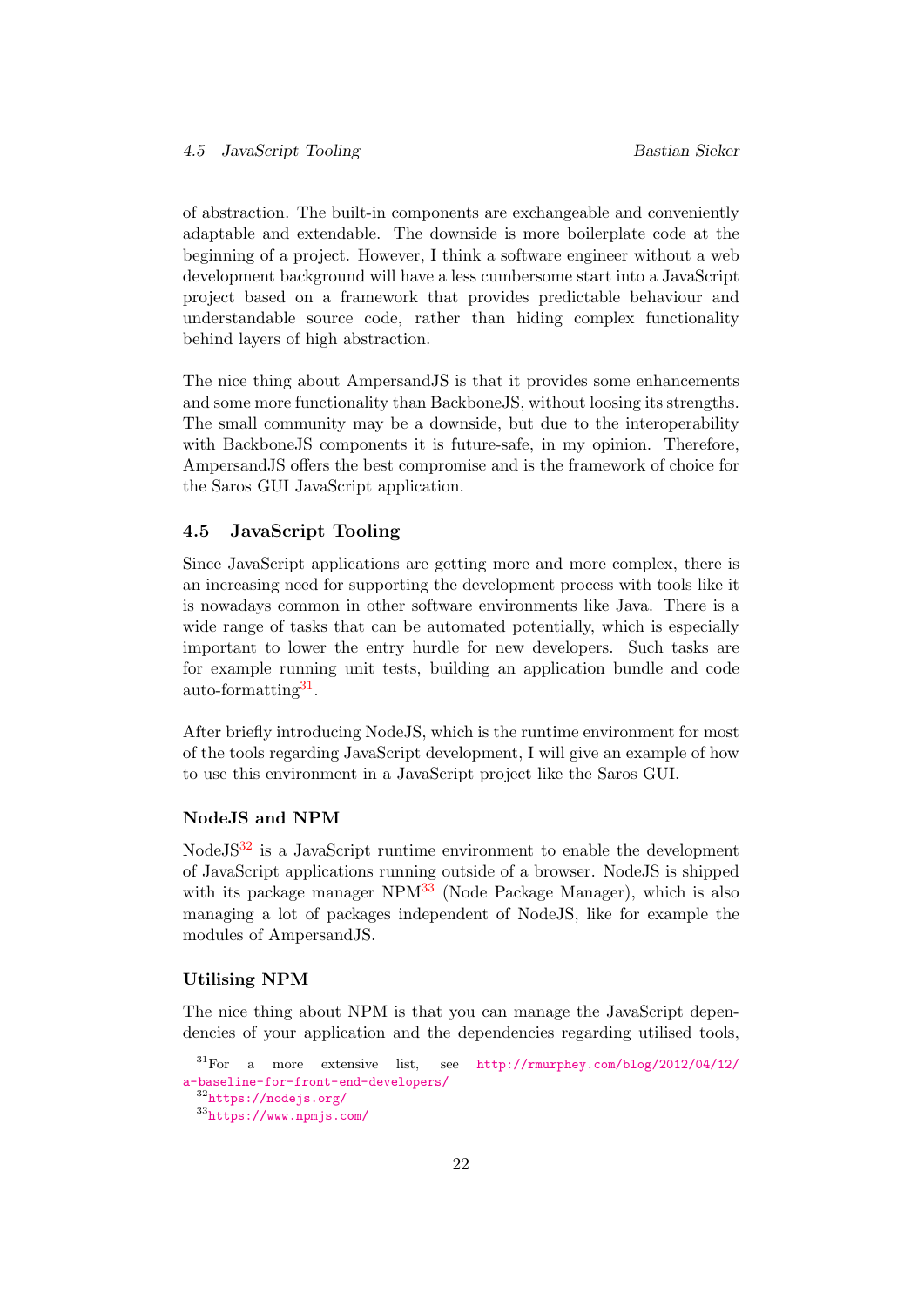of abstraction. The built-in components are exchangeable and conveniently adaptable and extendable. The downside is more boilerplate code at the beginning of a project. However, I think a software engineer without a web development background will have a less cumbersome start into a JavaScript project based on a framework that provides predictable behaviour and understandable source code, rather than hiding complex functionality behind layers of high abstraction.

The nice thing about AmpersandJS is that it provides some enhancements and some more functionality than BackboneJS, without loosing its strengths. The small community may be a downside, but due to the interoperability with BackboneJS components it is future-safe, in my opinion. Therefore, AmpersandJS offers the best compromise and is the framework of choice for the Saros GUI JavaScript application.

#### <span id="page-26-0"></span>4.5 JavaScript Tooling

Since JavaScript applications are getting more and more complex, there is an increasing need for supporting the development process with tools like it is nowadays common in other software environments like Java. There is a wide range of tasks that can be automated potentially, which is especially important to lower the entry hurdle for new developers. Such tasks are for example running unit tests, building an application bundle and code auto-formatting<sup>[31](#page-26-1)</sup>.

After briefly introducing NodeJS, which is the runtime environment for most of the tools regarding JavaScript development, I will give an example of how to use this environment in a JavaScript project like the Saros GUI.

#### NodeJS and NPM

NodeJS[32](#page-26-2) is a JavaScript runtime environment to enable the development of JavaScript applications running outside of a browser. NodeJS is shipped with its package manager  $NPM^{33}$  $NPM^{33}$  $NPM^{33}$  (Node Package Manager), which is also managing a lot of packages independent of NodeJS, like for example the modules of AmpersandJS.

#### Utilising NPM

The nice thing about NPM is that you can manage the JavaScript dependencies of your application and the dependencies regarding utilised tools,

<span id="page-26-1"></span> $31$ For a more extensive list, see [http://rmurphey.com/blog/2012/04/12/](http://rmurphey.com/blog/2012/04/12/a-baseline-for-front-end-developers/) [a-baseline-for-front-end-developers/](http://rmurphey.com/blog/2012/04/12/a-baseline-for-front-end-developers/)

<span id="page-26-2"></span><sup>32</sup><https://nodejs.org/>

<span id="page-26-3"></span><sup>33</sup><https://www.npmjs.com/>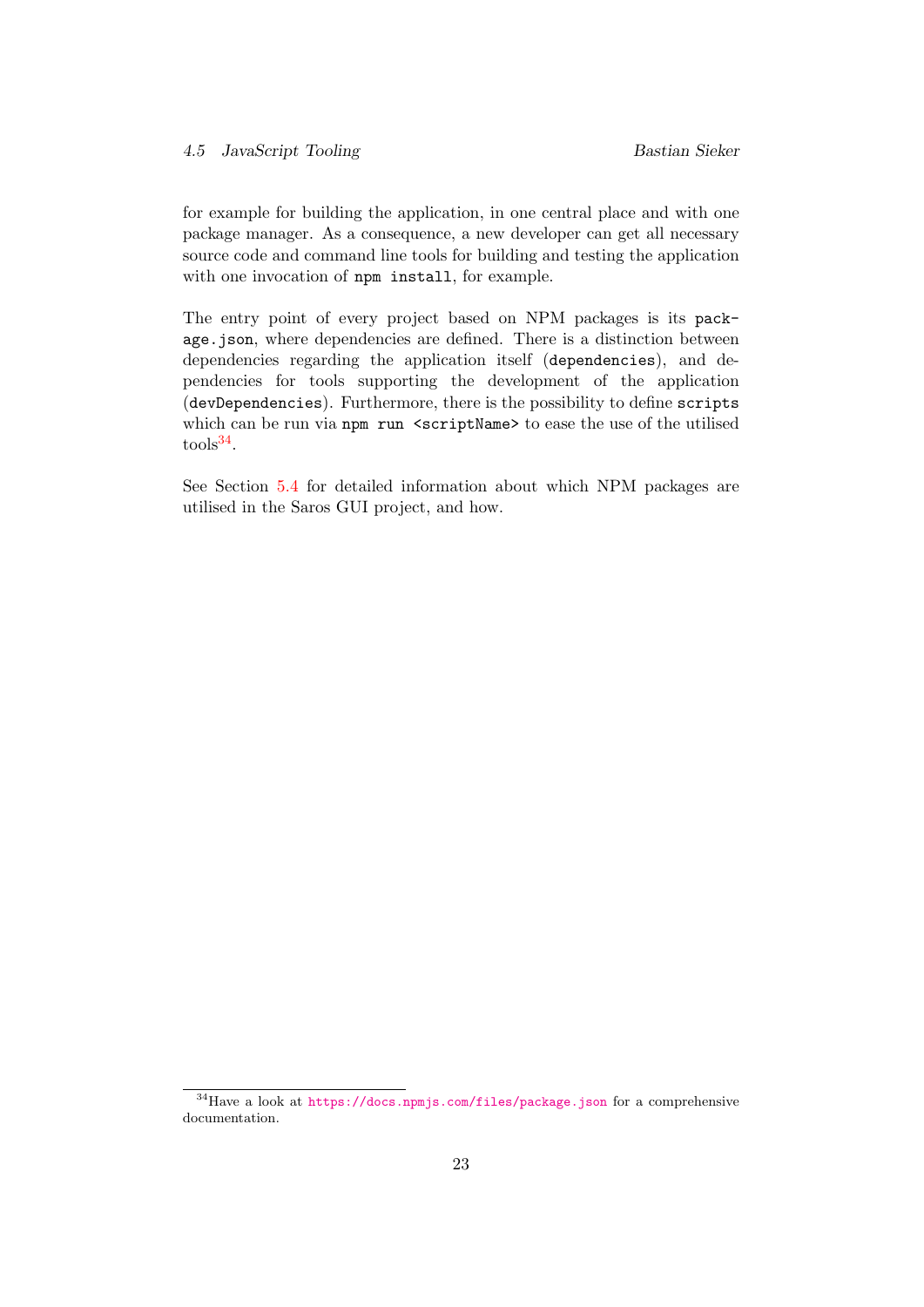for example for building the application, in one central place and with one package manager. As a consequence, a new developer can get all necessary source code and command line tools for building and testing the application with one invocation of npm install, for example.

The entry point of every project based on NPM packages is its package.json, where dependencies are defined. There is a distinction between dependencies regarding the application itself (dependencies), and dependencies for tools supporting the development of the application (devDependencies). Furthermore, there is the possibility to define scripts which can be run via npm run <scriptName> to ease the use of the utilised  $\text{tools}^{34}.$  $\text{tools}^{34}.$  $\text{tools}^{34}.$ 

See Section [5.4](#page-38-0) for detailed information about which NPM packages are utilised in the Saros GUI project, and how.

<span id="page-27-0"></span><sup>34</sup>Have a look at <https://docs.npmjs.com/files/package.json> for a comprehensive documentation.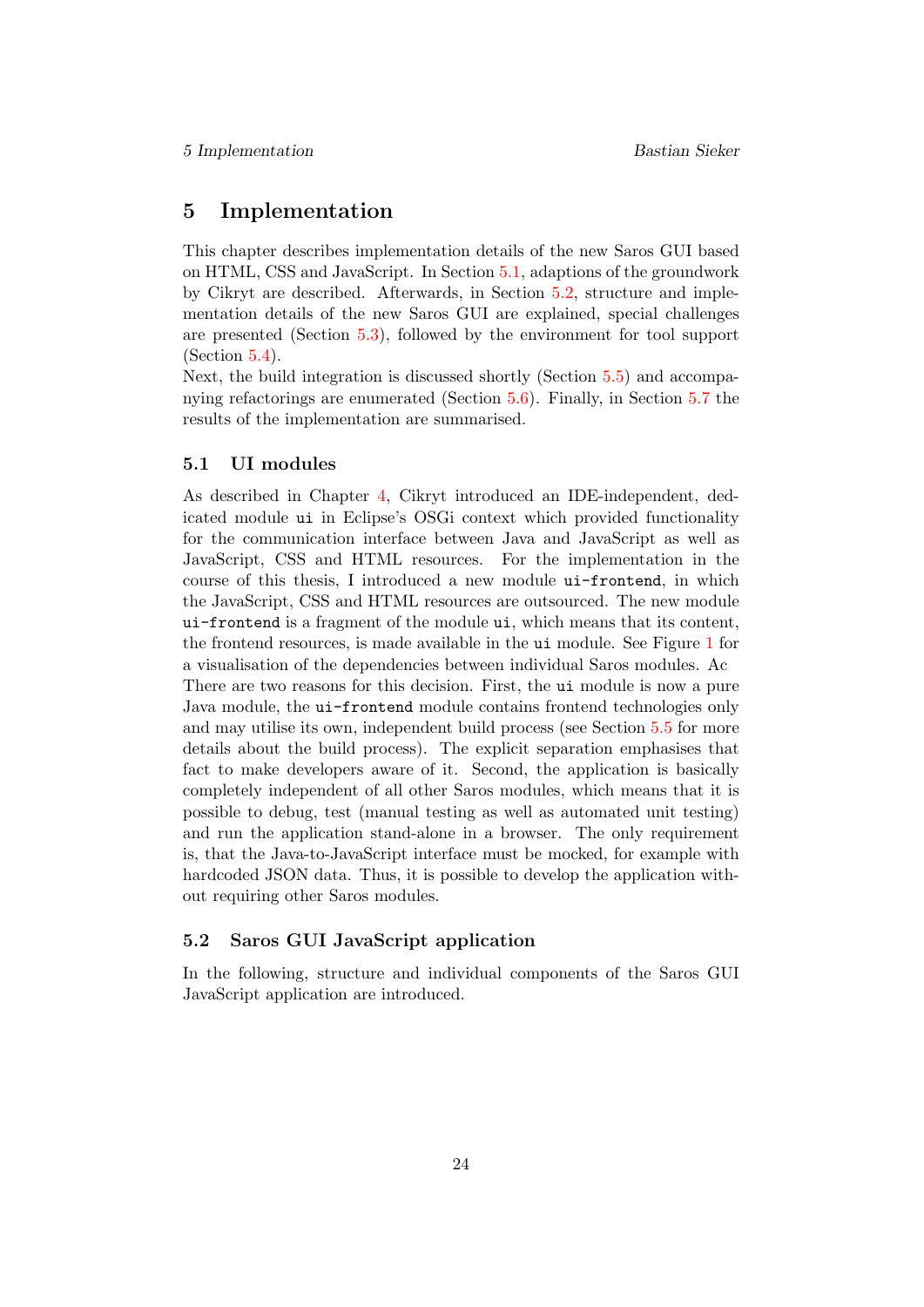# <span id="page-28-0"></span>5 Implementation

This chapter describes implementation details of the new Saros GUI based on HTML, CSS and JavaScript. In Section [5.1,](#page-28-1) adaptions of the groundwork by Cikryt are described. Afterwards, in Section [5.2,](#page-28-2) structure and implementation details of the new Saros GUI are explained, special challenges are presented (Section [5.3\)](#page-34-0), followed by the environment for tool support  $(Section 5.4).$  $(Section 5.4).$  $(Section 5.4).$ 

Next, the build integration is discussed shortly (Section [5.5\)](#page-39-3) and accompanying refactorings are enumerated (Section [5.6\)](#page-41-0). Finally, in Section [5.7](#page-42-0) the results of the implementation are summarised.

#### <span id="page-28-1"></span>5.1 UI modules

As described in Chapter [4,](#page-17-0) Cikryt introduced an IDE-independent, dedicated module ui in Eclipse's OSGi context which provided functionality for the communication interface between Java and JavaScript as well as JavaScript, CSS and HTML resources. For the implementation in the course of this thesis, I introduced a new module ui-frontend, in which the JavaScript, CSS and HTML resources are outsourced. The new module ui-frontend is a fragment of the module ui, which means that its content, the frontend resources, is made available in the ui module. See Figure [1](#page-29-1) for a visualisation of the dependencies between individual Saros modules. Ac There are two reasons for this decision. First, the ui module is now a pure Java module, the ui-frontend module contains frontend technologies only and may utilise its own, independent build process (see Section [5.5](#page-39-3) for more details about the build process). The explicit separation emphasises that fact to make developers aware of it. Second, the application is basically completely independent of all other Saros modules, which means that it is possible to debug, test (manual testing as well as automated unit testing) and run the application stand-alone in a browser. The only requirement is, that the Java-to-JavaScript interface must be mocked, for example with hardcoded JSON data. Thus, it is possible to develop the application without requiring other Saros modules.

# <span id="page-28-2"></span>5.2 Saros GUI JavaScript application

In the following, structure and individual components of the Saros GUI JavaScript application are introduced.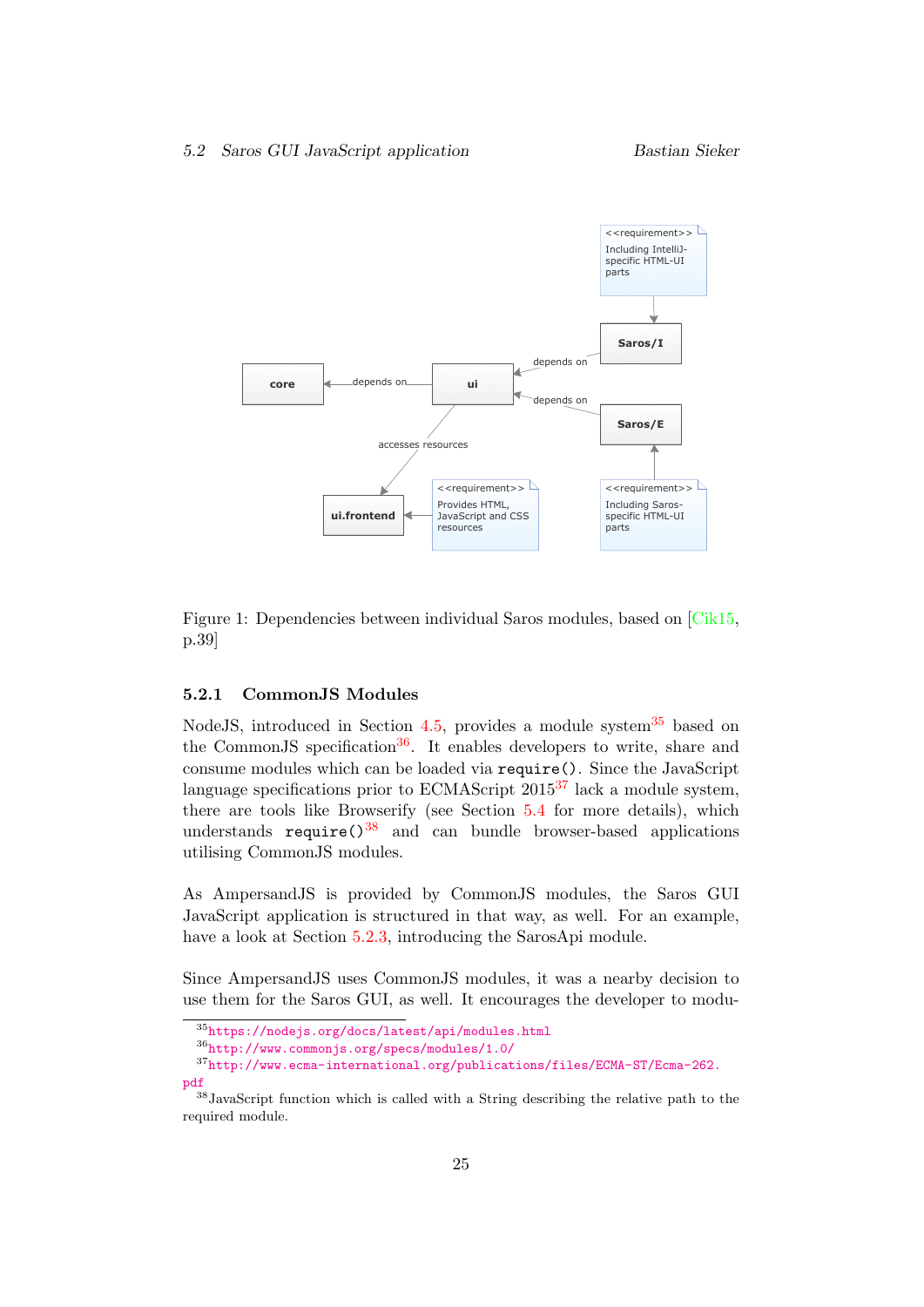<span id="page-29-1"></span>

Figure 1: Dependencies between individual Saros modules, based on [\[Cik15,](#page-61-0) p.39]

#### <span id="page-29-0"></span>5.2.1 CommonJS Modules

NodeJS, introduced in Section [4.5,](#page-26-0) provides a module system  $35$  based on the CommonJS specification<sup>[36](#page-29-3)</sup>. It enables developers to write, share and consume modules which can be loaded via require(). Since the JavaScript language specifications prior to ECMAScript  $2015^{37}$  $2015^{37}$  $2015^{37}$  lack a module system, there are tools like Browserify (see Section [5.4](#page-38-0) for more details), which understands require( $\frac{38}{8}$  $\frac{38}{8}$  $\frac{38}{8}$  and can bundle browser-based applications utilising CommonJS modules.

As AmpersandJS is provided by CommonJS modules, the Saros GUI JavaScript application is structured in that way, as well. For an example, have a look at Section [5.2.3,](#page-30-1) introducing the SarosApi module.

Since AmpersandJS uses CommonJS modules, it was a nearby decision to use them for the Saros GUI, as well. It encourages the developer to modu-

<span id="page-29-3"></span><span id="page-29-2"></span><sup>35</sup><https://nodejs.org/docs/latest/api/modules.html>

<span id="page-29-4"></span><sup>36</sup><http://www.commonjs.org/specs/modules/1.0/>

<sup>37</sup>[http://www.ecma-international.org/publications/files/ECMA-ST/Ecma-262.](http://www.ecma-international.org/publications/files/ECMA-ST/Ecma-262.pdf) [pdf](http://www.ecma-international.org/publications/files/ECMA-ST/Ecma-262.pdf)

<span id="page-29-5"></span><sup>38</sup>JavaScript function which is called with a String describing the relative path to the required module.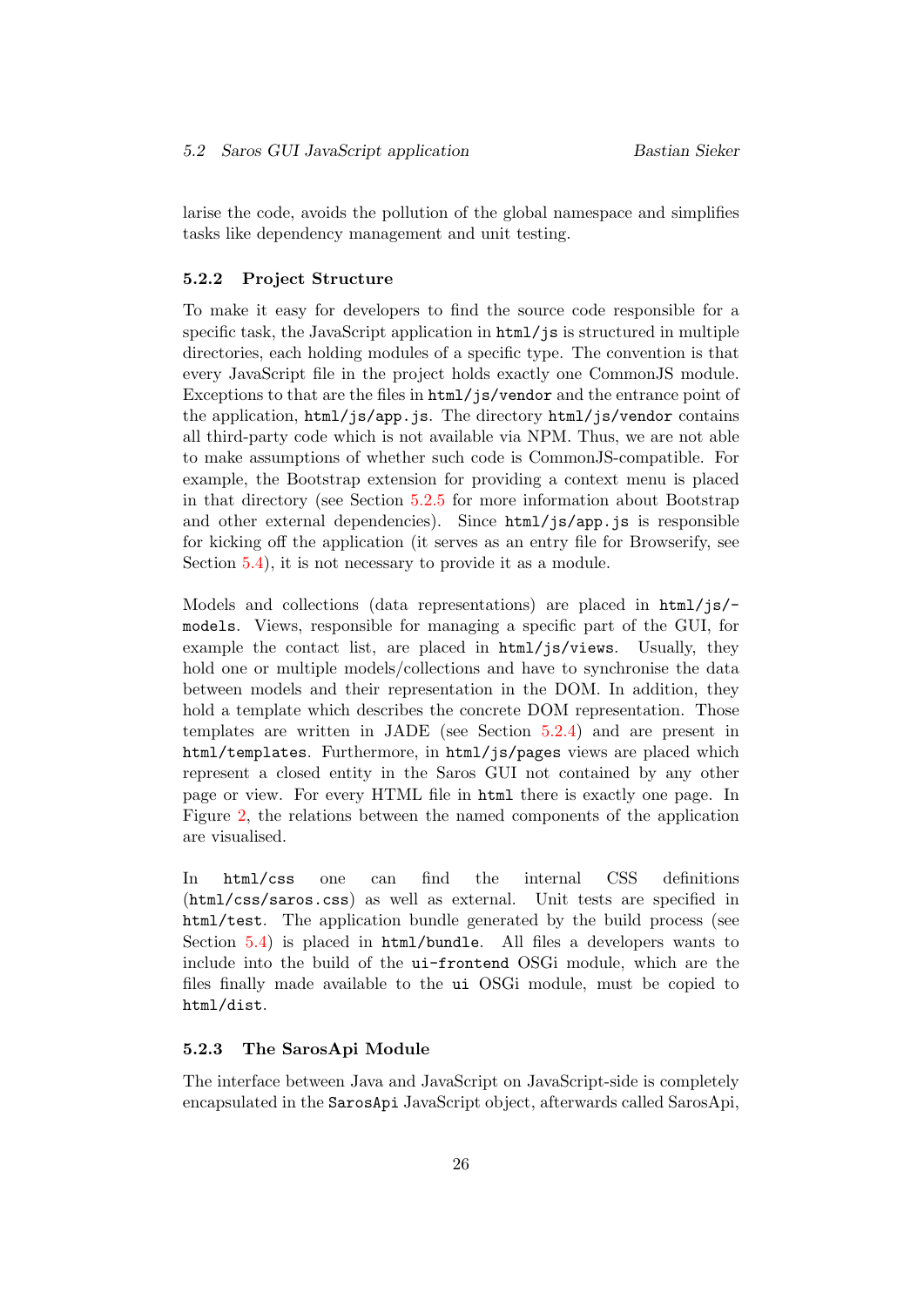larise the code, avoids the pollution of the global namespace and simplifies tasks like dependency management and unit testing.

#### <span id="page-30-0"></span>5.2.2 Project Structure

To make it easy for developers to find the source code responsible for a specific task, the JavaScript application in  $html/$  is structured in multiple directories, each holding modules of a specific type. The convention is that every JavaScript file in the project holds exactly one CommonJS module. Exceptions to that are the files in html/js/vendor and the entrance point of the application, html/js/app.js. The directory html/js/vendor contains all third-party code which is not available via NPM. Thus, we are not able to make assumptions of whether such code is CommonJS-compatible. For example, the Bootstrap extension for providing a context menu is placed in that directory (see Section [5.2.5](#page-33-1) for more information about Bootstrap and other external dependencies). Since  $html/js/app.$  is is responsible for kicking off the application (it serves as an entry file for Browserify, see Section [5.4\)](#page-38-0), it is not necessary to provide it as a module.

Models and collections (data representations) are placed in  $html/js/$ models. Views, responsible for managing a specific part of the GUI, for example the contact list, are placed in html/js/views. Usually, they hold one or multiple models/collections and have to synchronise the data between models and their representation in the DOM. In addition, they hold a template which describes the concrete DOM representation. Those templates are written in JADE (see Section [5.2.4\)](#page-33-0) and are present in html/templates. Furthermore, in html/js/pages views are placed which represent a closed entity in the Saros GUI not contained by any other page or view. For every HTML file in html there is exactly one page. In Figure [2,](#page-31-0) the relations between the named components of the application are visualised.

In html/css one can find the internal CSS definitions (html/css/saros.css) as well as external. Unit tests are specified in html/test. The application bundle generated by the build process (see Section [5.4\)](#page-38-0) is placed in html/bundle. All files a developers wants to include into the build of the ui-frontend OSGi module, which are the files finally made available to the ui OSGi module, must be copied to html/dist.

#### <span id="page-30-1"></span>5.2.3 The SarosApi Module

The interface between Java and JavaScript on JavaScript-side is completely encapsulated in the SarosApi JavaScript object, afterwards called SarosApi,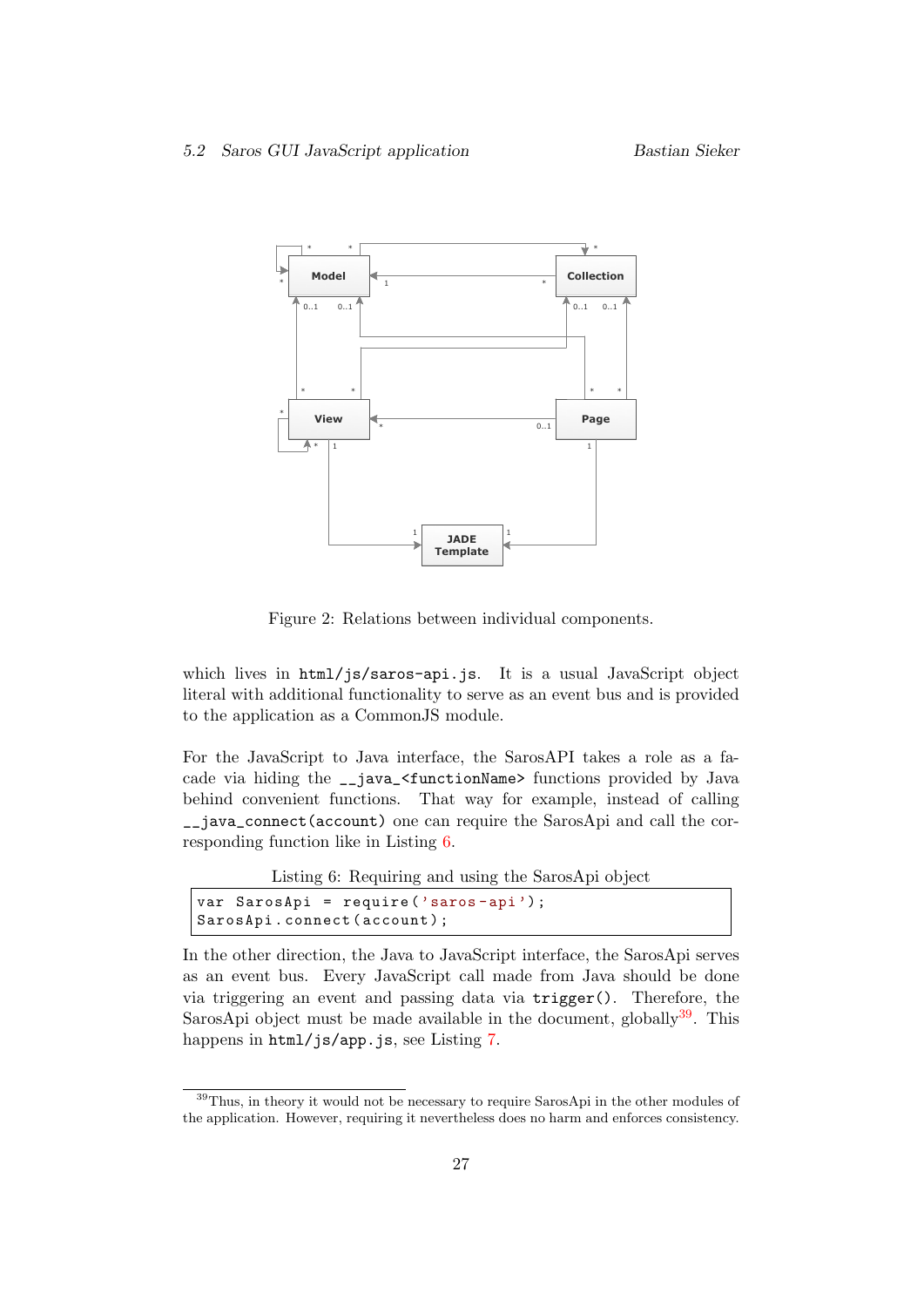<span id="page-31-0"></span>

Figure 2: Relations between individual components.

which lives in html/js/saros-api.js. It is a usual JavaScript object literal with additional functionality to serve as an event bus and is provided to the application as a CommonJS module.

For the JavaScript to Java interface, the SarosAPI takes a role as a facade via hiding the \_\_java\_<functionName> functions provided by Java behind convenient functions. That way for example, instead of calling \_\_java\_connect(account) one can require the SarosApi and call the corresponding function like in Listing [6.](#page-31-1)

Listing 6: Requiring and using the SarosApi object

```
var SarosApi = require ('saros-api');
SarosApi.connect(account);
```
In the other direction, the Java to JavaScript interface, the SarosApi serves as an event bus. Every JavaScript call made from Java should be done via triggering an event and passing data via trigger(). Therefore, the SarosApi object must be made available in the document, globally  $39$ . This happens in html/js/app.js, see Listing [7.](#page-32-0)

<span id="page-31-2"></span><sup>39</sup>Thus, in theory it would not be necessary to require SarosApi in the other modules of the application. However, requiring it nevertheless does no harm and enforces consistency.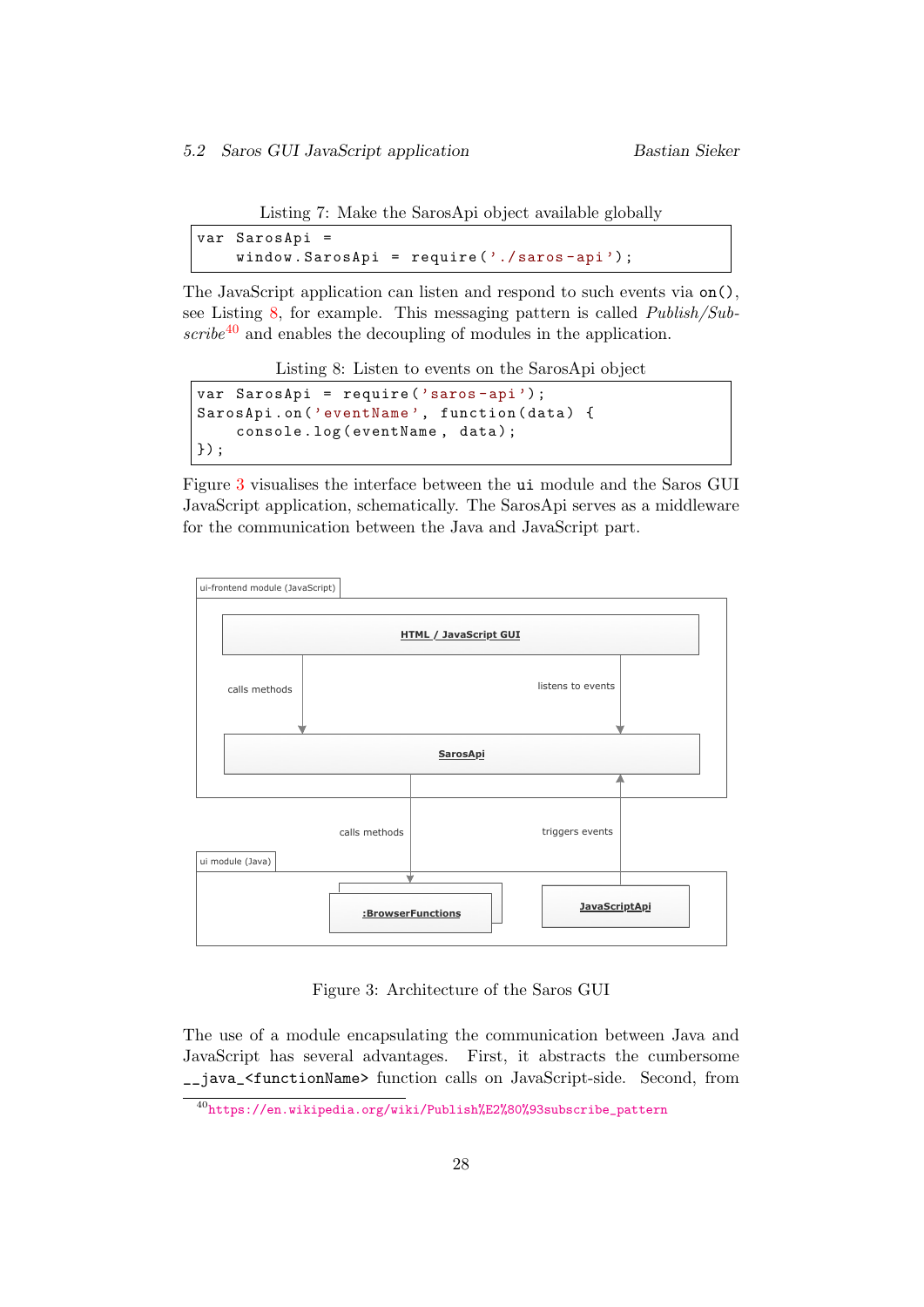Listing 7: Make the SarosApi object available globally

```
var SarosApi =
    window . SarosApi = require ('./ saros -api ') ;
```
The JavaScript application can listen and respond to such events via on(), see Listing [8,](#page-32-1) for example. This messaging pattern is called Publish/Sub- $scribe^{40}$  $scribe^{40}$  $scribe^{40}$  and enables the decoupling of modules in the application.

Listing 8: Listen to events on the SarosApi object

```
var SarosApi = require ('saros -api ') ;
SarosApi.on ('eventName', function (data) {
    console.log ( eventName, data);
}) ;
```
Figure [3](#page-32-3) visualises the interface between the ui module and the Saros GUI JavaScript application, schematically. The SarosApi serves as a middleware for the communication between the Java and JavaScript part.

<span id="page-32-3"></span>

Figure 3: Architecture of the Saros GUI

The use of a module encapsulating the communication between Java and JavaScript has several advantages. First, it abstracts the cumbersome \_\_java\_<functionName> function calls on JavaScript-side. Second, from

<span id="page-32-2"></span><sup>40</sup>[https://en.wikipedia.org/wiki/Publish%E2%80%93subscribe\\_pattern](https://en.wikipedia.org/wiki/Publish%E2%80%93subscribe_pattern)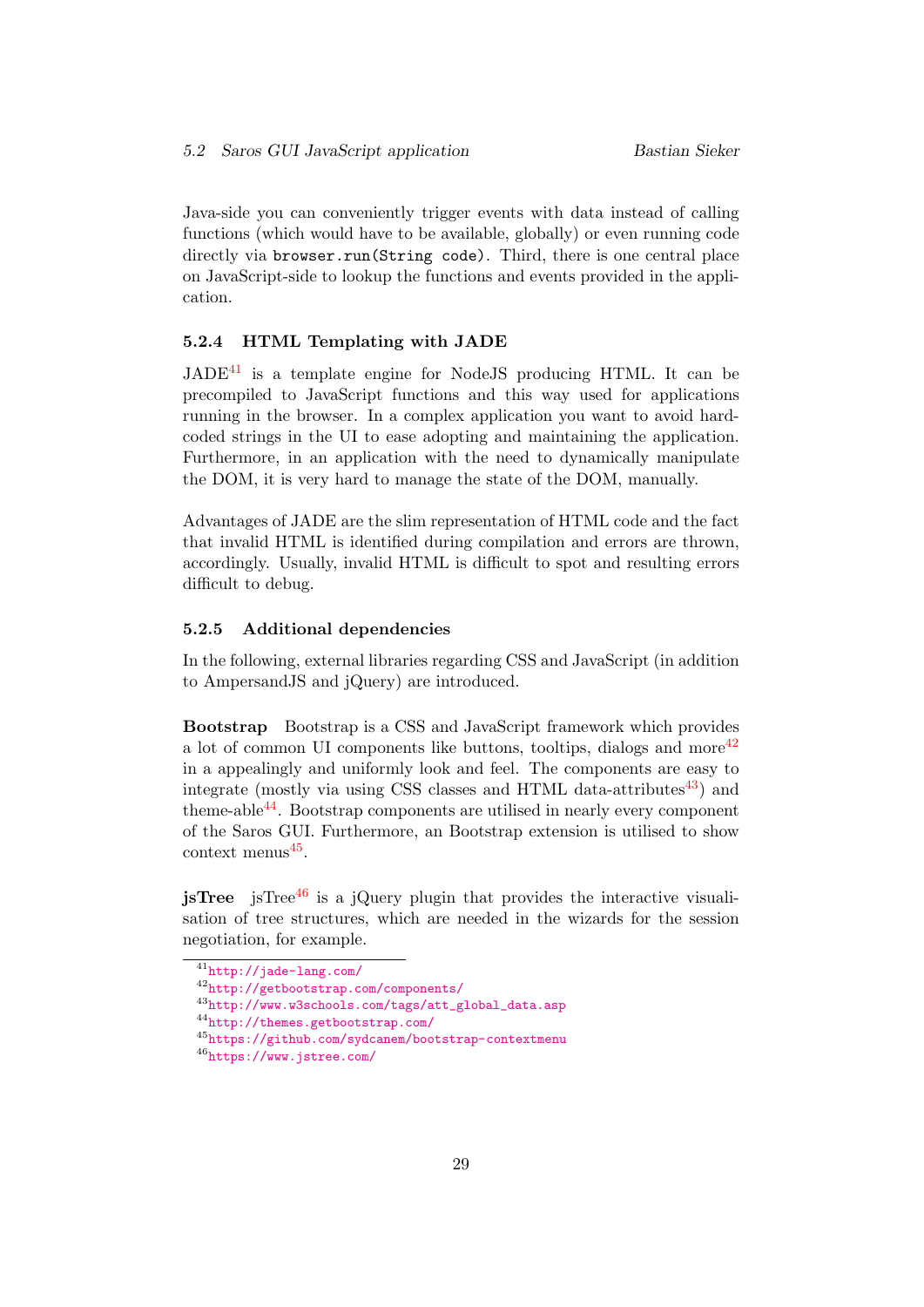Java-side you can conveniently trigger events with data instead of calling functions (which would have to be available, globally) or even running code directly via browser.run(String code). Third, there is one central place on JavaScript-side to lookup the functions and events provided in the application.

#### <span id="page-33-0"></span>5.2.4 HTML Templating with JADE

 $JADE^{41}$  $JADE^{41}$  $JADE^{41}$  is a template engine for NodeJS producing HTML. It can be precompiled to JavaScript functions and this way used for applications running in the browser. In a complex application you want to avoid hardcoded strings in the UI to ease adopting and maintaining the application. Furthermore, in an application with the need to dynamically manipulate the DOM, it is very hard to manage the state of the DOM, manually.

Advantages of JADE are the slim representation of HTML code and the fact that invalid HTML is identified during compilation and errors are thrown, accordingly. Usually, invalid HTML is difficult to spot and resulting errors difficult to debug.

#### <span id="page-33-1"></span>5.2.5 Additional dependencies

In the following, external libraries regarding CSS and JavaScript (in addition to AmpersandJS and jQuery) are introduced.

Bootstrap Bootstrap is a CSS and JavaScript framework which provides a lot of common UI components like buttons, tooltips, dialogs and more<sup>[42](#page-33-3)</sup> in a appealingly and uniformly look and feel. The components are easy to integrate (mostly via using CSS classes and HTML data-attributes<sup>[43](#page-33-4)</sup>) and theme-able  $44$ . Bootstrap components are utilised in nearly every component of the Saros GUI. Furthermore, an Bootstrap extension is utilised to show  $\text{context menus}^{45}$  $\text{context menus}^{45}$  $\text{context menus}^{45}$ .

**isTree** isTree<sup>[46](#page-33-7)</sup> is a jQuery plugin that provides the interactive visualisation of tree structures, which are needed in the wizards for the session negotiation, for example.

<span id="page-33-2"></span><sup>41</sup><http://jade-lang.com/>

<span id="page-33-3"></span><sup>42</sup><http://getbootstrap.com/components/>

<span id="page-33-4"></span><sup>43</sup>[http://www.w3schools.com/tags/att\\_global\\_data.asp](http://www.w3schools.com/tags/att_global_data.asp)

<span id="page-33-5"></span><sup>44</sup><http://themes.getbootstrap.com/>

<span id="page-33-6"></span><sup>45</sup><https://github.com/sydcanem/bootstrap-contextmenu>

<span id="page-33-7"></span><sup>46</sup><https://www.jstree.com/>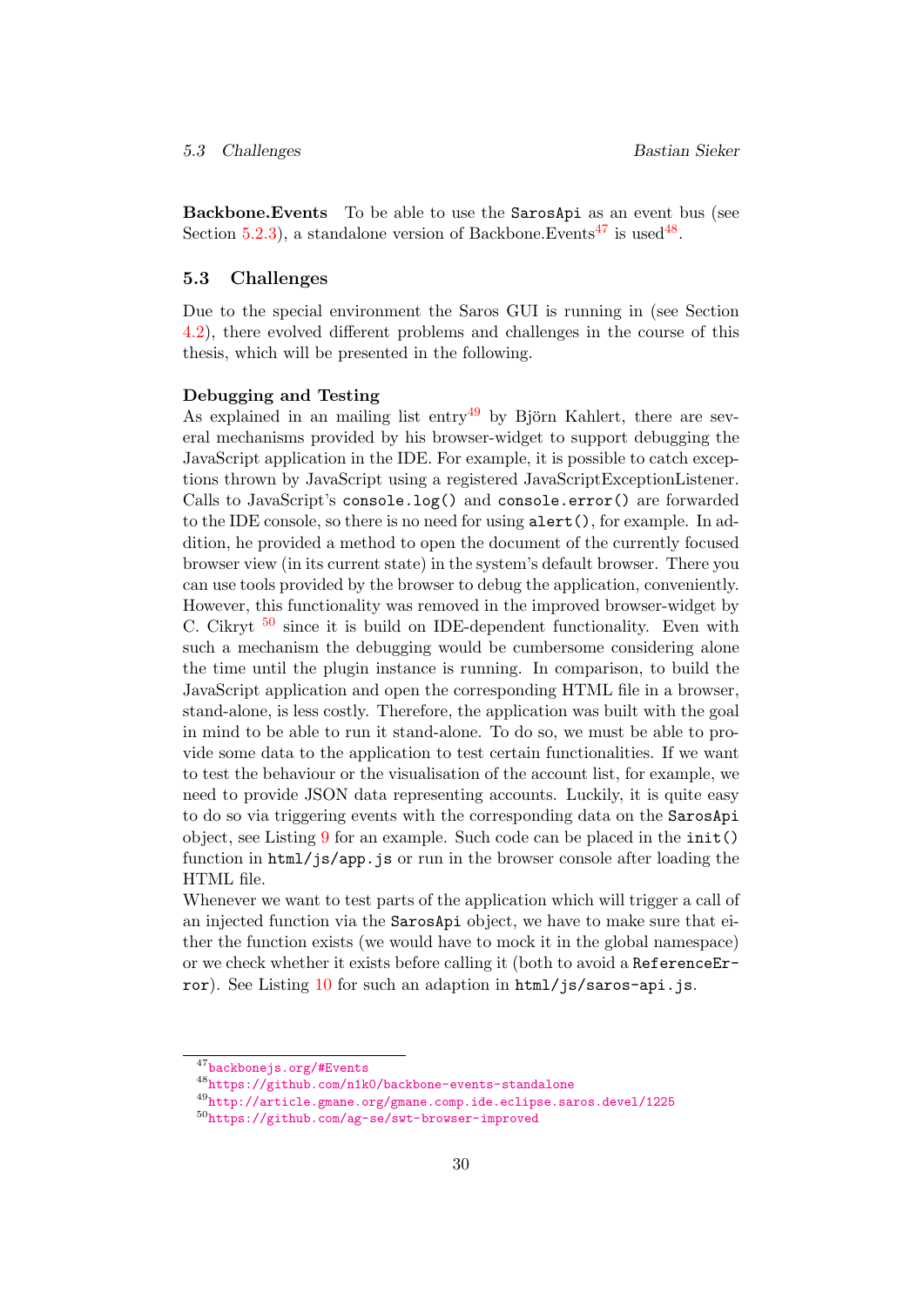Backbone.Events To be able to use the SarosApi as an event bus (see Section [5.2.3\)](#page-30-1), a standalone version of Backbone. Events<sup>[47](#page-34-1)</sup> is used<sup>[48](#page-34-2)</sup>.

#### <span id="page-34-0"></span>5.3 Challenges

Due to the special environment the Saros GUI is running in (see Section [4.2\)](#page-18-0), there evolved different problems and challenges in the course of this thesis, which will be presented in the following.

#### Debugging and Testing

As explained in an mailing list entry<sup>[49](#page-34-3)</sup> by Björn Kahlert, there are several mechanisms provided by his browser-widget to support debugging the JavaScript application in the IDE. For example, it is possible to catch exceptions thrown by JavaScript using a registered JavaScriptExceptionListener. Calls to JavaScript's console.log() and console.error() are forwarded to the IDE console, so there is no need for using alert(), for example. In addition, he provided a method to open the document of the currently focused browser view (in its current state) in the system's default browser. There you can use tools provided by the browser to debug the application, conveniently. However, this functionality was removed in the improved browser-widget by C. Cikryt  $50$  since it is build on IDE-dependent functionality. Even with such a mechanism the debugging would be cumbersome considering alone the time until the plugin instance is running. In comparison, to build the JavaScript application and open the corresponding HTML file in a browser, stand-alone, is less costly. Therefore, the application was built with the goal in mind to be able to run it stand-alone. To do so, we must be able to provide some data to the application to test certain functionalities. If we want to test the behaviour or the visualisation of the account list, for example, we need to provide JSON data representing accounts. Luckily, it is quite easy to do so via triggering events with the corresponding data on the SarosApi object, see Listing [9](#page-35-0) for an example. Such code can be placed in the init() function in html/js/app.js or run in the browser console after loading the HTML file.

Whenever we want to test parts of the application which will trigger a call of an injected function via the SarosApi object, we have to make sure that either the function exists (we would have to mock it in the global namespace) or we check whether it exists before calling it (both to avoid a ReferenceEr-ror). See Listing [10](#page-35-1) for such an adaption in html/js/saros-api.js.

<span id="page-34-1"></span><sup>47</sup><backbonejs.org/#Events>

<span id="page-34-2"></span><sup>48</sup><https://github.com/n1k0/backbone-events-standalone>

<span id="page-34-3"></span><sup>49</sup><http://article.gmane.org/gmane.comp.ide.eclipse.saros.devel/1225>

<span id="page-34-4"></span><sup>50</sup><https://github.com/ag-se/swt-browser-improved>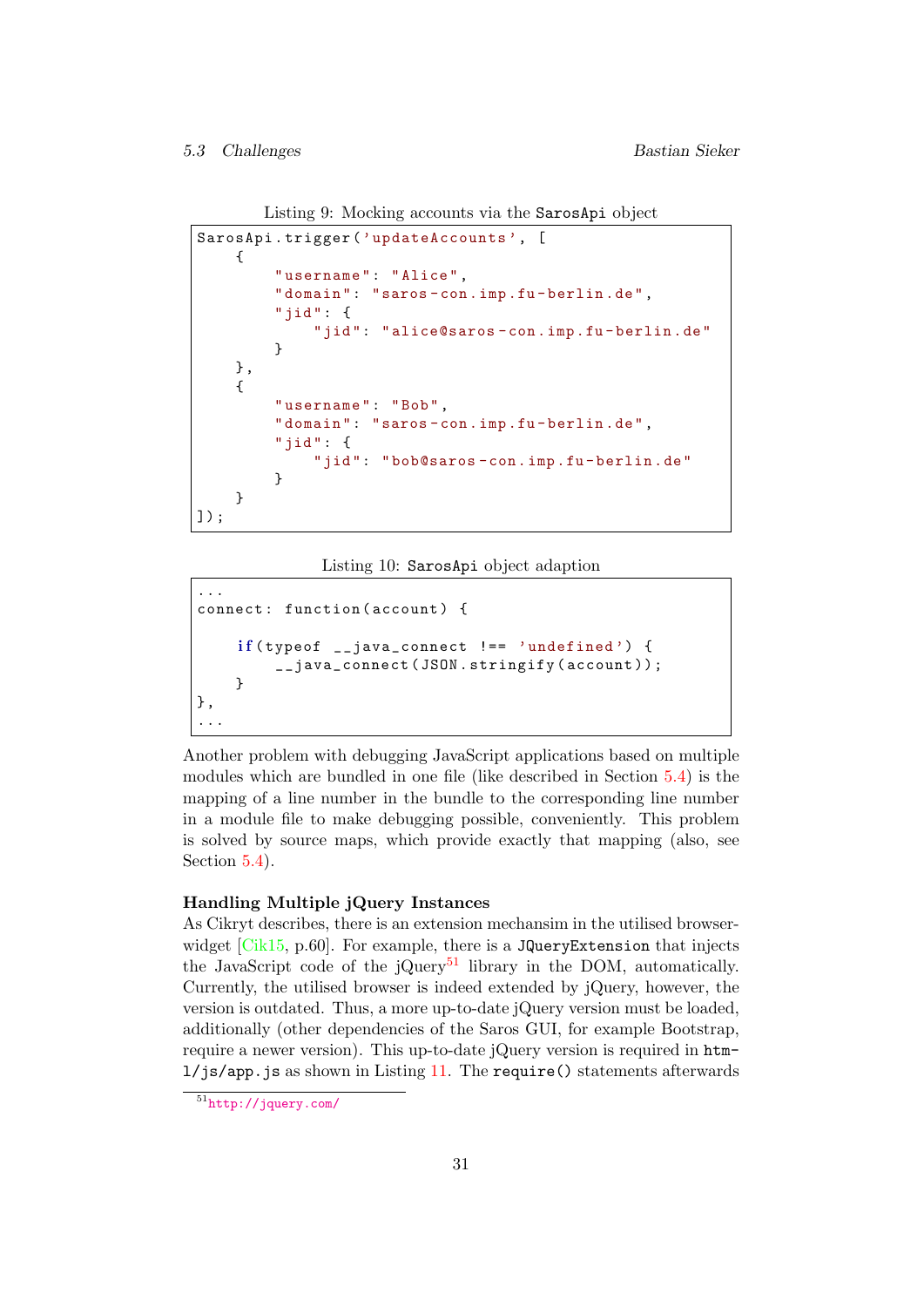5.3 Challenges Bastian Sieker

```
Listing 9: Mocking accounts via the SarosApi object
```

```
SarosApi . trigger (' updateAccounts ', [
    {
         "username": "Alice",
         " domain": "saros-con.imp.fu-berlin.de",
         "jid": {
             "jid": "alice@saros-con.imp.fu-berlin.de"
        }
    },
    {
        " username ": "Bob",
         " domain": "saros-con.imp.fu-berlin.de",
         "jid": {
             "jid": "bob@saros-con.imp.fu-berlin.de"
        }
    }
]) ;
```
Listing 10: SarosApi object adaption

```
...
connect: function (account) {
    if(typeof \_java\_connect :== 'undefined')__java_connect ( JSON . stringify ( account ) );
    }
},
...
```
Another problem with debugging JavaScript applications based on multiple modules which are bundled in one file (like described in Section [5.4\)](#page-38-0) is the mapping of a line number in the bundle to the corresponding line number in a module file to make debugging possible, conveniently. This problem is solved by source maps, which provide exactly that mapping (also, see Section  $5.4$ ).

### Handling Multiple jQuery Instances

As Cikryt describes, there is an extension mechansim in the utilised browserwidget  $[Cik15, p.60]$  $[Cik15, p.60]$ . For example, there is a JQueryExtension that injects the JavaScript code of the jQuery<sup>[51](#page-35-2)</sup> library in the DOM, automatically. Currently, the utilised browser is indeed extended by jQuery, however, the version is outdated. Thus, a more up-to-date jQuery version must be loaded, additionally (other dependencies of the Saros GUI, for example Bootstrap, require a newer version). This up-to-date jQuery version is required in html/js/app.js as shown in Listing [11.](#page-36-0) The require() statements afterwards

<span id="page-35-2"></span><sup>51</sup><http://jquery.com/>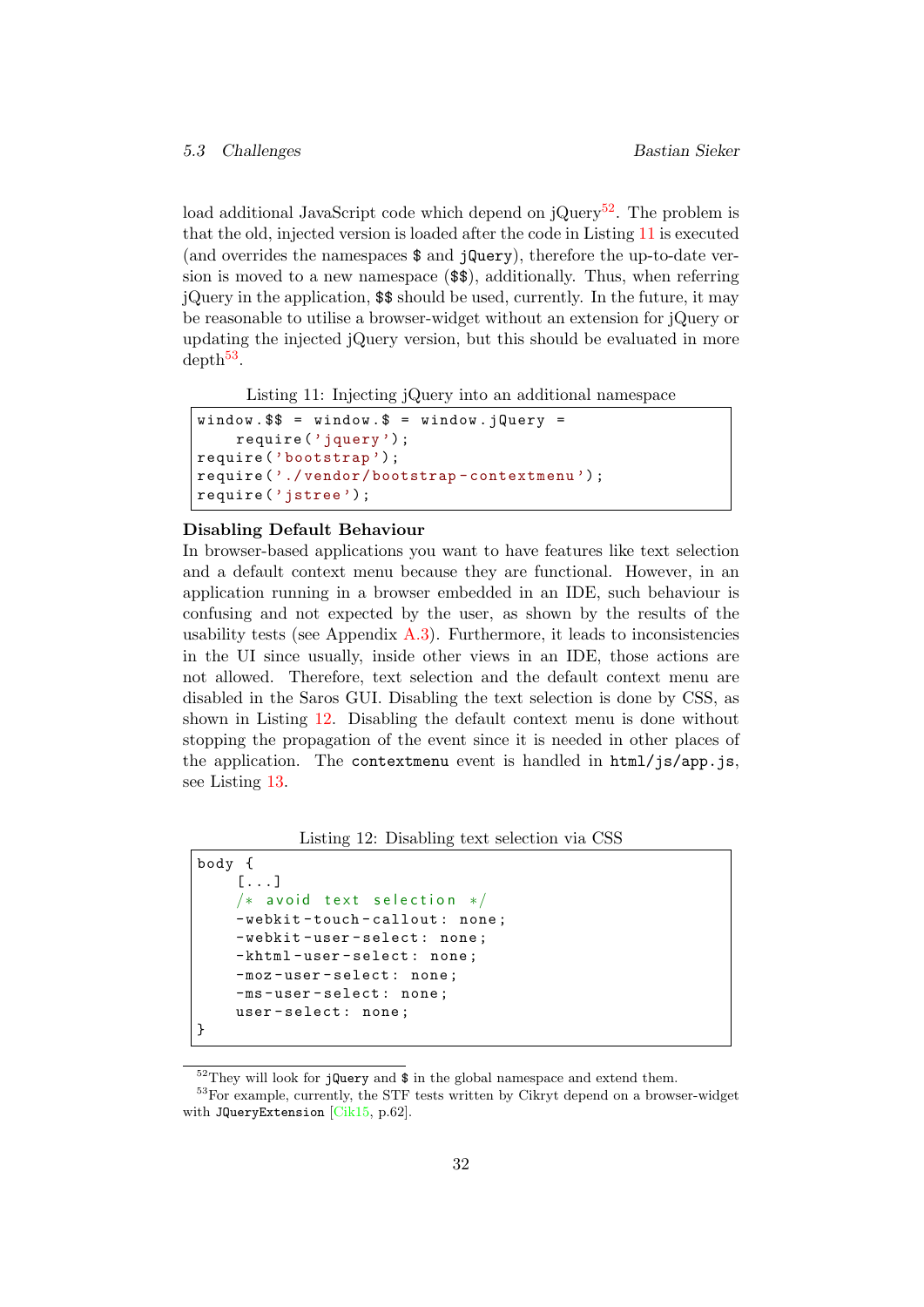load additional JavaScript code which depend on  $iQu$ ery<sup>[52](#page-36-1)</sup>. The problem is that the old, injected version is loaded after the code in Listing [11](#page-36-0) is executed (and overrides the namespaces \$ and jQuery), therefore the up-to-date version is moved to a new namespace (\$\$), additionally. Thus, when referring jQuery in the application, \$\$ should be used, currently. In the future, it may be reasonable to utilise a browser-widget without an extension for jQuery or updating the injected jQuery version, but this should be evaluated in more  $depth<sup>53</sup>$  $depth<sup>53</sup>$  $depth<sup>53</sup>$ .

Listing 11: Injecting jQuery into an additional namespace

```
window. $ = window. $ = window. iQuery =
    require ('jquery ');
require ('bootstrap ') ;
require ('./ vendor / bootstrap - contextmenu ');
require ('jstree ');
```
#### Disabling Default Behaviour

In browser-based applications you want to have features like text selection and a default context menu because they are functional. However, in an application running in a browser embedded in an IDE, such behaviour is confusing and not expected by the user, as shown by the results of the usability tests (see Appendix  $A.3$ ). Furthermore, it leads to inconsistencies in the UI since usually, inside other views in an IDE, those actions are not allowed. Therefore, text selection and the default context menu are disabled in the Saros GUI. Disabling the text selection is done by CSS, as shown in Listing [12.](#page-36-3) Disabling the default context menu is done without stopping the propagation of the event since it is needed in other places of the application. The contextmenu event is handled in  $html/js/app.js$ , see Listing [13.](#page-37-0)

Listing 12: Disabling text selection via CSS

```
body {
    [...]
    /* avoid text selection */-webkit-touch-callout: none;
    -webkit-user-select: none;
    -khtml-user-select: none;
    -moz - user - select : none ;
    -ms - user - select : none ;
    user - select : none ;
}
```
<span id="page-36-2"></span><span id="page-36-1"></span> $52$ They will look for jQuery and  $\$ in the global namespace and extend them.

<sup>53</sup>For example, currently, the STF tests written by Cikryt depend on a browser-widget with JQueryExtension [\[Cik15,](#page-61-0) p.62].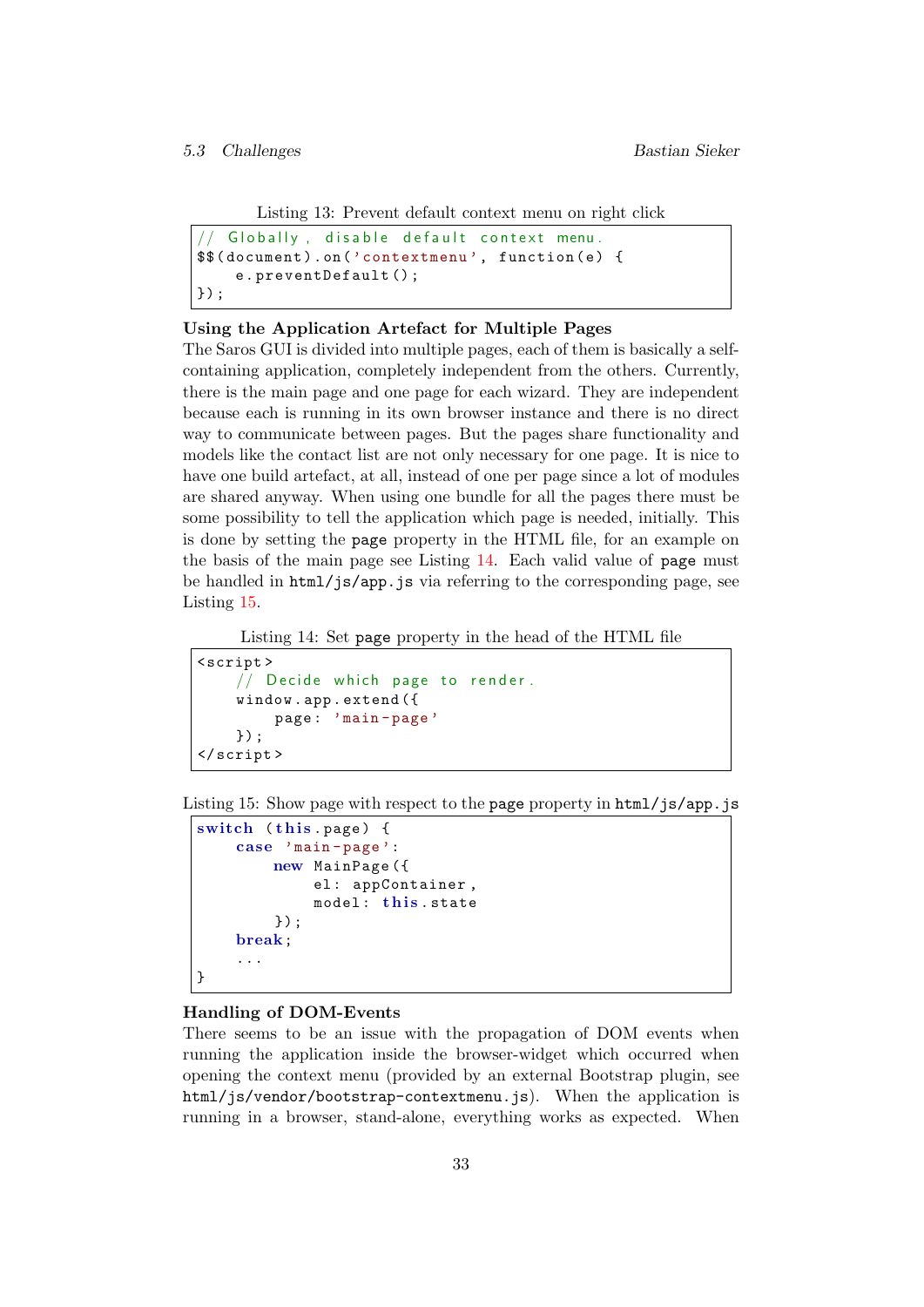```
Listing 13: Prevent default context menu on right click
```

```
Globally, disable default context menu.
$$ ( document ). on ('contextmenu ', function ( e) {
    e. preventDefault () ;
}) ;
```
#### Using the Application Artefact for Multiple Pages

The Saros GUI is divided into multiple pages, each of them is basically a selfcontaining application, completely independent from the others. Currently, there is the main page and one page for each wizard. They are independent because each is running in its own browser instance and there is no direct way to communicate between pages. But the pages share functionality and models like the contact list are not only necessary for one page. It is nice to have one build artefact, at all, instead of one per page since a lot of modules are shared anyway. When using one bundle for all the pages there must be some possibility to tell the application which page is needed, initially. This is done by setting the page property in the HTML file, for an example on the basis of the main page see Listing [14.](#page-37-1) Each valid value of page must be handled in html/js/app.js via referring to the corresponding page, see Listing [15.](#page-37-2)

Listing 14: Set page property in the head of the HTML file

```
< script >
    // Decide which page to render.
    window . app . extend ({
         page : 'main - page '
    }) ;
</ script >
```
<span id="page-37-2"></span>Listing 15: Show page with respect to the page property in html/js/app.js

```
switch (this.page) {
    case 'main - page ':
        new MainPage ({
             el: appContainer,
             model: this.state
         }) ;
    break;
    ...
}
```
#### Handling of DOM-Events

There seems to be an issue with the propagation of DOM events when running the application inside the browser-widget which occurred when opening the context menu (provided by an external Bootstrap plugin, see html/js/vendor/bootstrap-contextmenu.js). When the application is running in a browser, stand-alone, everything works as expected. When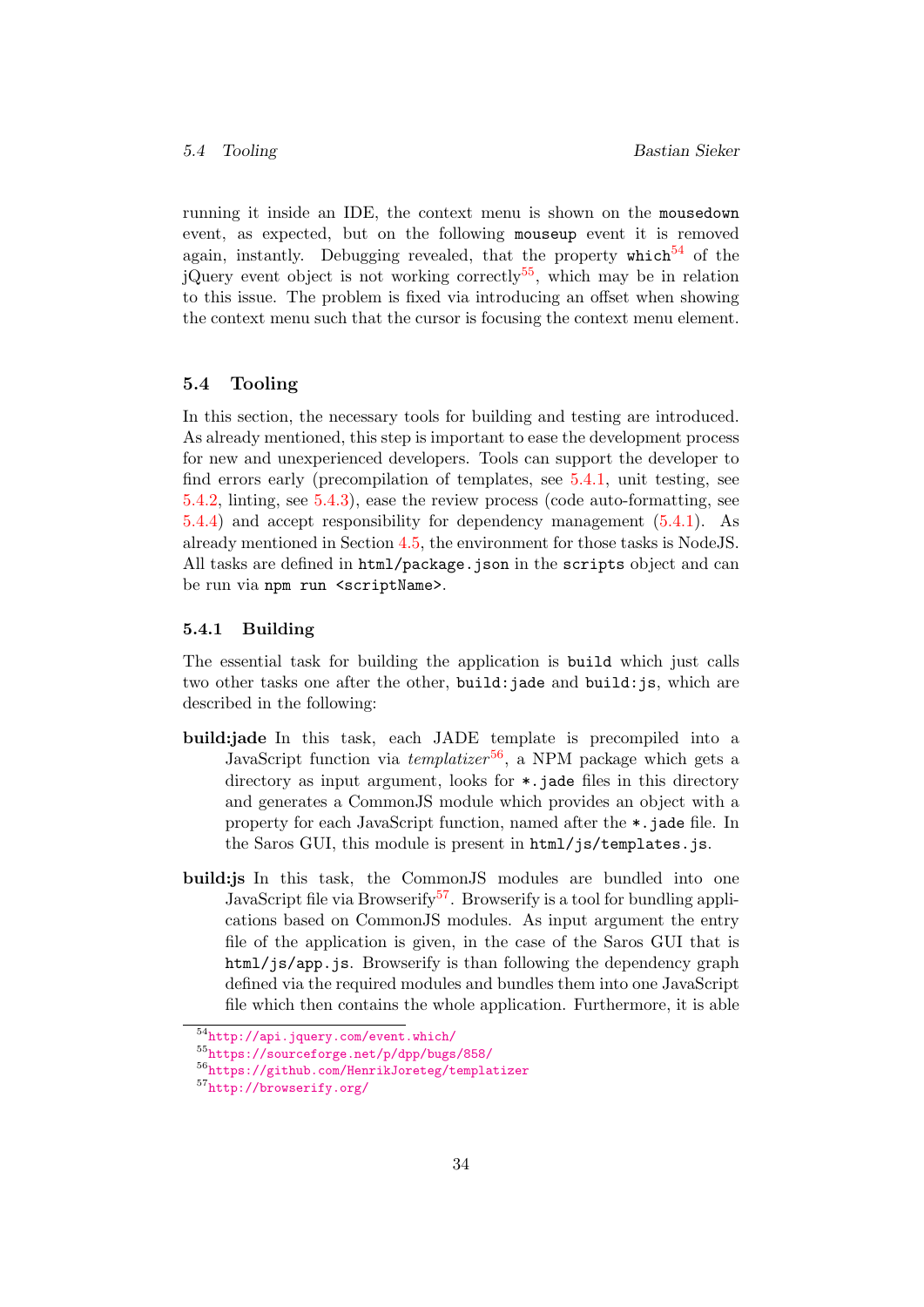running it inside an IDE, the context menu is shown on the mousedown event, as expected, but on the following mouseup event it is removed again, instantly. Debugging revealed, that the property  $which^{54}$  $which^{54}$  $which^{54}$  of the jQuery event object is not working correctly<sup>[55](#page-38-3)</sup>, which may be in relation to this issue. The problem is fixed via introducing an offset when showing the context menu such that the cursor is focusing the context menu element.

#### <span id="page-38-0"></span>5.4 Tooling

In this section, the necessary tools for building and testing are introduced. As already mentioned, this step is important to ease the development process for new and unexperienced developers. Tools can support the developer to find errors early (precompilation of templates, see [5.4.1,](#page-38-1) unit testing, see [5.4.2,](#page-39-0) linting, see [5.4.3\)](#page-39-1), ease the review process (code auto-formatting, see [5.4.4\)](#page-39-2) and accept responsibility for dependency management [\(5.4.1\)](#page-38-1). As already mentioned in Section [4.5,](#page-26-0) the environment for those tasks is NodeJS. All tasks are defined in html/package.json in the scripts object and can be run via npm run <scriptName>.

#### <span id="page-38-1"></span>5.4.1 Building

The essential task for building the application is build which just calls two other tasks one after the other, build:jade and build:js, which are described in the following:

- build:jade In this task, each JADE template is precompiled into a JavaScript function via  $template r^{56}$  $template r^{56}$  $template r^{56}$ , a NPM package which gets a directory as input argument, looks for  $\ast$ , jade files in this directory and generates a CommonJS module which provides an object with a property for each JavaScript function, named after the \*.jade file. In the Saros GUI, this module is present in  $html/$ js/templates.js.
- build:js In this task, the CommonJS modules are bundled into one JavaScript file via Browserify<sup>[57](#page-38-5)</sup>. Browserify is a tool for bundling applications based on CommonJS modules. As input argument the entry file of the application is given, in the case of the Saros GUI that is html/js/app.js. Browserify is than following the dependency graph defined via the required modules and bundles them into one JavaScript file which then contains the whole application. Furthermore, it is able

<span id="page-38-2"></span><sup>54</sup><http://api.jquery.com/event.which/>

<span id="page-38-3"></span><sup>55</sup><https://sourceforge.net/p/dpp/bugs/858/>

<span id="page-38-4"></span><sup>56</sup><https://github.com/HenrikJoreteg/templatizer>

<span id="page-38-5"></span><sup>57</sup><http://browserify.org/>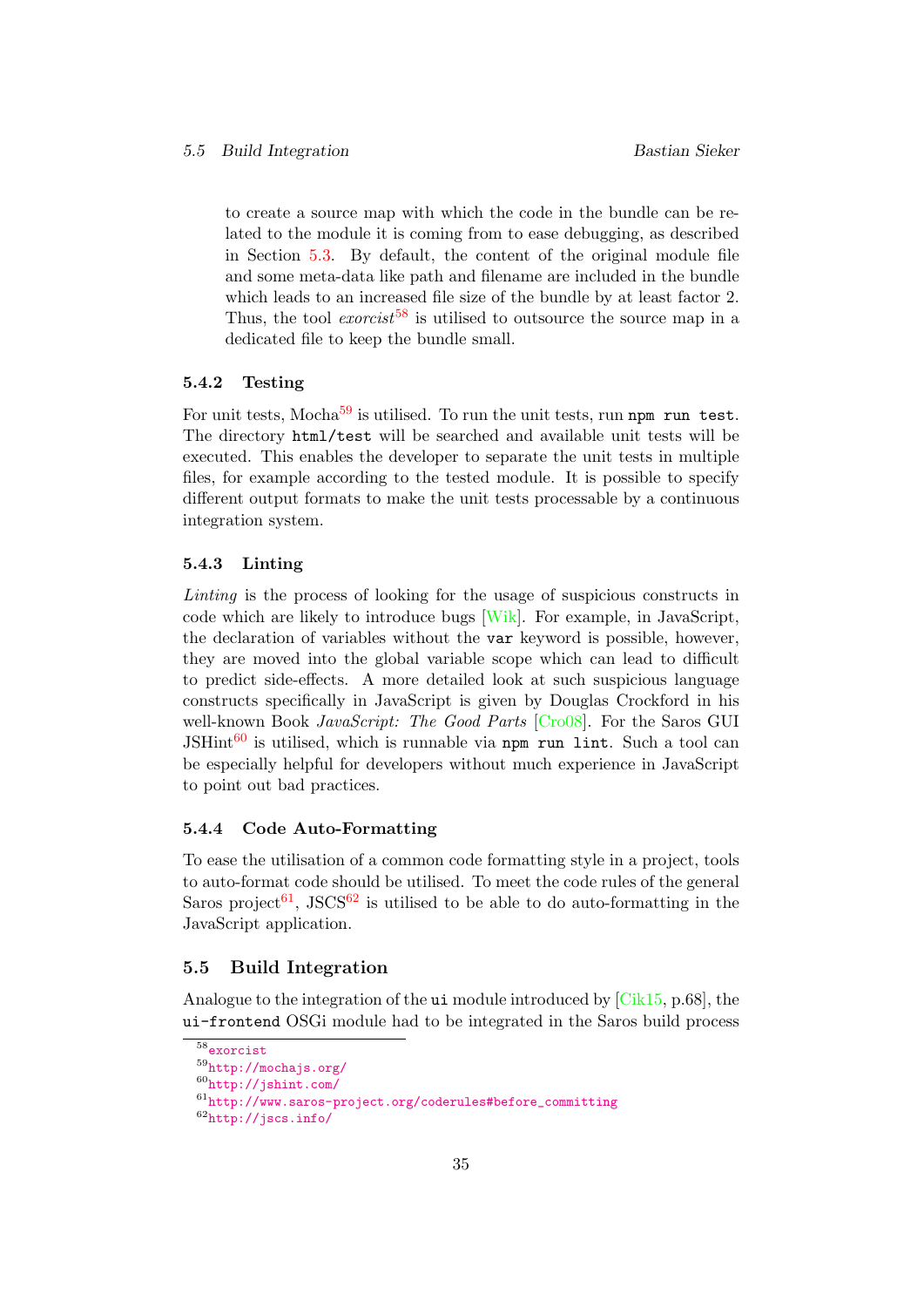to create a source map with which the code in the bundle can be related to the module it is coming from to ease debugging, as described in Section [5.3.](#page-34-0) By default, the content of the original module file and some meta-data like path and filename are included in the bundle which leads to an increased file size of the bundle by at least factor 2. Thus, the tool express to utilised to outsource the source map in a dedicated file to keep the bundle small.

#### <span id="page-39-0"></span>5.4.2 Testing

For unit tests, Mocha $59$  is utilised. To run the unit tests, run npm run test. The directory html/test will be searched and available unit tests will be executed. This enables the developer to separate the unit tests in multiple files, for example according to the tested module. It is possible to specify different output formats to make the unit tests processable by a continuous integration system.

#### <span id="page-39-1"></span>5.4.3 Linting

Linting is the process of looking for the usage of suspicious constructs in code which are likely to introduce bugs [\[Wik\]](#page-62-6). For example, in JavaScript, the declaration of variables without the var keyword is possible, however, they are moved into the global variable scope which can lead to difficult to predict side-effects. A more detailed look at such suspicious language constructs specifically in JavaScript is given by Douglas Crockford in his well-known Book JavaScript: The Good Parts [\[Cro08\]](#page-61-10). For the Saros GUI  $JSHint<sup>60</sup>$  $JSHint<sup>60</sup>$  $JSHint<sup>60</sup>$  is utilised, which is runnable via npm run lint. Such a tool can be especially helpful for developers without much experience in JavaScript to point out bad practices.

#### <span id="page-39-2"></span>5.4.4 Code Auto-Formatting

To ease the utilisation of a common code formatting style in a project, tools to auto-format code should be utilised. To meet the code rules of the general Saros project<sup>[61](#page-39-7)</sup>, JSCS<sup>[62](#page-39-8)</sup> is utilised to be able to do auto-formatting in the JavaScript application.

#### <span id="page-39-3"></span>5.5 Build Integration

Analogue to the integration of the ui module introduced by [\[Cik15,](#page-61-0) p.68], the ui-frontend OSGi module had to be integrated in the Saros build process

<span id="page-39-4"></span><sup>58</sup><exorcist>

<span id="page-39-5"></span><sup>59</sup><http://mochajs.org/>

<span id="page-39-6"></span><sup>60</sup><http://jshint.com/>

<span id="page-39-7"></span><sup>61</sup>[http://www.saros-project.org/coderules#before\\_committing](http://www.saros-project.org/coderules#before_committing)

<span id="page-39-8"></span><sup>62</sup><http://jscs.info/>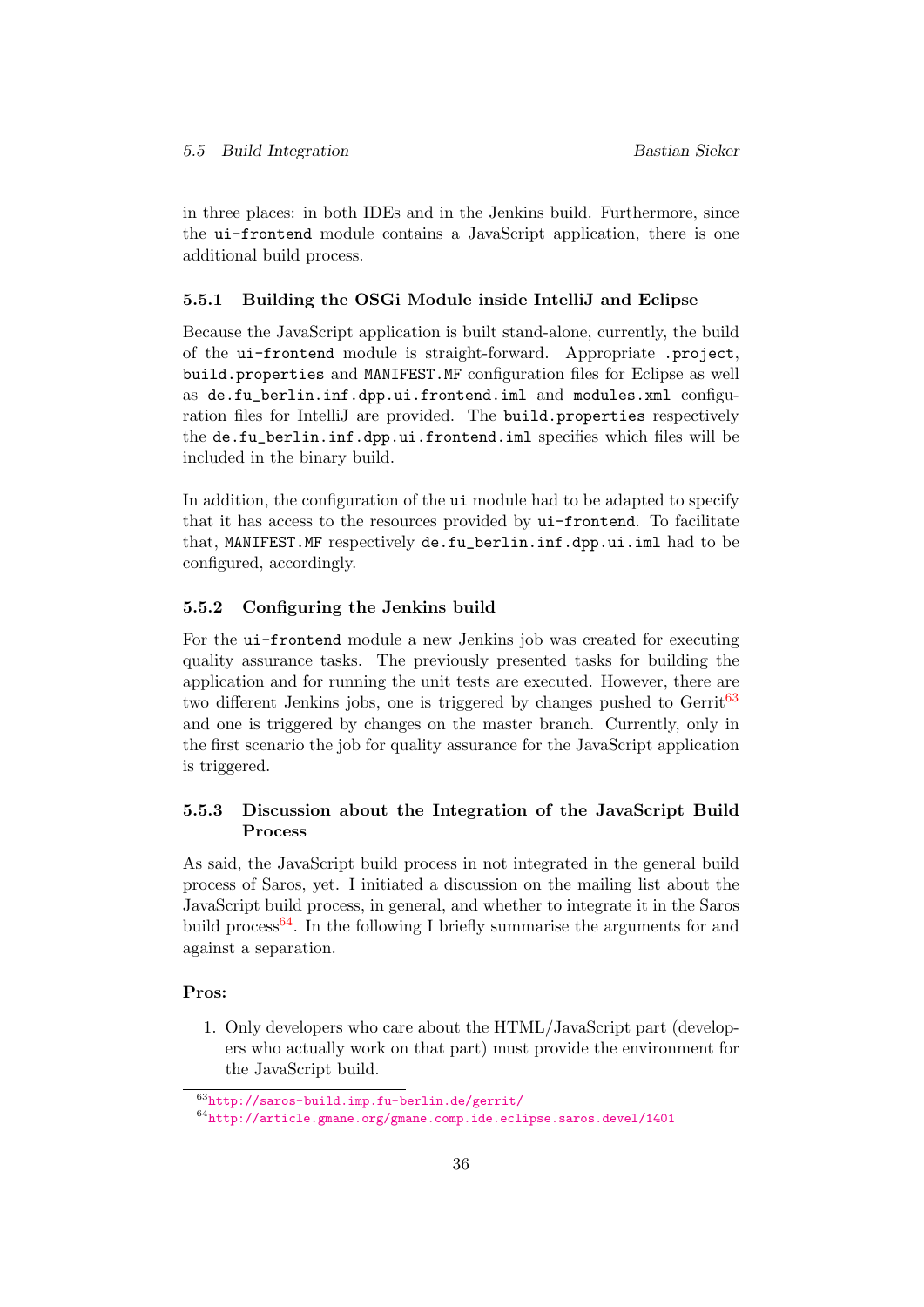in three places: in both IDEs and in the Jenkins build. Furthermore, since the ui-frontend module contains a JavaScript application, there is one additional build process.

#### <span id="page-40-0"></span>5.5.1 Building the OSGi Module inside IntelliJ and Eclipse

Because the JavaScript application is built stand-alone, currently, the build of the ui-frontend module is straight-forward. Appropriate .project, build.properties and MANIFEST.MF configuration files for Eclipse as well as de.fu\_berlin.inf.dpp.ui.frontend.iml and modules.xml configuration files for IntelliJ are provided. The build.properties respectively the de.fu\_berlin.inf.dpp.ui.frontend.iml specifies which files will be included in the binary build.

In addition, the configuration of the ui module had to be adapted to specify that it has access to the resources provided by ui-frontend. To facilitate that, MANIFEST.MF respectively de.fu\_berlin.inf.dpp.ui.iml had to be configured, accordingly.

#### <span id="page-40-1"></span>5.5.2 Configuring the Jenkins build

For the ui-frontend module a new Jenkins job was created for executing quality assurance tasks. The previously presented tasks for building the application and for running the unit tests are executed. However, there are two different Jenkins jobs, one is triggered by changes pushed to  $G$ errit<sup>[63](#page-40-3)</sup> and one is triggered by changes on the master branch. Currently, only in the first scenario the job for quality assurance for the JavaScript application is triggered.

# <span id="page-40-2"></span>5.5.3 Discussion about the Integration of the JavaScript Build Process

As said, the JavaScript build process in not integrated in the general build process of Saros, yet. I initiated a discussion on the mailing list about the JavaScript build process, in general, and whether to integrate it in the Saros build process  $64$ . In the following I briefly summarise the arguments for and against a separation.

#### Pros:

1. Only developers who care about the HTML/JavaScript part (developers who actually work on that part) must provide the environment for the JavaScript build.

<span id="page-40-3"></span><sup>63</sup><http://saros-build.imp.fu-berlin.de/gerrit/>

<span id="page-40-4"></span> $^{64}\mathrm{http://article.gmane.org/gmane.comp.ide.eclipse.saros.devel/1401}$  $^{64}\mathrm{http://article.gmane.org/gmane.comp.ide.eclipse.saros.devel/1401}$  $^{64}\mathrm{http://article.gmane.org/gmane.comp.ide.eclipse.saros.devel/1401}$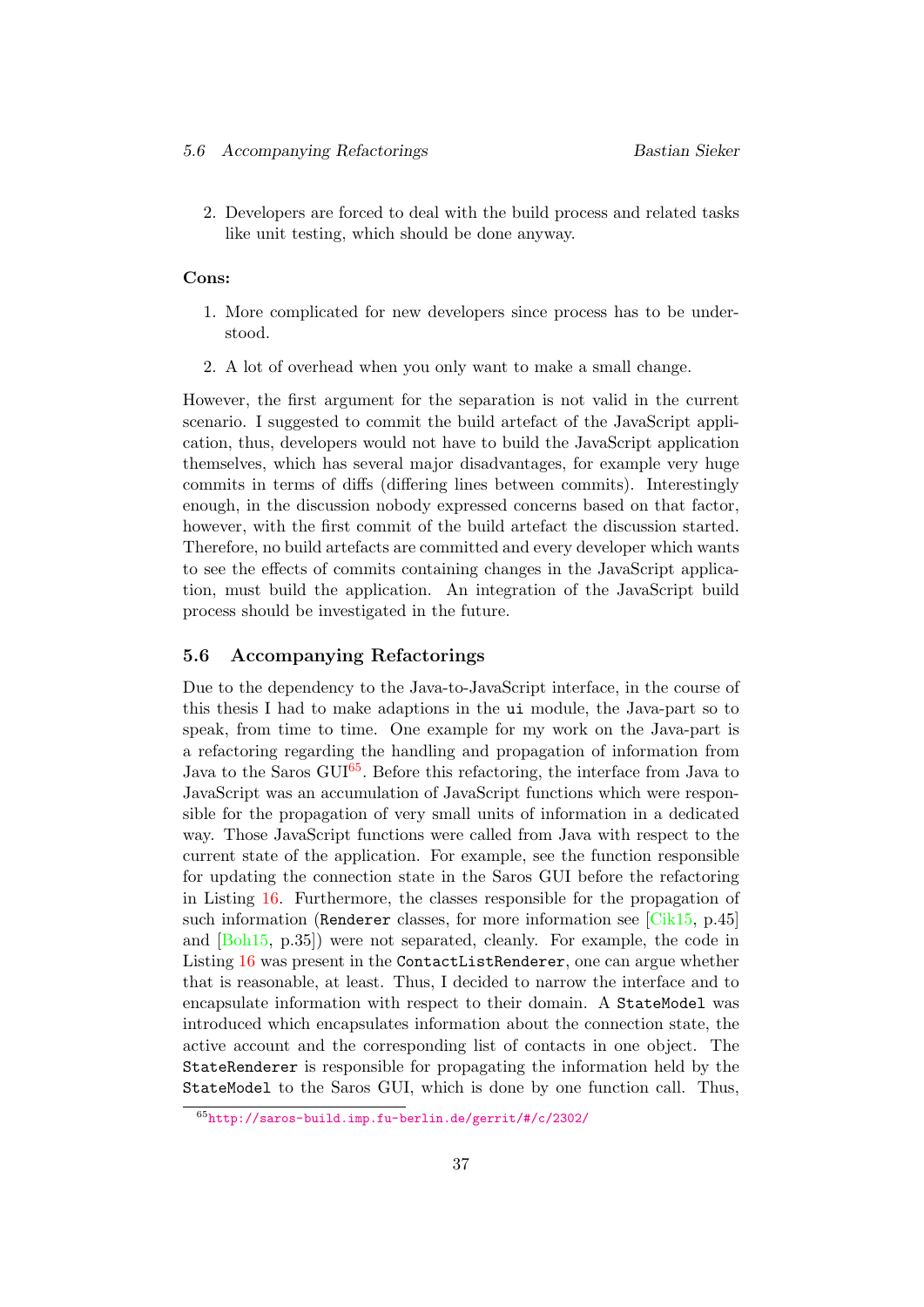2. Developers are forced to deal with the build process and related tasks like unit testing, which should be done anyway.

#### Cons:

- 1. More complicated for new developers since process has to be understood.
- 2. A lot of overhead when you only want to make a small change.

However, the first argument for the separation is not valid in the current scenario. I suggested to commit the build artefact of the JavaScript application, thus, developers would not have to build the JavaScript application themselves, which has several major disadvantages, for example very huge commits in terms of diffs (differing lines between commits). Interestingly enough, in the discussion nobody expressed concerns based on that factor, however, with the first commit of the build artefact the discussion started. Therefore, no build artefacts are committed and every developer which wants to see the effects of commits containing changes in the JavaScript application, must build the application. An integration of the JavaScript build process should be investigated in the future.

#### <span id="page-41-0"></span>5.6 Accompanying Refactorings

Due to the dependency to the Java-to-JavaScript interface, in the course of this thesis I had to make adaptions in the ui module, the Java-part so to speak, from time to time. One example for my work on the Java-part is a refactoring regarding the handling and propagation of information from Java to the Saros  $GUI<sup>65</sup>$  $GUI<sup>65</sup>$  $GUI<sup>65</sup>$ . Before this refactoring, the interface from Java to JavaScript was an accumulation of JavaScript functions which were responsible for the propagation of very small units of information in a dedicated way. Those JavaScript functions were called from Java with respect to the current state of the application. For example, see the function responsible for updating the connection state in the Saros GUI before the refactoring in Listing [16.](#page-42-1) Furthermore, the classes responsible for the propagation of such information (Renderer classes, for more information see [\[Cik15,](#page-61-0) p.45] and [\[Boh15,](#page-61-3) p.35]) were not separated, cleanly. For example, the code in Listing [16](#page-42-1) was present in the ContactListRenderer, one can argue whether that is reasonable, at least. Thus, I decided to narrow the interface and to encapsulate information with respect to their domain. A StateModel was introduced which encapsulates information about the connection state, the active account and the corresponding list of contacts in one object. The StateRenderer is responsible for propagating the information held by the StateModel to the Saros GUI, which is done by one function call. Thus,

<span id="page-41-1"></span><sup>65</sup><http://saros-build.imp.fu-berlin.de/gerrit/#/c/2302/>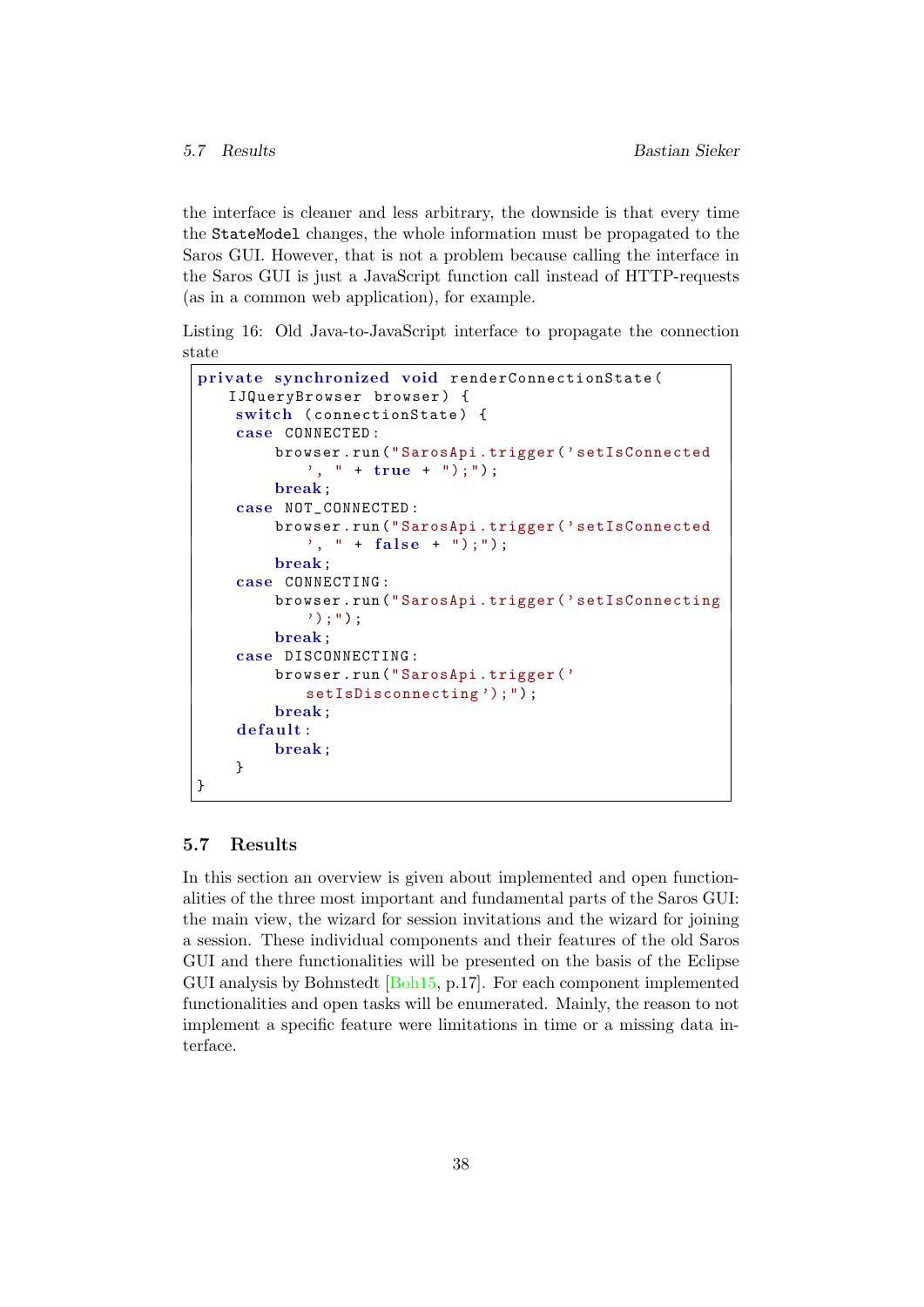the interface is cleaner and less arbitrary, the downside is that every time the StateModel changes, the whole information must be propagated to the Saros GUI. However, that is not a problem because calling the interface in the Saros GUI is just a JavaScript function call instead of HTTP-requests (as in a common web application), for example.

<span id="page-42-1"></span>Listing 16: Old Java-to-JavaScript interface to propagate the connection state

```
private synchronized void renderConnectionState (
   IJQueryBrowser browser) {
    switch (connectionState) {
    case CONNECTED :
        browser . run (" SarosApi . trigger ( ' setIsConnected
            ', " + true + ");");
        break;
    case NOT_CONNECTED :
        browser . run (" SarosApi . trigger ( ' setIsConnected
            ', " + false + ");");
        break;
    case CONNECTING :
        browser . run (" SarosApi . trigger ( ' setIsConnecting
            ');");
        break;
    case DISCONNECTING :
        browser . run (" SarosApi . trigger ( '
            setIsDisconnecting');");
        break;
    default:
        break;
    }
}
```
# <span id="page-42-0"></span>5.7 Results

In this section an overview is given about implemented and open functionalities of the three most important and fundamental parts of the Saros GUI: the main view, the wizard for session invitations and the wizard for joining a session. These individual components and their features of the old Saros GUI and there functionalities will be presented on the basis of the Eclipse GUI analysis by Bohnstedt [\[Boh15,](#page-61-3) p.17]. For each component implemented functionalities and open tasks will be enumerated. Mainly, the reason to not implement a specific feature were limitations in time or a missing data interface.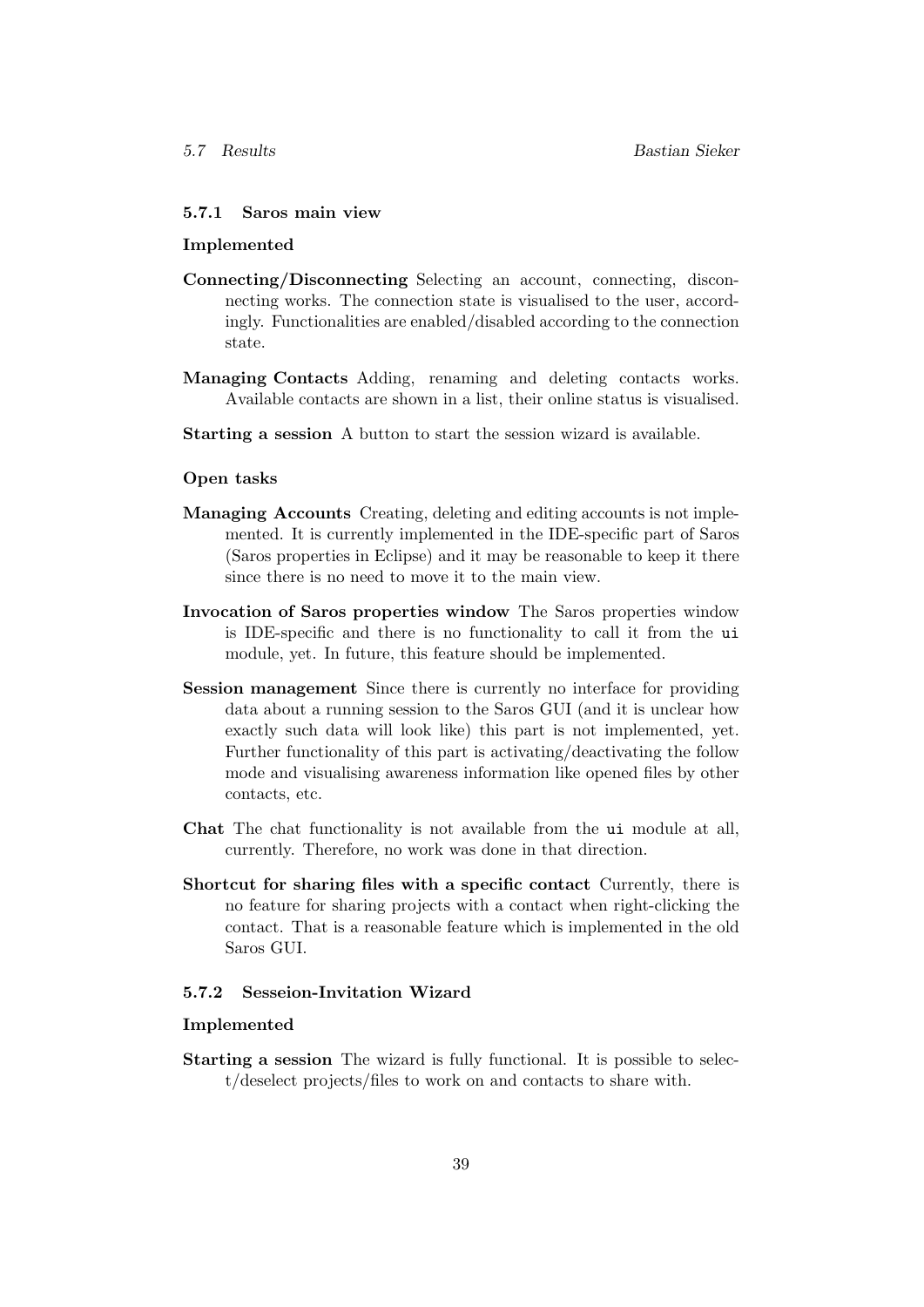### <span id="page-43-0"></span>5.7.1 Saros main view

#### Implemented

- Connecting/Disconnecting Selecting an account, connecting, disconnecting works. The connection state is visualised to the user, accordingly. Functionalities are enabled/disabled according to the connection state.
- Managing Contacts Adding, renaming and deleting contacts works. Available contacts are shown in a list, their online status is visualised.
- Starting a session A button to start the session wizard is available.

#### Open tasks

- Managing Accounts Creating, deleting and editing accounts is not implemented. It is currently implemented in the IDE-specific part of Saros (Saros properties in Eclipse) and it may be reasonable to keep it there since there is no need to move it to the main view.
- Invocation of Saros properties window The Saros properties window is IDE-specific and there is no functionality to call it from the ui module, yet. In future, this feature should be implemented.
- Session management Since there is currently no interface for providing data about a running session to the Saros GUI (and it is unclear how exactly such data will look like) this part is not implemented, yet. Further functionality of this part is activating/deactivating the follow mode and visualising awareness information like opened files by other contacts, etc.
- Chat The chat functionality is not available from the ui module at all, currently. Therefore, no work was done in that direction.
- Shortcut for sharing files with a specific contact Currently, there is no feature for sharing projects with a contact when right-clicking the contact. That is a reasonable feature which is implemented in the old Saros GUI.

#### <span id="page-43-1"></span>5.7.2 Sesseion-Invitation Wizard

#### Implemented

Starting a session The wizard is fully functional. It is possible to select/deselect projects/files to work on and contacts to share with.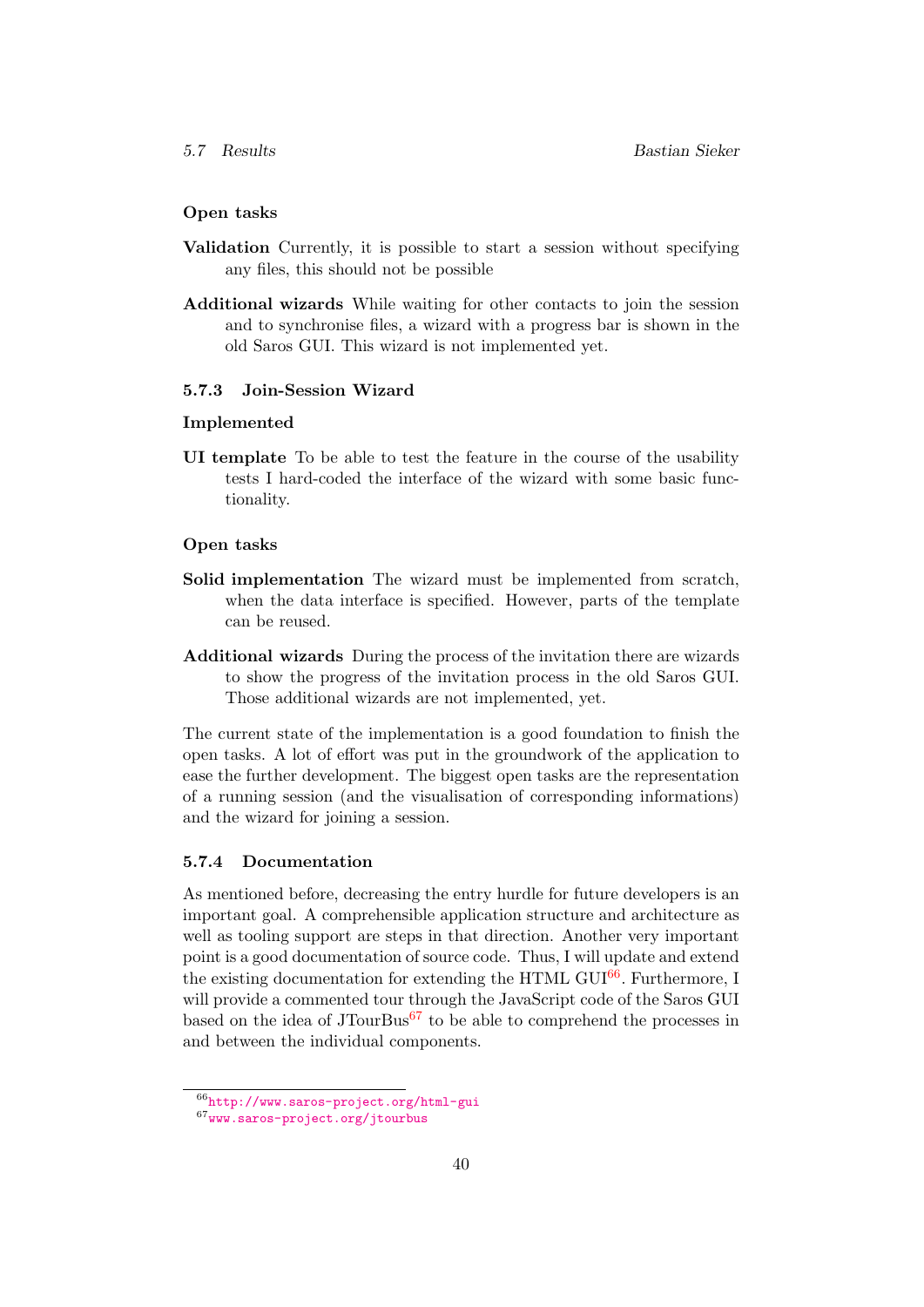### Open tasks

- Validation Currently, it is possible to start a session without specifying any files, this should not be possible
- Additional wizards While waiting for other contacts to join the session and to synchronise files, a wizard with a progress bar is shown in the old Saros GUI. This wizard is not implemented yet.

#### <span id="page-44-0"></span>5.7.3 Join-Session Wizard

#### Implemented

UI template To be able to test the feature in the course of the usability tests I hard-coded the interface of the wizard with some basic functionality.

#### Open tasks

- Solid implementation The wizard must be implemented from scratch, when the data interface is specified. However, parts of the template can be reused.
- Additional wizards During the process of the invitation there are wizards to show the progress of the invitation process in the old Saros GUI. Those additional wizards are not implemented, yet.

The current state of the implementation is a good foundation to finish the open tasks. A lot of effort was put in the groundwork of the application to ease the further development. The biggest open tasks are the representation of a running session (and the visualisation of corresponding informations) and the wizard for joining a session.

#### <span id="page-44-1"></span>5.7.4 Documentation

As mentioned before, decreasing the entry hurdle for future developers is an important goal. A comprehensible application structure and architecture as well as tooling support are steps in that direction. Another very important point is a good documentation of source code. Thus, I will update and extend the existing documentation for extending the HTML GUI $^{66}$  $^{66}$  $^{66}$ . Furthermore, I will provide a commented tour through the JavaScript code of the Saros GUI based on the idea of  $JTourBus<sup>67</sup>$  $JTourBus<sup>67</sup>$  $JTourBus<sup>67</sup>$  to be able to comprehend the processes in and between the individual components.

<span id="page-44-2"></span><sup>66</sup><http://www.saros-project.org/html-gui>

<span id="page-44-3"></span><sup>67</sup><www.saros-project.org/jtourbus>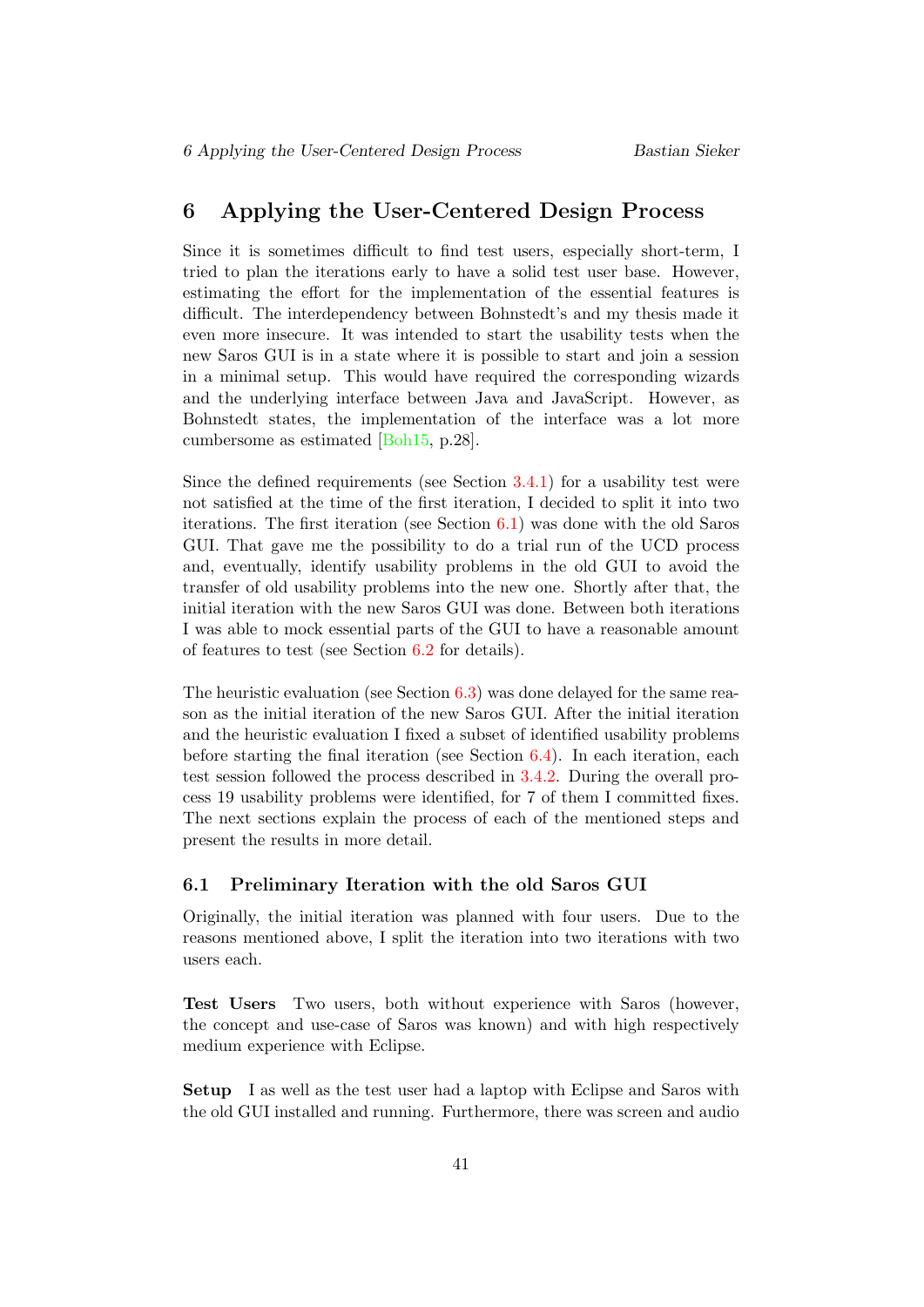# <span id="page-45-0"></span>6 Applying the User-Centered Design Process

Since it is sometimes difficult to find test users, especially short-term, I tried to plan the iterations early to have a solid test user base. However, estimating the effort for the implementation of the essential features is difficult. The interdependency between Bohnstedt's and my thesis made it even more insecure. It was intended to start the usability tests when the new Saros GUI is in a state where it is possible to start and join a session in a minimal setup. This would have required the corresponding wizards and the underlying interface between Java and JavaScript. However, as Bohnstedt states, the implementation of the interface was a lot more cumbersome as estimated [\[Boh15,](#page-61-3) p.28].

Since the defined requirements (see Section [3.4.1\)](#page-13-1) for a usability test were not satisfied at the time of the first iteration, I decided to split it into two iterations. The first iteration (see Section [6.1\)](#page-45-1) was done with the old Saros GUI. That gave me the possibility to do a trial run of the UCD process and, eventually, identify usability problems in the old GUI to avoid the transfer of old usability problems into the new one. Shortly after that, the initial iteration with the new Saros GUI was done. Between both iterations I was able to mock essential parts of the GUI to have a reasonable amount of features to test (see Section [6.2](#page-46-0) for details).

The heuristic evaluation (see Section  $6.3$ ) was done delayed for the same reason as the initial iteration of the new Saros GUI. After the initial iteration and the heuristic evaluation I fixed a subset of identified usability problems before starting the final iteration (see Section [6.4\)](#page-48-0). In each iteration, each test session followed the process described in [3.4.2.](#page-14-0) During the overall process 19 usability problems were identified, for 7 of them I committed fixes. The next sections explain the process of each of the mentioned steps and present the results in more detail.

#### <span id="page-45-1"></span>6.1 Preliminary Iteration with the old Saros GUI

Originally, the initial iteration was planned with four users. Due to the reasons mentioned above, I split the iteration into two iterations with two users each.

Test Users Two users, both without experience with Saros (however, the concept and use-case of Saros was known) and with high respectively medium experience with Eclipse.

Setup I as well as the test user had a laptop with Eclipse and Saros with the old GUI installed and running. Furthermore, there was screen and audio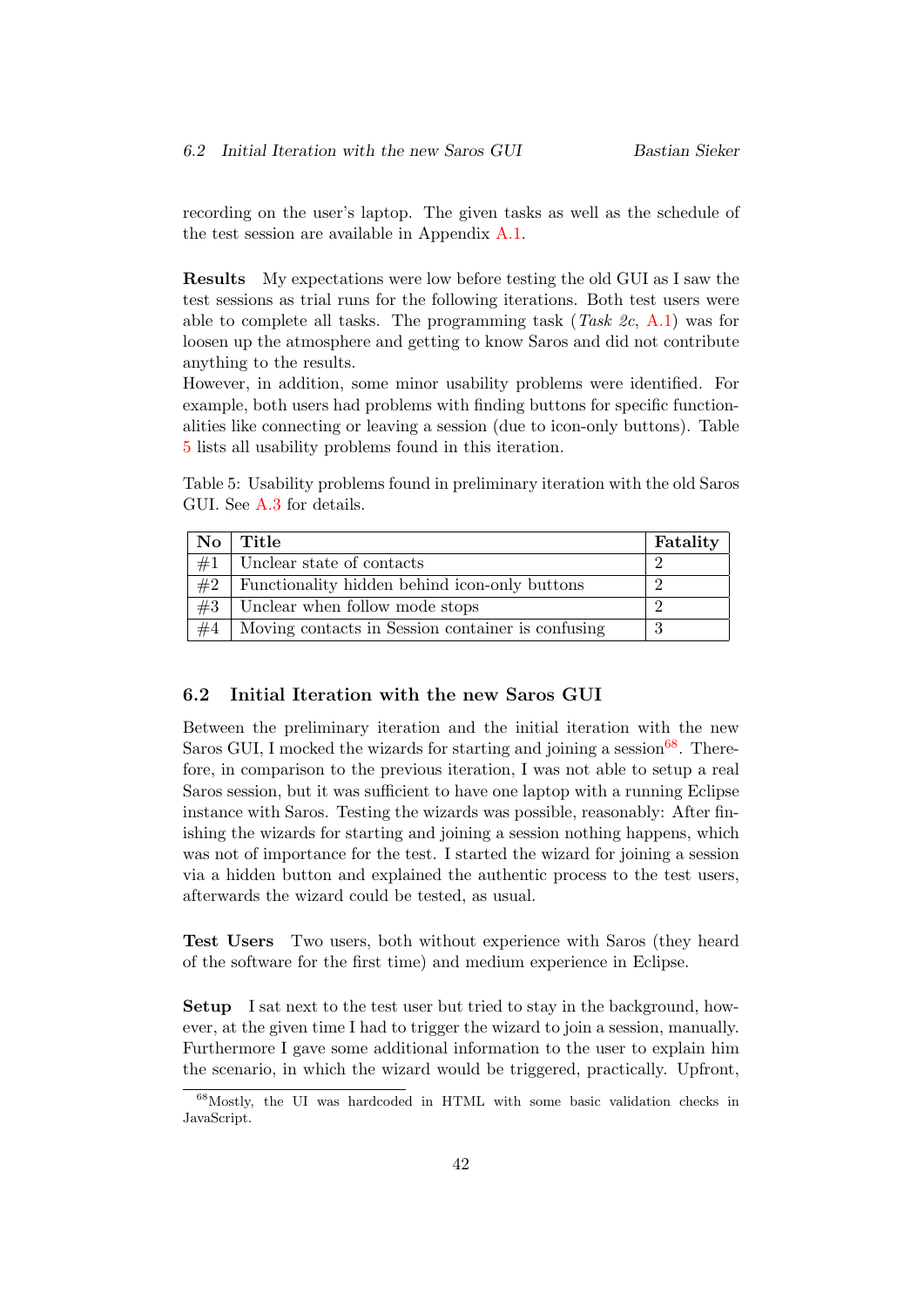recording on the user's laptop. The given tasks as well as the schedule of the test session are available in Appendix [A.1.](#page-52-1)

Results My expectations were low before testing the old GUI as I saw the test sessions as trial runs for the following iterations. Both test users were able to complete all tasks. The programming task  $(Task \, 2c, A.1)$  $(Task \, 2c, A.1)$  was for loosen up the atmosphere and getting to know Saros and did not contribute anything to the results.

However, in addition, some minor usability problems were identified. For example, both users had problems with finding buttons for specific functionalities like connecting or leaving a session (due to icon-only buttons). Table [5](#page-46-1) lists all usability problems found in this iteration.

<span id="page-46-1"></span>Table 5: Usability problems found in preliminary iteration with the old Saros GUI. See [A.3](#page-54-0) for details.

| No. | Title                                             | Fatality |
|-----|---------------------------------------------------|----------|
| #1  | Unclear state of contacts                         |          |
| #2  | Functionality hidden behind icon-only buttons     |          |
| #3  | Unclear when follow mode stops                    |          |
| #4  | Moving contacts in Session container is confusing |          |

#### <span id="page-46-0"></span>6.2 Initial Iteration with the new Saros GUI

Between the preliminary iteration and the initial iteration with the new Saros GUI, I mocked the wizards for starting and joining a session  $68$ . Therefore, in comparison to the previous iteration, I was not able to setup a real Saros session, but it was sufficient to have one laptop with a running Eclipse instance with Saros. Testing the wizards was possible, reasonably: After finishing the wizards for starting and joining a session nothing happens, which was not of importance for the test. I started the wizard for joining a session via a hidden button and explained the authentic process to the test users, afterwards the wizard could be tested, as usual.

Test Users Two users, both without experience with Saros (they heard of the software for the first time) and medium experience in Eclipse.

Setup I sat next to the test user but tried to stay in the background, however, at the given time I had to trigger the wizard to join a session, manually. Furthermore I gave some additional information to the user to explain him the scenario, in which the wizard would be triggered, practically. Upfront,

<span id="page-46-2"></span><sup>68</sup>Mostly, the UI was hardcoded in HTML with some basic validation checks in JavaScript.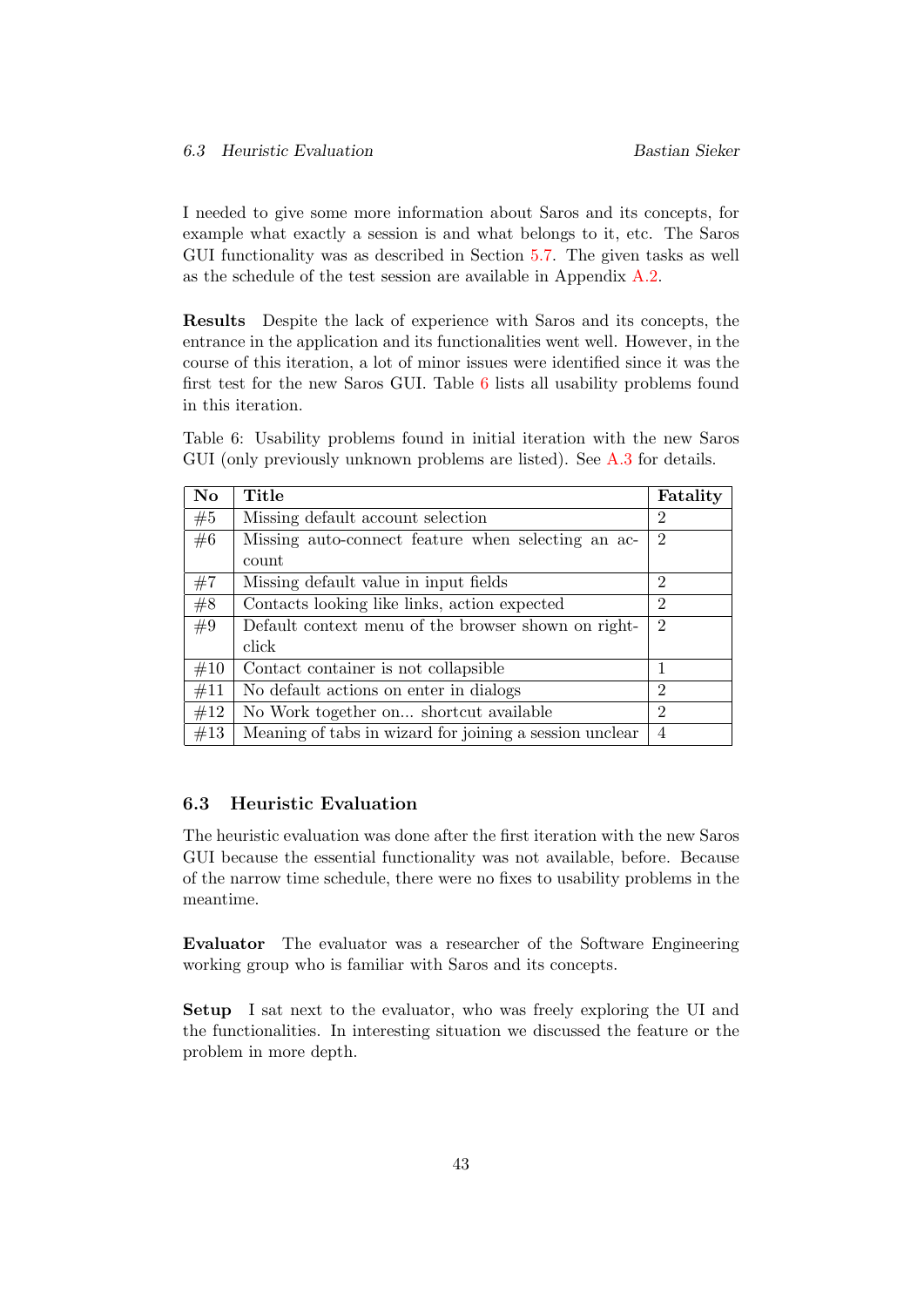I needed to give some more information about Saros and its concepts, for example what exactly a session is and what belongs to it, etc. The Saros GUI functionality was as described in Section [5.7.](#page-42-0) The given tasks as well as the schedule of the test session are available in Appendix [A.2.](#page-53-0)

Results Despite the lack of experience with Saros and its concepts, the entrance in the application and its functionalities went well. However, in the course of this iteration, a lot of minor issues were identified since it was the first test for the new Saros GUI. Table [6](#page-47-1) lists all usability problems found in this iteration.

<span id="page-47-1"></span>Table 6: Usability problems found in initial iteration with the new Saros GUI (only previously unknown problems are listed). See [A.3](#page-54-0) for details.

| <b>No</b> | Title                                                   | Fatality       |
|-----------|---------------------------------------------------------|----------------|
| #5        | Missing default account selection                       | 2              |
| #6        | Missing auto-connect feature when selecting an ac-      | 2              |
|           | count                                                   |                |
| #7        | Missing default value in input fields                   | 2              |
| #8        | Contacts looking like links, action expected            | $\mathfrak{D}$ |
| #9        | Default context menu of the browser shown on right-     | $\overline{2}$ |
|           | click                                                   |                |
| #10       | Contact container is not collapsible                    |                |
| #11       | No default actions on enter in dialogs                  | $\overline{2}$ |
| #12       | No Work together on shortcut available                  | 2              |
| #13       | Meaning of tabs in wizard for joining a session unclear | 4              |

#### <span id="page-47-0"></span>6.3 Heuristic Evaluation

The heuristic evaluation was done after the first iteration with the new Saros GUI because the essential functionality was not available, before. Because of the narrow time schedule, there were no fixes to usability problems in the meantime.

Evaluator The evaluator was a researcher of the Software Engineering working group who is familiar with Saros and its concepts.

Setup I sat next to the evaluator, who was freely exploring the UI and the functionalities. In interesting situation we discussed the feature or the problem in more depth.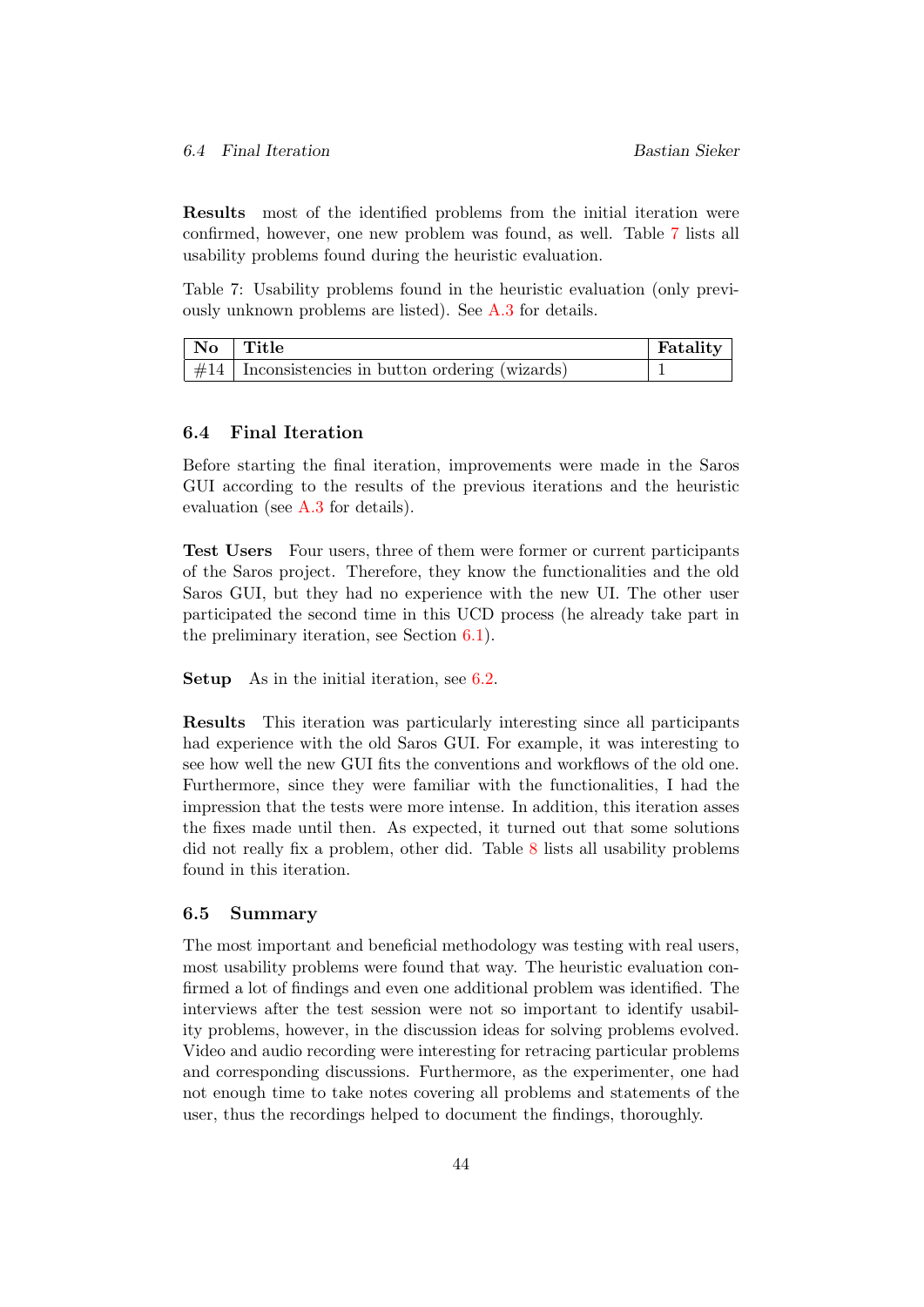Results most of the identified problems from the initial iteration were confirmed, however, one new problem was found, as well. Table [7](#page-48-2) lists all usability problems found during the heuristic evaluation.

<span id="page-48-2"></span>Table 7: Usability problems found in the heuristic evaluation (only previously unknown problems are listed). See [A.3](#page-54-0) for details.

| $\mid$ No $\mid$ Title                              | Fatality |
|-----------------------------------------------------|----------|
| $\#14$ Inconsistencies in button ordering (wizards) |          |

# <span id="page-48-0"></span>6.4 Final Iteration

Before starting the final iteration, improvements were made in the Saros GUI according to the results of the previous iterations and the heuristic evaluation (see [A.3](#page-54-0) for details).

Test Users Four users, three of them were former or current participants of the Saros project. Therefore, they know the functionalities and the old Saros GUI, but they had no experience with the new UI. The other user participated the second time in this UCD process (he already take part in the preliminary iteration, see Section [6.1\)](#page-45-1).

Setup As in the initial iteration, see [6.2.](#page-46-0)

Results This iteration was particularly interesting since all participants had experience with the old Saros GUI. For example, it was interesting to see how well the new GUI fits the conventions and workflows of the old one. Furthermore, since they were familiar with the functionalities, I had the impression that the tests were more intense. In addition, this iteration asses the fixes made until then. As expected, it turned out that some solutions did not really fix a problem, other did. Table [8](#page-49-0) lists all usability problems found in this iteration.

#### <span id="page-48-1"></span>6.5 Summary

The most important and beneficial methodology was testing with real users, most usability problems were found that way. The heuristic evaluation confirmed a lot of findings and even one additional problem was identified. The interviews after the test session were not so important to identify usability problems, however, in the discussion ideas for solving problems evolved. Video and audio recording were interesting for retracing particular problems and corresponding discussions. Furthermore, as the experimenter, one had not enough time to take notes covering all problems and statements of the user, thus the recordings helped to document the findings, thoroughly.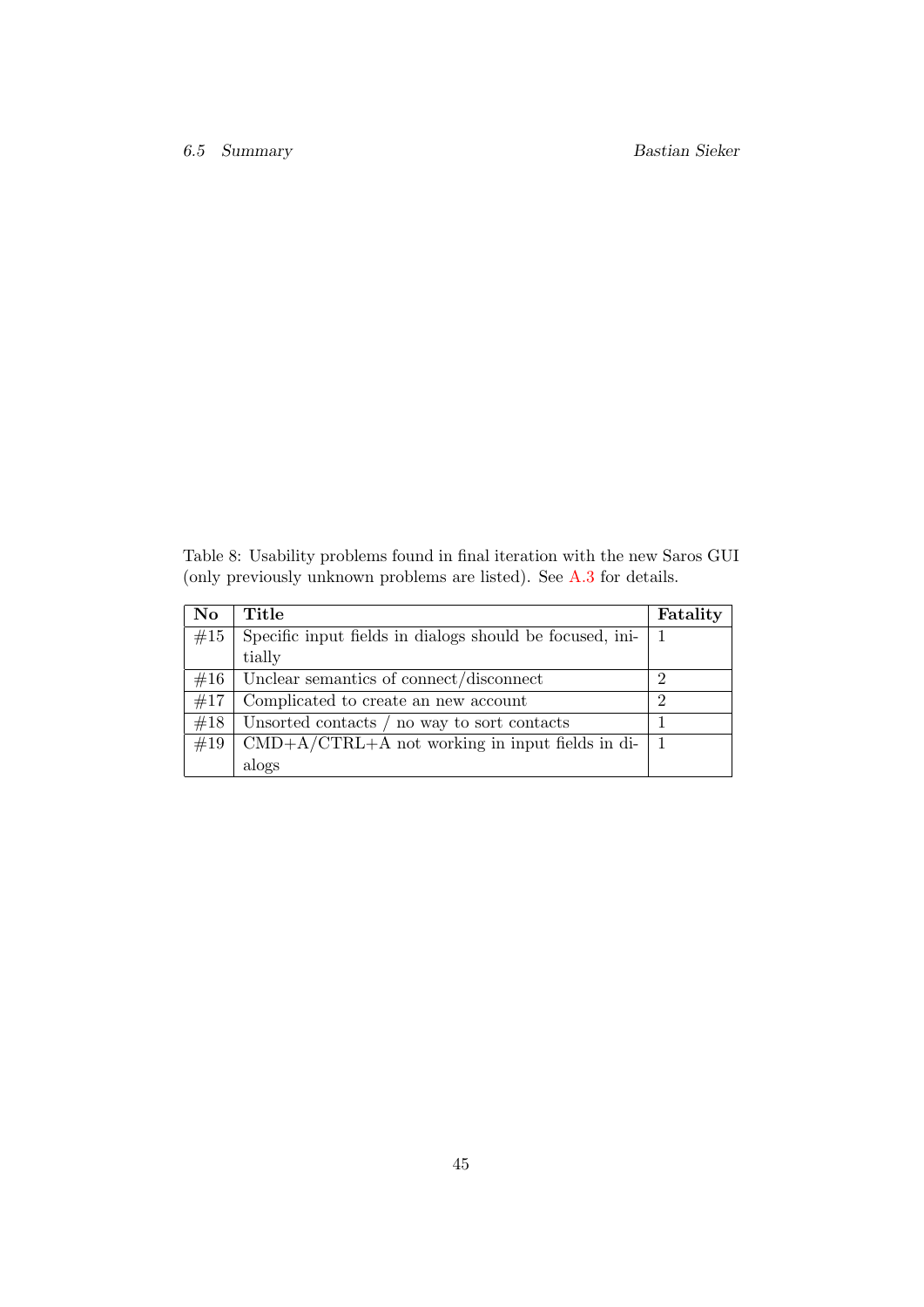<span id="page-49-0"></span>Table 8: Usability problems found in final iteration with the new Saros GUI (only previously unknown problems are listed). See [A.3](#page-54-0) for details.

| <b>No</b> | Title                                                                         | Fatality       |
|-----------|-------------------------------------------------------------------------------|----------------|
| #15       | Specific input fields in dialogs should be focused, ini-                      |                |
|           | tially                                                                        |                |
| #16       | Unclear semantics of connect/disconnect                                       | 2              |
| #17       | Complicated to create an new account                                          | $\overline{2}$ |
| #18       | Unsorted contacts / no way to sort contacts                                   |                |
| #19       | $\text{CMD}+\text{A}/\text{CTRL}+\text{A}$ not working in input fields in di- |                |
|           | alogs                                                                         |                |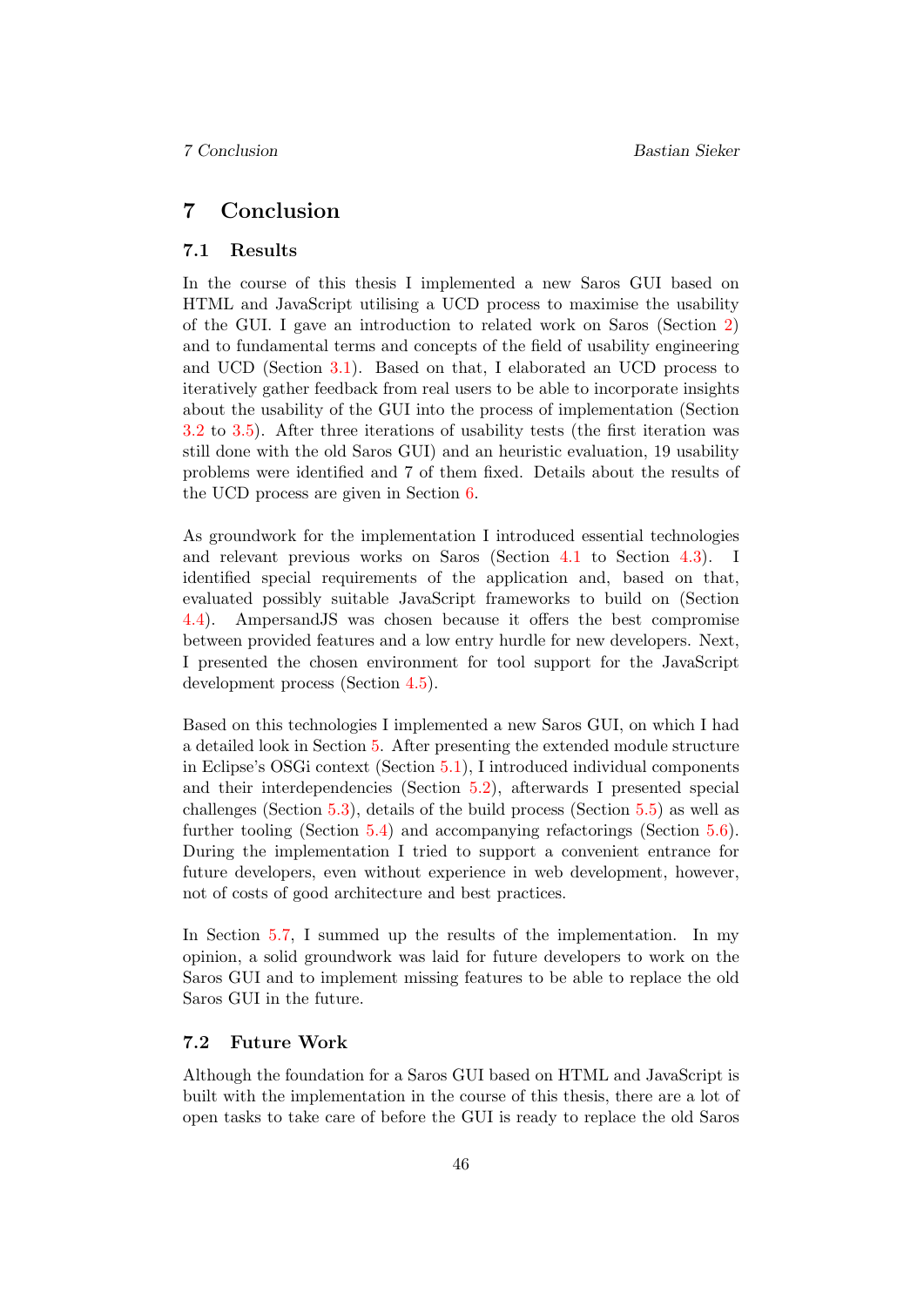# <span id="page-50-0"></span>7 Conclusion

#### <span id="page-50-1"></span>7.1 Results

In the course of this thesis I implemented a new Saros GUI based on HTML and JavaScript utilising a UCD process to maximise the usability of the GUI. I gave an introduction to related work on Saros (Section [2\)](#page-7-0) and to fundamental terms and concepts of the field of usability engineering and UCD (Section [3.1\)](#page-9-1). Based on that, I elaborated an UCD process to iteratively gather feedback from real users to be able to incorporate insights about the usability of the GUI into the process of implementation (Section [3.2](#page-10-0) to [3.5\)](#page-15-1). After three iterations of usability tests (the first iteration was still done with the old Saros GUI) and an heuristic evaluation, 19 usability problems were identified and 7 of them fixed. Details about the results of the UCD process are given in Section [6.](#page-45-0)

As groundwork for the implementation I introduced essential technologies and relevant previous works on Saros (Section [4.1](#page-17-1) to Section [4.3\)](#page-19-0). I identified special requirements of the application and, based on that, evaluated possibly suitable JavaScript frameworks to build on (Section [4.4\)](#page-22-0). AmpersandJS was chosen because it offers the best compromise between provided features and a low entry hurdle for new developers. Next, I presented the chosen environment for tool support for the JavaScript development process (Section [4.5\)](#page-26-0).

Based on this technologies I implemented a new Saros GUI, on which I had a detailed look in Section [5.](#page-28-0) After presenting the extended module structure in Eclipse's OSGi context (Section [5.1\)](#page-28-1), I introduced individual components and their interdependencies (Section [5.2\)](#page-28-2), afterwards I presented special challenges (Section [5.3\)](#page-34-0), details of the build process (Section [5.5\)](#page-39-3) as well as further tooling (Section [5.4\)](#page-38-0) and accompanying refactorings (Section [5.6\)](#page-41-0). During the implementation I tried to support a convenient entrance for future developers, even without experience in web development, however, not of costs of good architecture and best practices.

In Section [5.7,](#page-42-0) I summed up the results of the implementation. In my opinion, a solid groundwork was laid for future developers to work on the Saros GUI and to implement missing features to be able to replace the old Saros GUI in the future.

# <span id="page-50-2"></span>7.2 Future Work

Although the foundation for a Saros GUI based on HTML and JavaScript is built with the implementation in the course of this thesis, there are a lot of open tasks to take care of before the GUI is ready to replace the old Saros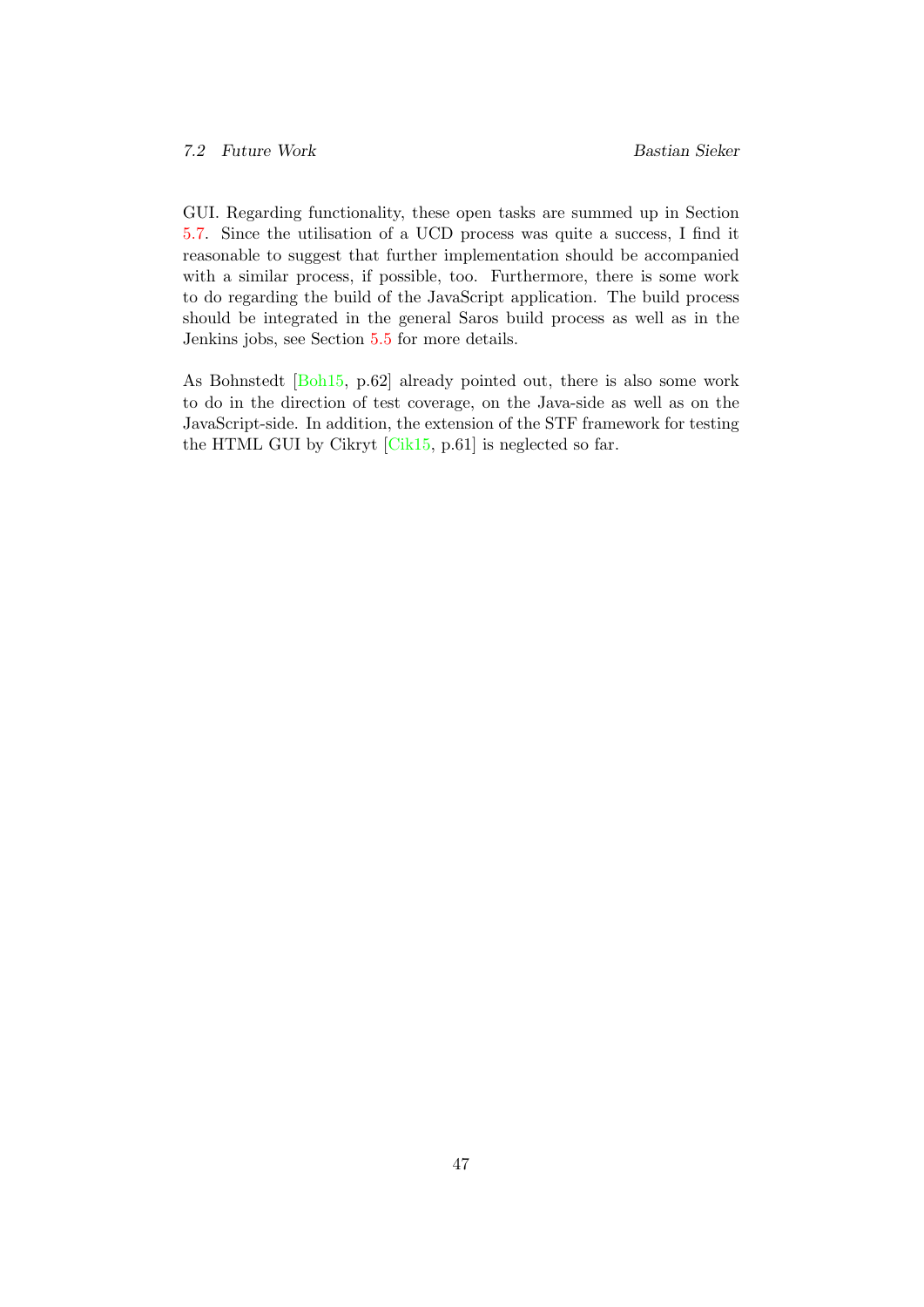GUI. Regarding functionality, these open tasks are summed up in Section [5.7.](#page-42-0) Since the utilisation of a UCD process was quite a success, I find it reasonable to suggest that further implementation should be accompanied with a similar process, if possible, too. Furthermore, there is some work to do regarding the build of the JavaScript application. The build process should be integrated in the general Saros build process as well as in the Jenkins jobs, see Section [5.5](#page-39-3) for more details.

As Bohnstedt [\[Boh15,](#page-61-3) p.62] already pointed out, there is also some work to do in the direction of test coverage, on the Java-side as well as on the JavaScript-side. In addition, the extension of the STF framework for testing the HTML GUI by Cikryt [\[Cik15,](#page-61-0) p.61] is neglected so far.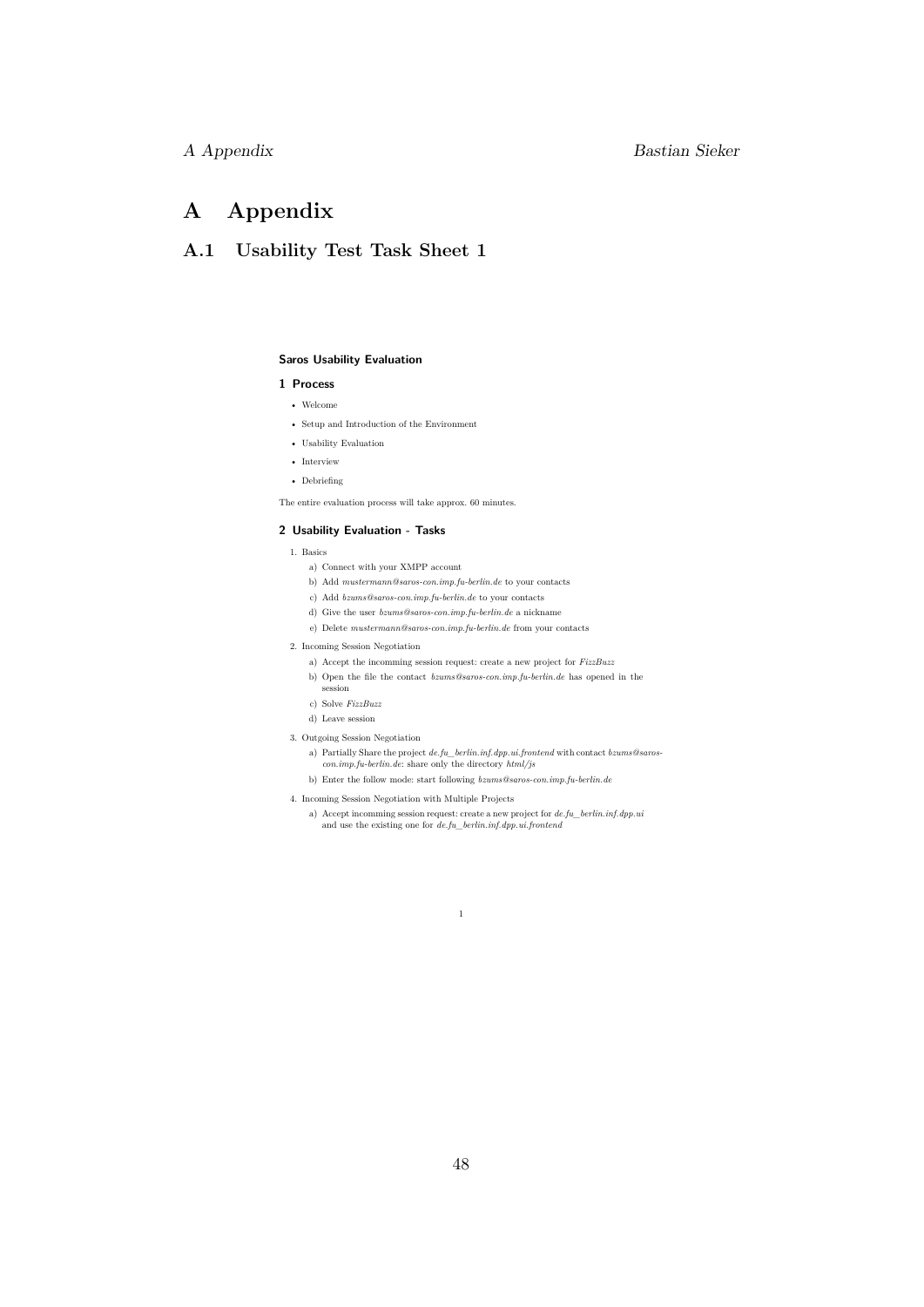# A Appendix Bastian Sieker

# <span id="page-52-0"></span>A Appendix

# <span id="page-52-1"></span>A.1 Usability Test Task Sheet 1

#### **Saros Usability Evaluation**

#### **1 Process**

- Welcome
- Setup and Introduction of the Environment
- Usability Evaluation
- Interview
- Debriefing

The entire evaluation process will take approx. 60 minutes.

#### **2 Usability Evaluation - Tasks**

- 1. Basics
	- a) Connect with your XMPP account
	- b) Add *mustermann@saros-con.imp.fu-berlin.de* to your contacts
	- c) Add *bzums@saros-con.imp.fu-berlin.de* to your contacts
	- d) Give the user *bzums@saros-con.imp.fu-berlin.de* a nickname
	- e) Delete *mustermann@saros-con.imp.fu-berlin.de* from your contacts
- 2. Incoming Session Negotiation
	- a) Accept the incomming session request: create a new project for *FizzBuzz*
	- b) Open the file the contact *bzums@saros-con.imp.fu-berlin.de* has opened in the  $s$ ession
	- c) Solve *FizzBuzz*
	- d) Leave session
- 3. Outgoing Session Negotiation
- a) Partially Share the project *de.fu\_berlin.inf.dpp.ui.frontend* with contact *bzums@saroscon.imp.fu-berlin.de*: share only the directory *html/js*
	- b) Enter the follow mode: start following *bzums@saros-con.imp.fu-berlin.de*

1

- 4. Incoming Session Negotiation with Multiple Projects
	- a) Accept incomming session request: create a new project for *de.fu\_berlin.inf.dpp.ui* and use the existing one for *de.fu\_berlin.inf.dpp.ui.frontend*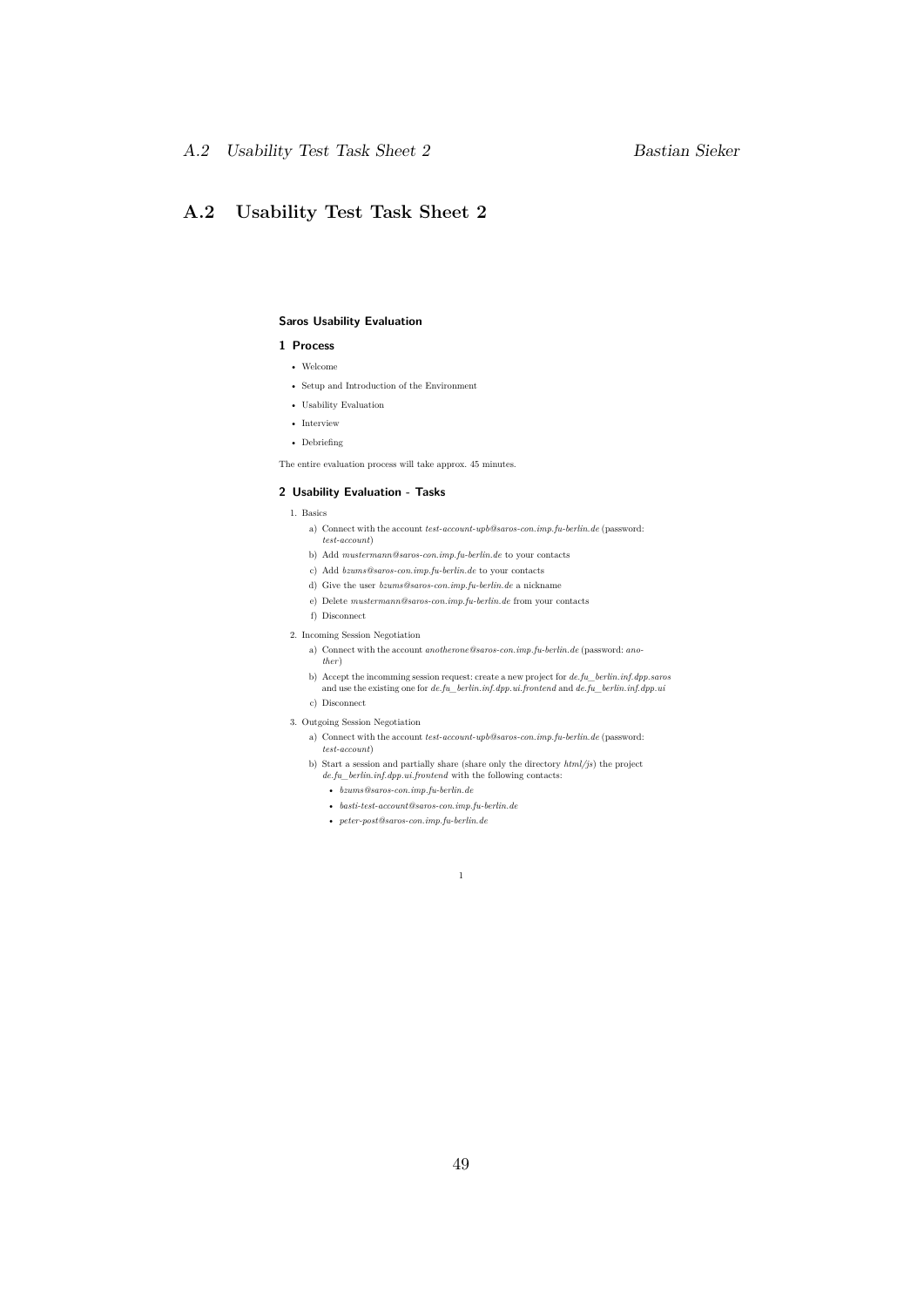# <span id="page-53-0"></span>A.2 Usability Test Task Sheet 2

#### **Saros Usability Evaluation**

#### **1 Process**

- Welcome
- Setup and Introduction of the Environment
- Usability Evaluation
- Interview
- Debriefing

The entire evaluation process will take approx. 45 minutes.

#### **2 Usability Evaluation - Tasks**

- 1. Basics
	- a) Connect with the account *test-account-upb@saros-con.imp.fu-berlin.de* (password: *test-account*)
	- b) Add *mustermann@saros-con.imp.fu-berlin.de* to your contacts
	- c) Add *bzums@saros-con.imp.fu-berlin.de* to your contacts
	- d) Give the user *bzums@saros-con.imp.fu-berlin.de* a nickname
	- e) Delete *mustermann@saros-con.imp.fu-berlin.de* from your contacts
	- f) Disconnect
- 2. Incoming Session Negotiation
	- a) Connect with the account *anotherone@saros-con.imp.fu-berlin.de* (password: *another*)
	- b) Accept the incomming session request: create a new project for *de.fu\_berlin.inf.dpp.saros* and use the existing one for *de.fu\_berlin.inf.dpp.ui.frontend* and *de.fu\_berlin.inf.dpp.ui* c) Disconnect
- 3. Outgoing Session Negotiation
	- a) Connect with the account *test-account-upb@saros-con.imp.fu-berlin.de* (password: *test-account*)
	- b) Start a session and partially share (share only the directory *html/js*) the project *de.fu\_berlin.inf.dpp.ui.frontend* with the following contacts:

1

- *bzums@saros-con.imp.fu-berlin.de*
- *basti-test-account@saros-con.imp.fu-berlin.de*
- *peter-post@saros-con.imp.fu-berlin.de*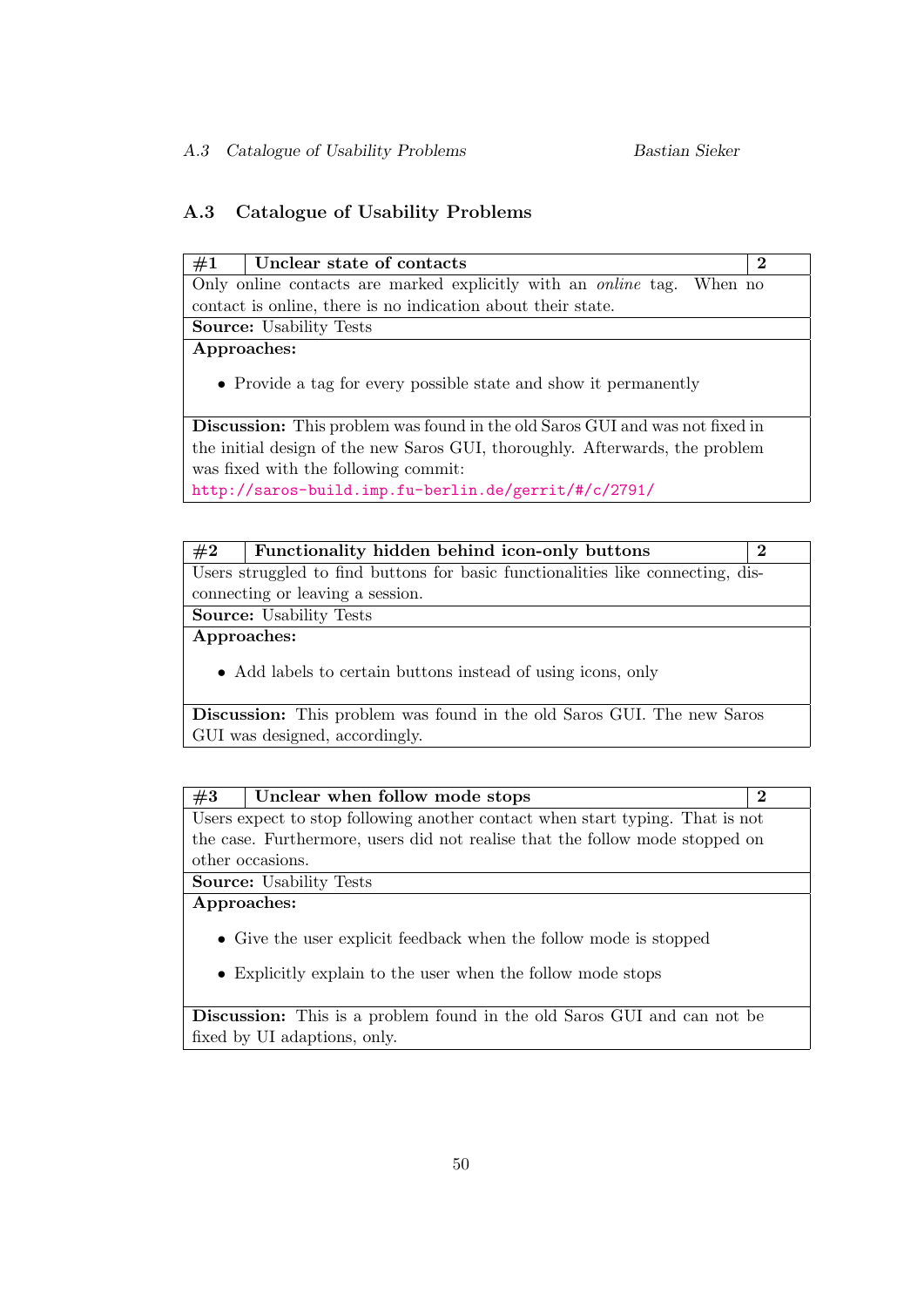# <span id="page-54-0"></span>A.3 Catalogue of Usability Problems

| #1<br>Unclear state of contacts                                                     | $\bf{2}$ |
|-------------------------------------------------------------------------------------|----------|
| Only online contacts are marked explicitly with an <i>online</i> tag. When no       |          |
| contact is online, there is no indication about their state.                        |          |
| <b>Source:</b> Usability Tests                                                      |          |
| Approaches:                                                                         |          |
| • Provide a tag for every possible state and show it permanently                    |          |
| <b>Discussion:</b> This problem was found in the old Saros GUI and was not fixed in |          |
| the initial design of the new Saros GUI, thoroughly. Afterwards, the problem        |          |
| was fixed with the following commit:                                                |          |
| http://saros-build.imp.fu-berlin.de/gerrit/#/c/2791/                                |          |

| #2          | Functionality hidden behind icon-only buttons                                   | $\bf{2}$ |
|-------------|---------------------------------------------------------------------------------|----------|
|             | Users struggled to find buttons for basic functionalities like connecting, dis- |          |
|             | connecting or leaving a session.                                                |          |
|             | <b>Source:</b> Usability Tests                                                  |          |
| Approaches: |                                                                                 |          |
|             |                                                                                 |          |

• Add labels to certain buttons instead of using icons, only

Discussion: This problem was found in the old Saros GUI. The new Saros GUI was designed, accordingly.

| #3          | Unclear when follow mode stops                                                | $\bf{2}$ |
|-------------|-------------------------------------------------------------------------------|----------|
|             | Users expect to stop following another contact when start typing. That is not |          |
|             | the case. Furthermore, users did not realise that the follow mode stopped on  |          |
|             | other occasions.                                                              |          |
|             | <b>Source:</b> Usability Tests                                                |          |
| Approaches: |                                                                               |          |
|             | • Give the user explicit feedback when the follow mode is stopped             |          |

• Explicitly explain to the user when the follow mode stops

Discussion: This is a problem found in the old Saros GUI and can not be fixed by UI adaptions, only.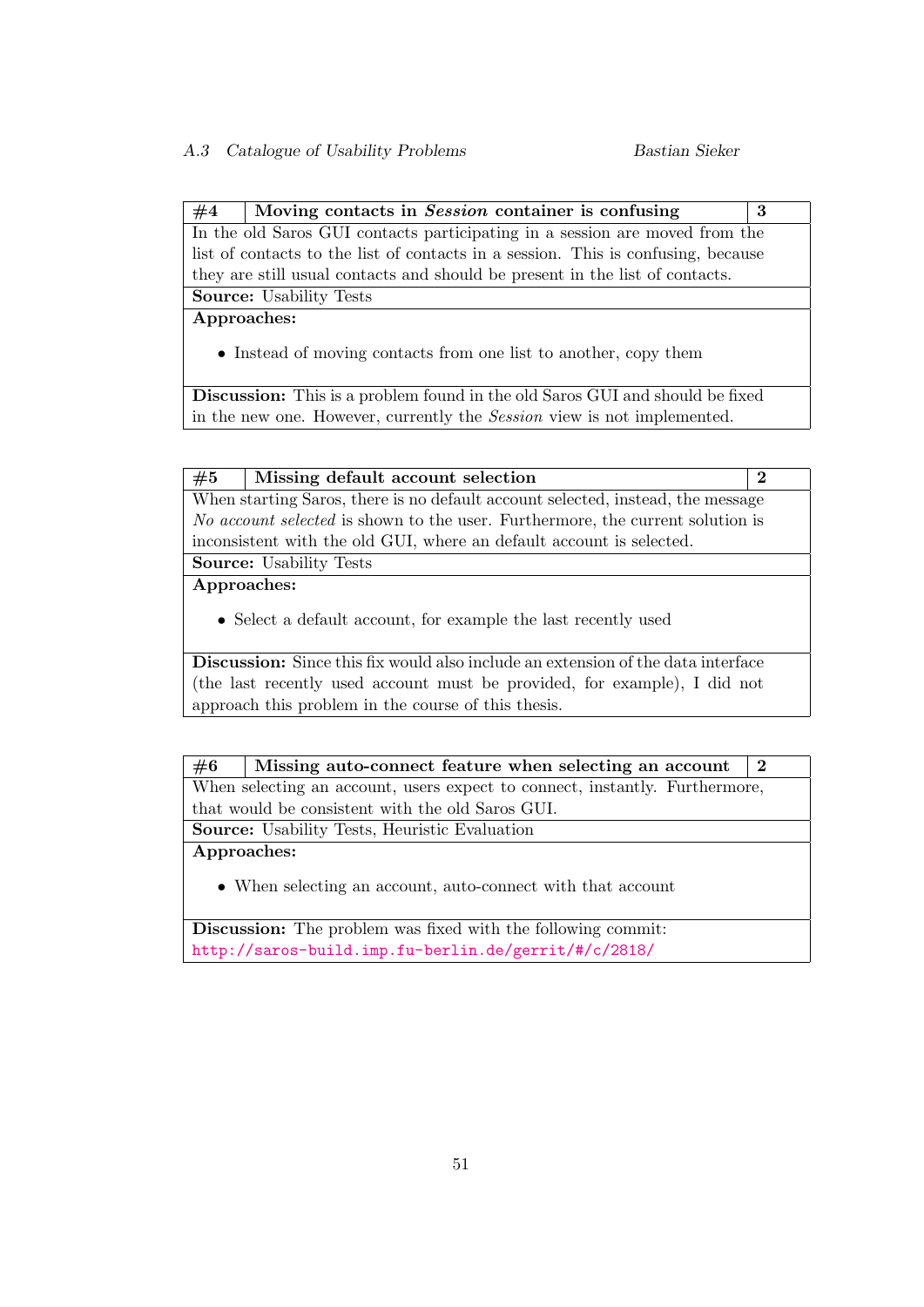$#4$  | Moving contacts in Session container is confusing | 3 In the old Saros GUI contacts participating in a session are moved from the list of contacts to the list of contacts in a session. This is confusing, because they are still usual contacts and should be present in the list of contacts.

Source: Usability Tests

Approaches:

• Instead of moving contacts from one list to another, copy them

Discussion: This is a problem found in the old Saros GUI and should be fixed in the new one. However, currently the Session view is not implemented.

| #5          | Missing default account selection                                                     | $\bf{2}$ |
|-------------|---------------------------------------------------------------------------------------|----------|
|             | When starting Saros, there is no default account selected, instead, the message       |          |
|             | <i>No account selected</i> is shown to the user. Furthermore, the current solution is |          |
|             | inconsistent with the old GUI, where an default account is selected.                  |          |
|             | <b>Source:</b> Usability Tests                                                        |          |
| Approaches: |                                                                                       |          |
|             | • Select a default account, for example the last recently used                        |          |
|             | Discussion: Since this fix would also include an extension of the data interface      |          |

**Discussion:** Since this fix would also include an extension of the data interface (the last recently used account must be provided, for example), I did not approach this problem in the course of this thesis.

| #6                                                   | Missing auto-connect feature when selecting an account<br>$\bf{2}$          |  |  |  |  |  |  |
|------------------------------------------------------|-----------------------------------------------------------------------------|--|--|--|--|--|--|
|                                                      | When selecting an account, users expect to connect, instantly. Furthermore, |  |  |  |  |  |  |
|                                                      | that would be consistent with the old Saros GUI.                            |  |  |  |  |  |  |
| <b>Source:</b> Usability Tests, Heuristic Evaluation |                                                                             |  |  |  |  |  |  |
| Approaches:                                          |                                                                             |  |  |  |  |  |  |
|                                                      | • When selecting an account, auto-connect with that account                 |  |  |  |  |  |  |

Discussion: The problem was fixed with the following commit: <http://saros-build.imp.fu-berlin.de/gerrit/#/c/2818/>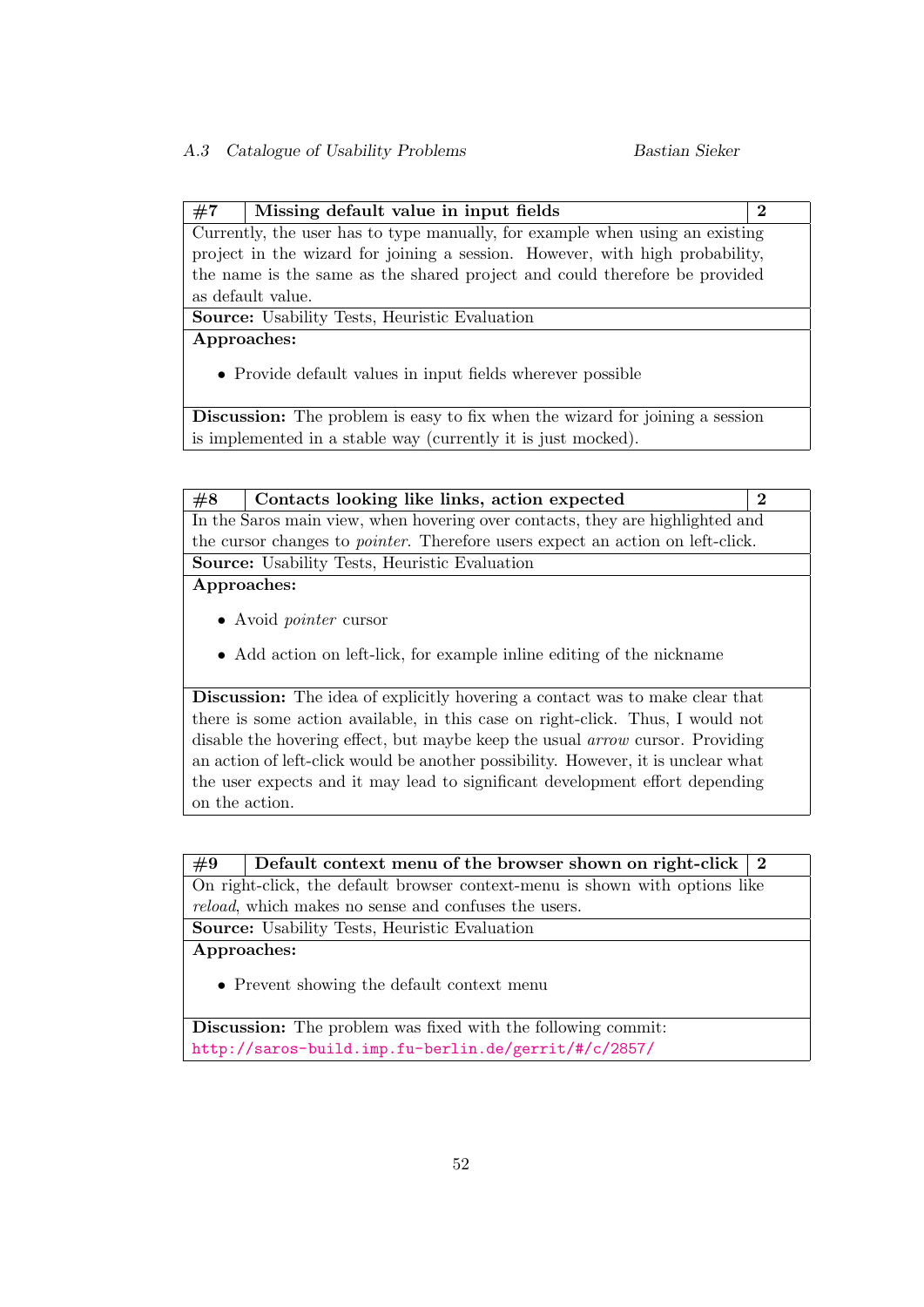# $\#7$  | Missing default value in input fields  $\left|2\right\rangle$

Currently, the user has to type manually, for example when using an existing project in the wizard for joining a session. However, with high probability, the name is the same as the shared project and could therefore be provided as default value.

Source: Usability Tests, Heuristic Evaluation

Approaches:

• Provide default values in input fields wherever possible

Discussion: The problem is easy to fix when the wizard for joining a session is implemented in a stable way (currently it is just mocked).

|  |  |  |  |  | It is a construction of the contract of the contract of the contract of the contract of the contract of the contract of the contract of the contract of the contract of the contract of the contract of the contract of the c |  |
|--|--|--|--|--|-------------------------------------------------------------------------------------------------------------------------------------------------------------------------------------------------------------------------------|--|

In the Saros main view, when hovering over contacts, they are highlighted and the cursor changes to pointer. Therefore users expect an action on left-click. Source: Usability Tests, Heuristic Evaluation

Approaches:

- Avoid pointer cursor
- Add action on left-lick, for example inline editing of the nickname

Discussion: The idea of explicitly hovering a contact was to make clear that there is some action available, in this case on right-click. Thus, I would not disable the hovering effect, but maybe keep the usual arrow cursor. Providing an action of left-click would be another possibility. However, it is unclear what the user expects and it may lead to significant development effort depending on the action.

| $\#9$ | Default context menu of the browser shown on right-click $\vert 2 \vert$ |  |  |  |  |
|-------|--------------------------------------------------------------------------|--|--|--|--|
|-------|--------------------------------------------------------------------------|--|--|--|--|

On right-click, the default browser context-menu is shown with options like reload, which makes no sense and confuses the users.

Source: Usability Tests, Heuristic Evaluation

Approaches:

• Prevent showing the default context menu

Discussion: The problem was fixed with the following commit: <http://saros-build.imp.fu-berlin.de/gerrit/#/c/2857/>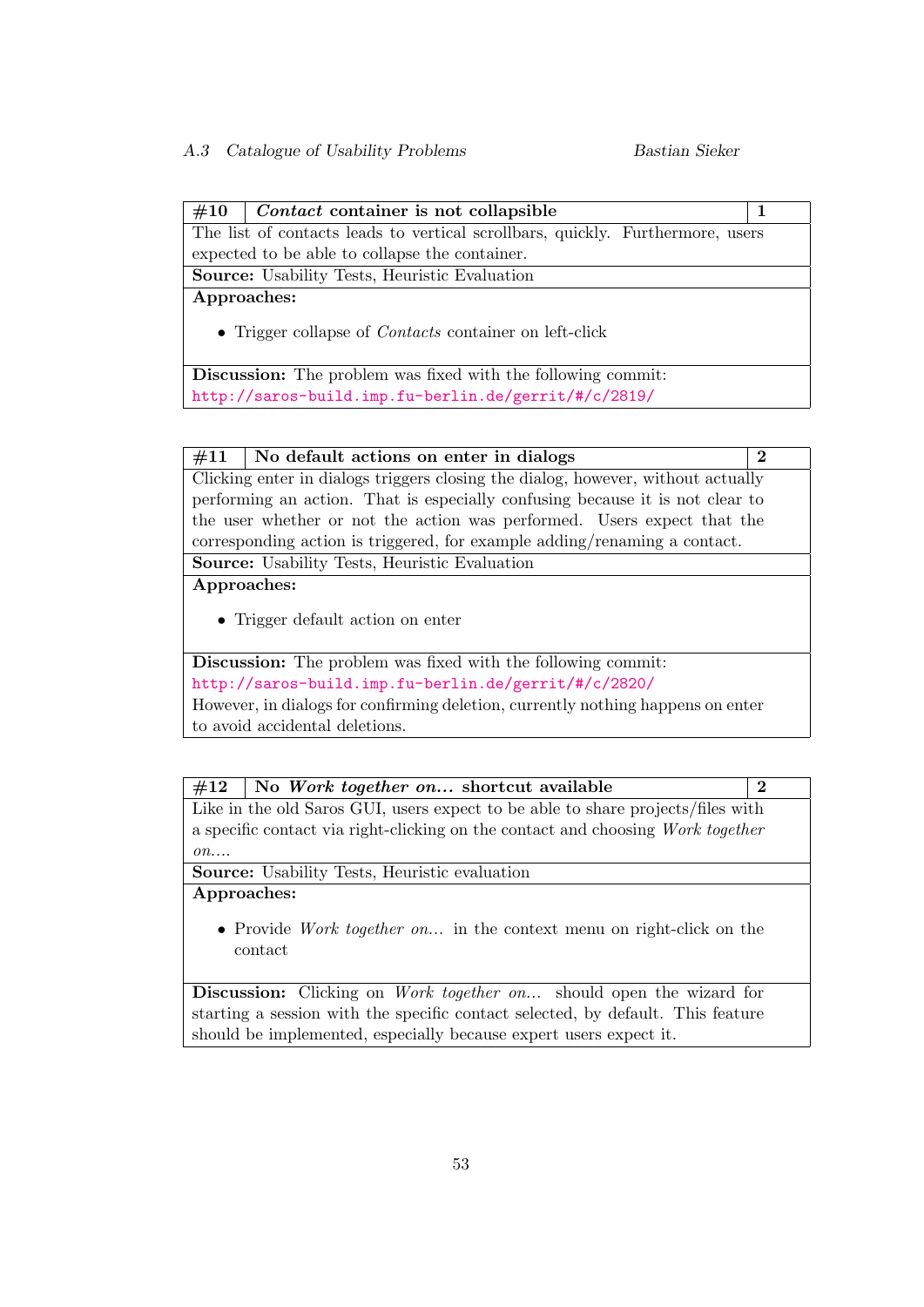# $\#10$  | Contact container is not collapsible | 1

The list of contacts leads to vertical scrollbars, quickly. Furthermore, users expected to be able to collapse the container.

Source: Usability Tests, Heuristic Evaluation

Approaches:

• Trigger collapse of *Contacts* container on left-click

Discussion: The problem was fixed with the following commit: <http://saros-build.imp.fu-berlin.de/gerrit/#/c/2819/>

#### $\#11$  No default actions on enter in dialogs 2

Clicking enter in dialogs triggers closing the dialog, however, without actually performing an action. That is especially confusing because it is not clear to the user whether or not the action was performed. Users expect that the corresponding action is triggered, for example adding/renaming a contact. Source: Usability Tests, Heuristic Evaluation

Approaches:

• Trigger default action on enter

Discussion: The problem was fixed with the following commit: <http://saros-build.imp.fu-berlin.de/gerrit/#/c/2820/> However, in dialogs for confirming deletion, currently nothing happens on enter to avoid accidental deletions.

 $#12$  No Work together on... shortcut available 2 Like in the old Saros GUI, users expect to be able to share projects/files with a specific contact via right-clicking on the contact and choosing Work together  $\overline{on} \dots$ 

Source: Usability Tests, Heuristic evaluation

Approaches:

• Provide Work together on... in the context menu on right-click on the contact

Discussion: Clicking on *Work together on...* should open the wizard for starting a session with the specific contact selected, by default. This feature should be implemented, especially because expert users expect it.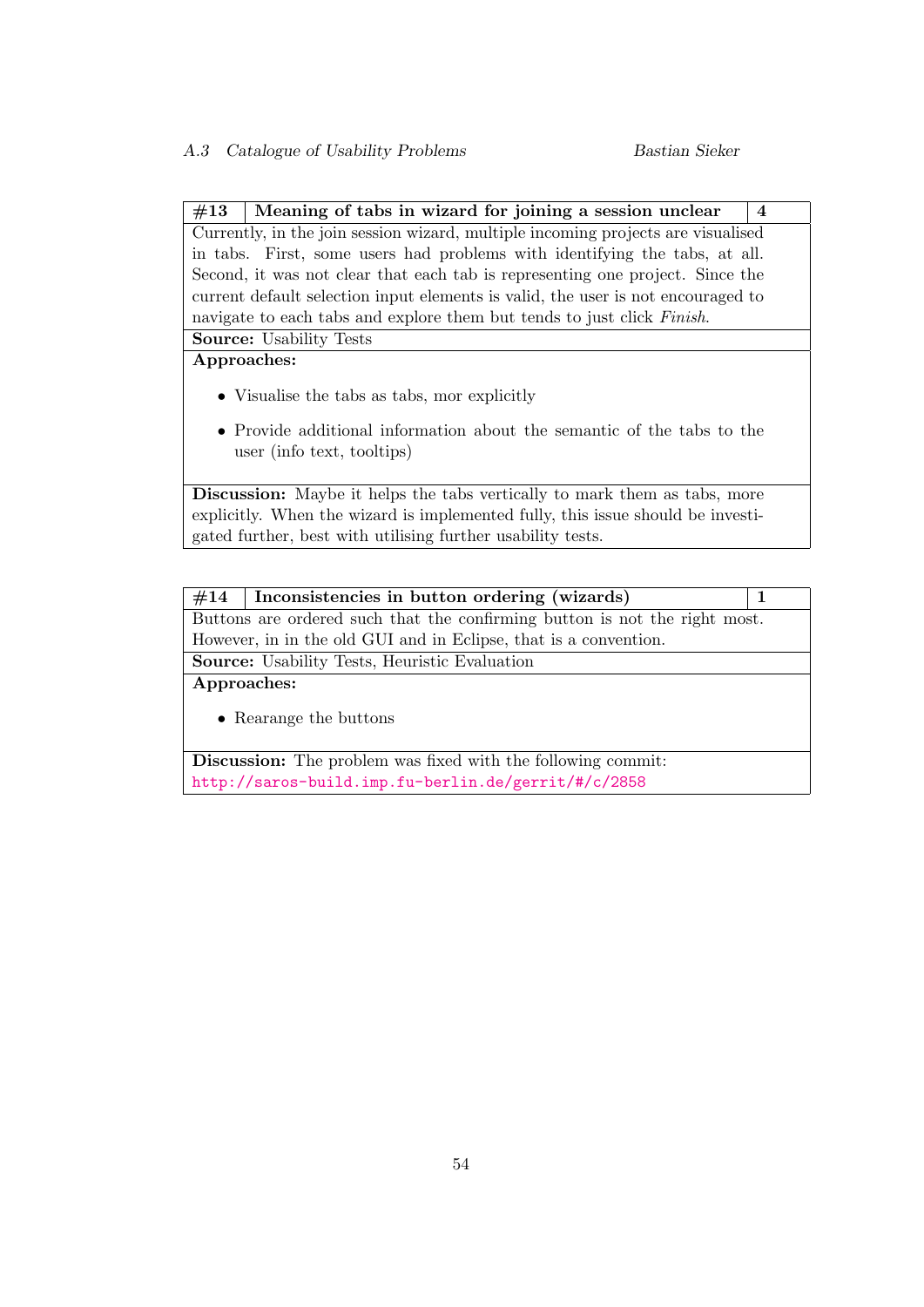$#13$  | Meaning of tabs in wizard for joining a session unclear | 4 Currently, in the join session wizard, multiple incoming projects are visualised in tabs. First, some users had problems with identifying the tabs, at all. Second, it was not clear that each tab is representing one project. Since the current default selection input elements is valid, the user is not encouraged to navigate to each tabs and explore them but tends to just click Finish.

Source: Usability Tests

### Approaches:

- Visualise the tabs as tabs, mor explicitly
- Provide additional information about the semantic of the tabs to the user (info text, tooltips)

Discussion: Maybe it helps the tabs vertically to mark them as tabs, more explicitly. When the wizard is implemented fully, this issue should be investigated further, best with utilising further usability tests.

 $#14$  | Inconsistencies in button ordering (wizards) | 1 Buttons are ordered such that the confirming button is not the right most. However, in in the old GUI and in Eclipse, that is a convention. Source: Usability Tests, Heuristic Evaluation

Approaches:

• Rearange the buttons

Discussion: The problem was fixed with the following commit: <http://saros-build.imp.fu-berlin.de/gerrit/#/c/2858>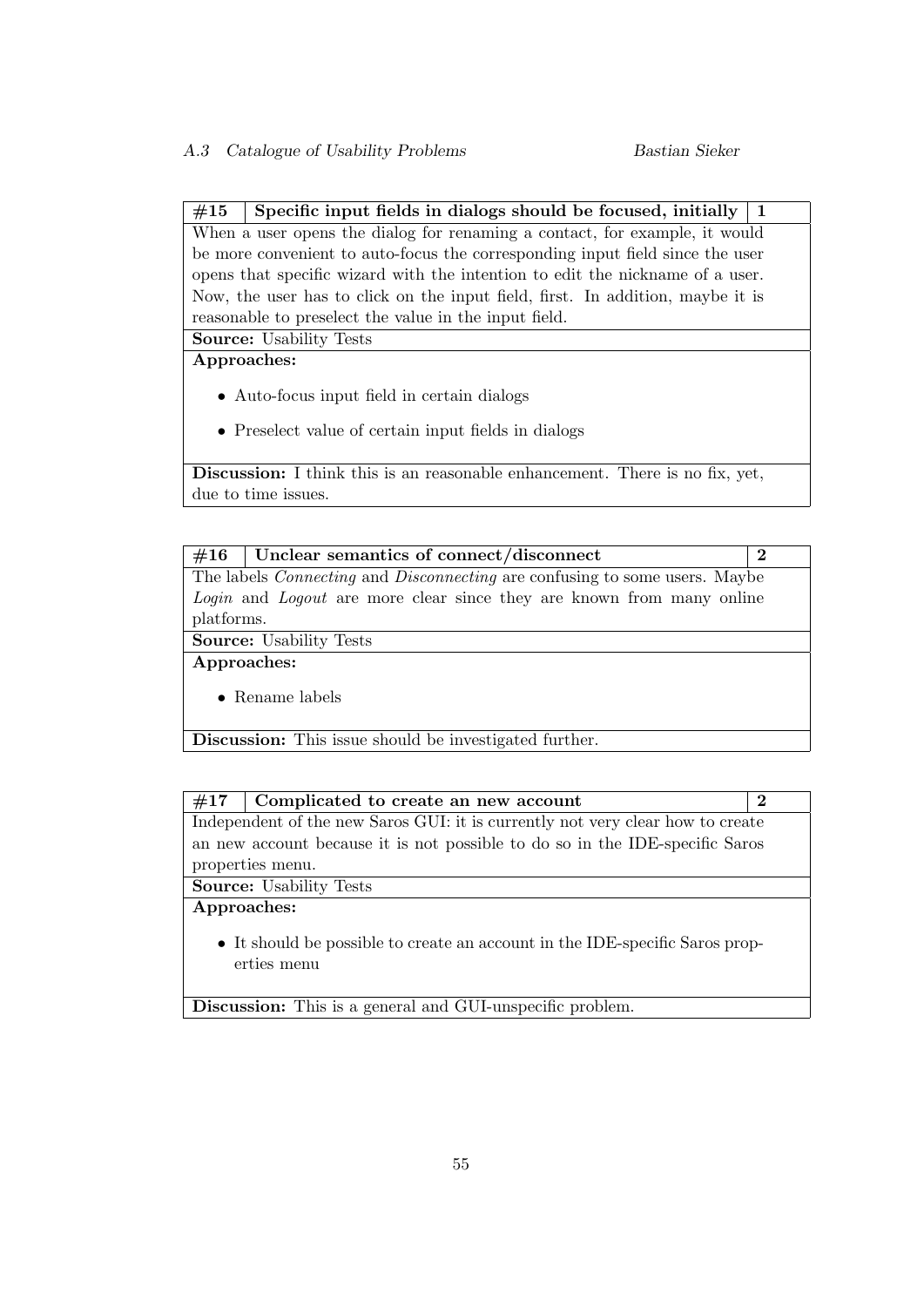# $#15$  Specific input fields in dialogs should be focused, initially 1

When a user opens the dialog for renaming a contact, for example, it would be more convenient to auto-focus the corresponding input field since the user opens that specific wizard with the intention to edit the nickname of a user. Now, the user has to click on the input field, first. In addition, maybe it is reasonable to preselect the value in the input field.

Source: Usability Tests

# Approaches:

- Auto-focus input field in certain dialogs
- Preselect value of certain input fields in dialogs

Discussion: I think this is an reasonable enhancement. There is no fix, yet, due to time issues.

| #16         | Unclear semantics of connect/disconnect                                                  | $\bf{2}$ |  |  |  |  |
|-------------|------------------------------------------------------------------------------------------|----------|--|--|--|--|
|             | The labels <i>Connecting</i> and <i>Disconnecting</i> are confusing to some users. Maybe |          |  |  |  |  |
|             | Login and Logout are more clear since they are known from many online                    |          |  |  |  |  |
| platforms.  |                                                                                          |          |  |  |  |  |
|             | <b>Source:</b> Usability Tests                                                           |          |  |  |  |  |
| Approaches: |                                                                                          |          |  |  |  |  |
|             | $\bullet$ Rename labels                                                                  |          |  |  |  |  |
|             | <b>Discussion:</b> This issue should be investigated further.                            |          |  |  |  |  |

| #17                                                                            | Complicated to create an new account                                         | $\bf{2}$ |  |  |  |  |
|--------------------------------------------------------------------------------|------------------------------------------------------------------------------|----------|--|--|--|--|
| Independent of the new Saros GUI: it is currently not very clear how to create |                                                                              |          |  |  |  |  |
|                                                                                | an new account because it is not possible to do so in the IDE-specific Saros |          |  |  |  |  |
|                                                                                | properties menu.                                                             |          |  |  |  |  |
| <b>Source:</b> Usability Tests                                                 |                                                                              |          |  |  |  |  |
| Approaches:                                                                    |                                                                              |          |  |  |  |  |
| • It should be possible to create an account in the IDE-specific Saros prop-   |                                                                              |          |  |  |  |  |

erties menu

Discussion: This is a general and GUI-unspecific problem.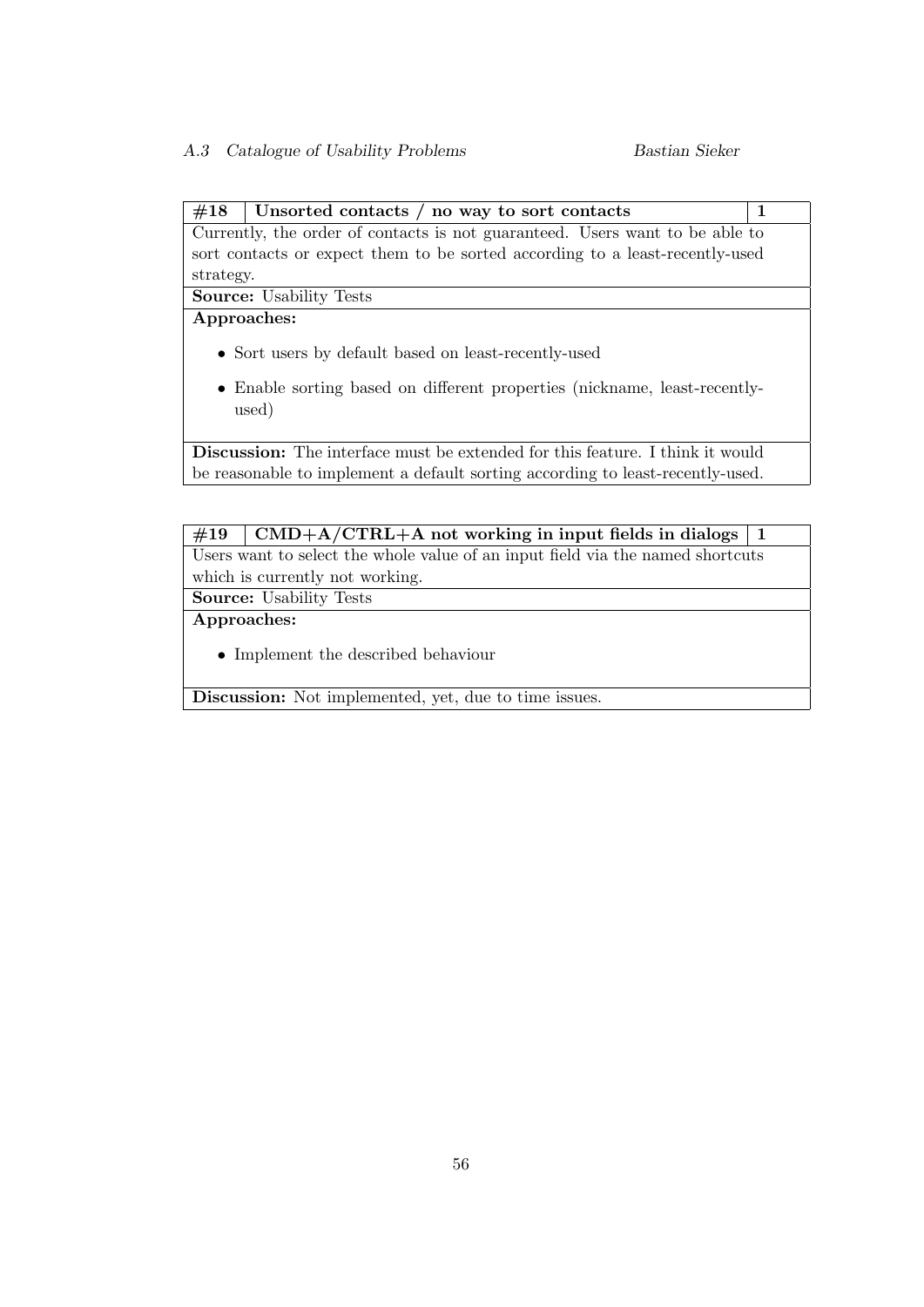# $#18$  Unsorted contacts / no way to sort contacts 1

Currently, the order of contacts is not guaranteed. Users want to be able to sort contacts or expect them to be sorted according to a least-recently-used strategy.

Source: Usability Tests

# Approaches:

- Sort users by default based on least-recently-used
- Enable sorting based on different properties (nickname, least-recentlyused)

Discussion: The interface must be extended for this feature. I think it would be reasonable to implement a default sorting according to least-recently-used.

# $\#19$  CMD+A/CTRL+A not working in input fields in dialogs 1 Users want to select the whole value of an input field via the named shortcuts which is currently not working.

Source: Usability Tests

Approaches:

• Implement the described behaviour

Discussion: Not implemented, yet, due to time issues.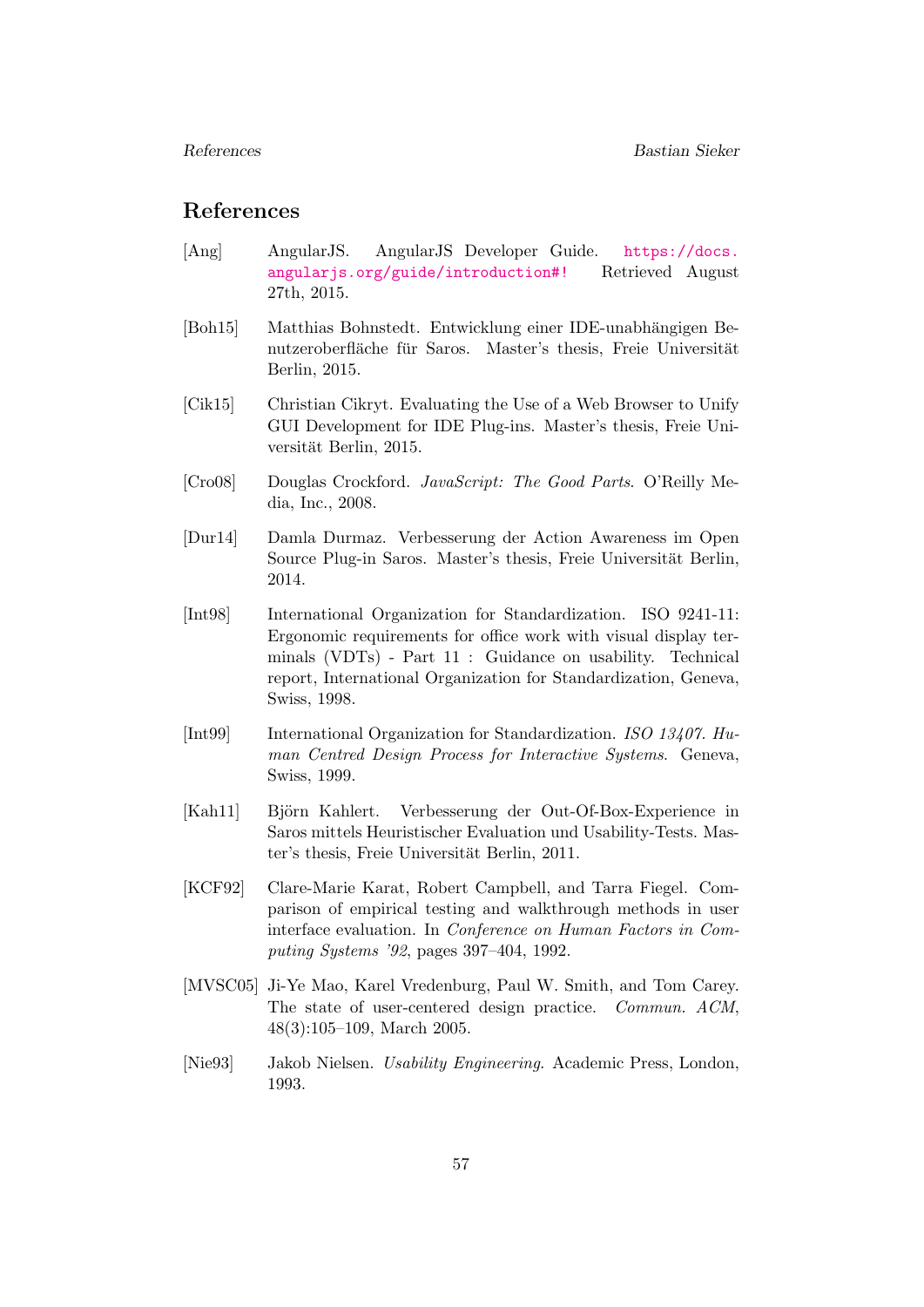# References

- <span id="page-61-9"></span>[Ang] AngularJS. AngularJS Developer Guide. [https://docs.](https://docs.angularjs.org/guide/introduction#!) [angularjs.org/guide/introduction#!](https://docs.angularjs.org/guide/introduction#!) Retrieved August 27th, 2015.
- <span id="page-61-3"></span>[Boh15] Matthias Bohnstedt. Entwicklung einer IDE-unabhängigen Benutzeroberfläche für Saros. Master's thesis, Freie Universität Berlin, 2015.
- <span id="page-61-0"></span>[Cik15] Christian Cikryt. Evaluating the Use of a Web Browser to Unify GUI Development for IDE Plug-ins. Master's thesis, Freie Universität Berlin, 2015.
- <span id="page-61-10"></span>[Cro08] Douglas Crockford. JavaScript: The Good Parts. O'Reilly Media, Inc., 2008.
- <span id="page-61-2"></span>[Dur14] Damla Durmaz. Verbesserung der Action Awareness im Open Source Plug-in Saros. Master's thesis, Freie Universität Berlin, 2014.
- <span id="page-61-4"></span>[Int98] International Organization for Standardization. ISO 9241-11: Ergonomic requirements for office work with visual display terminals (VDTs) - Part 11 : Guidance on usability. Technical report, International Organization for Standardization, Geneva, Swiss, 1998.
- <span id="page-61-8"></span>[Int99] International Organization for Standardization. ISO 13407. Human Centred Design Process for Interactive Systems. Geneva, Swiss, 1999.
- <span id="page-61-1"></span>[Kah11] Björn Kahlert. Verbesserung der Out-Of-Box-Experience in Saros mittels Heuristischer Evaluation und Usability-Tests. Master's thesis, Freie Universität Berlin, 2011.
- <span id="page-61-5"></span>[KCF92] Clare-Marie Karat, Robert Campbell, and Tarra Fiegel. Comparison of empirical testing and walkthrough methods in user interface evaluation. In Conference on Human Factors in Computing Systems '92, pages 397–404, 1992.
- <span id="page-61-7"></span>[MVSC05] Ji-Ye Mao, Karel Vredenburg, Paul W. Smith, and Tom Carey. The state of user-centered design practice. Commun. ACM, 48(3):105–109, March 2005.
- <span id="page-61-6"></span>[Nie93] Jakob Nielsen. Usability Engineering. Academic Press, London, 1993.